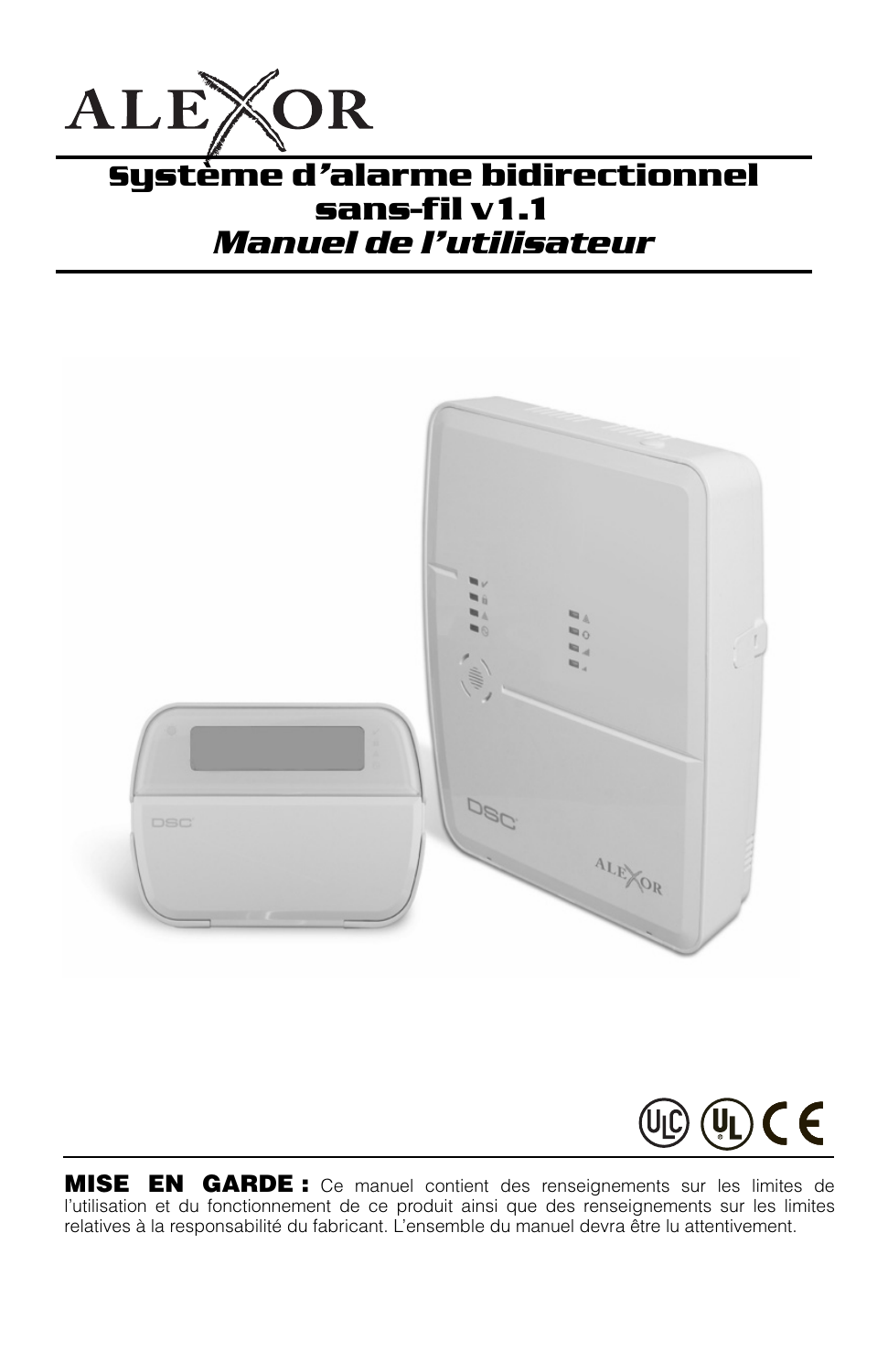

## **Système d***'***alarme bidirectionnel sans-fil v1.1** *Manuel de l'utilisateur*





**MISE EN GARDE :** Ce manuel contient des renseignements sur les limites de l'utilisation et du fonctionnement de ce produit ainsi que des renseignements sur les limites relatives à la responsabilité du fabricant. L'ensemble du manuel devra être lu attentivement.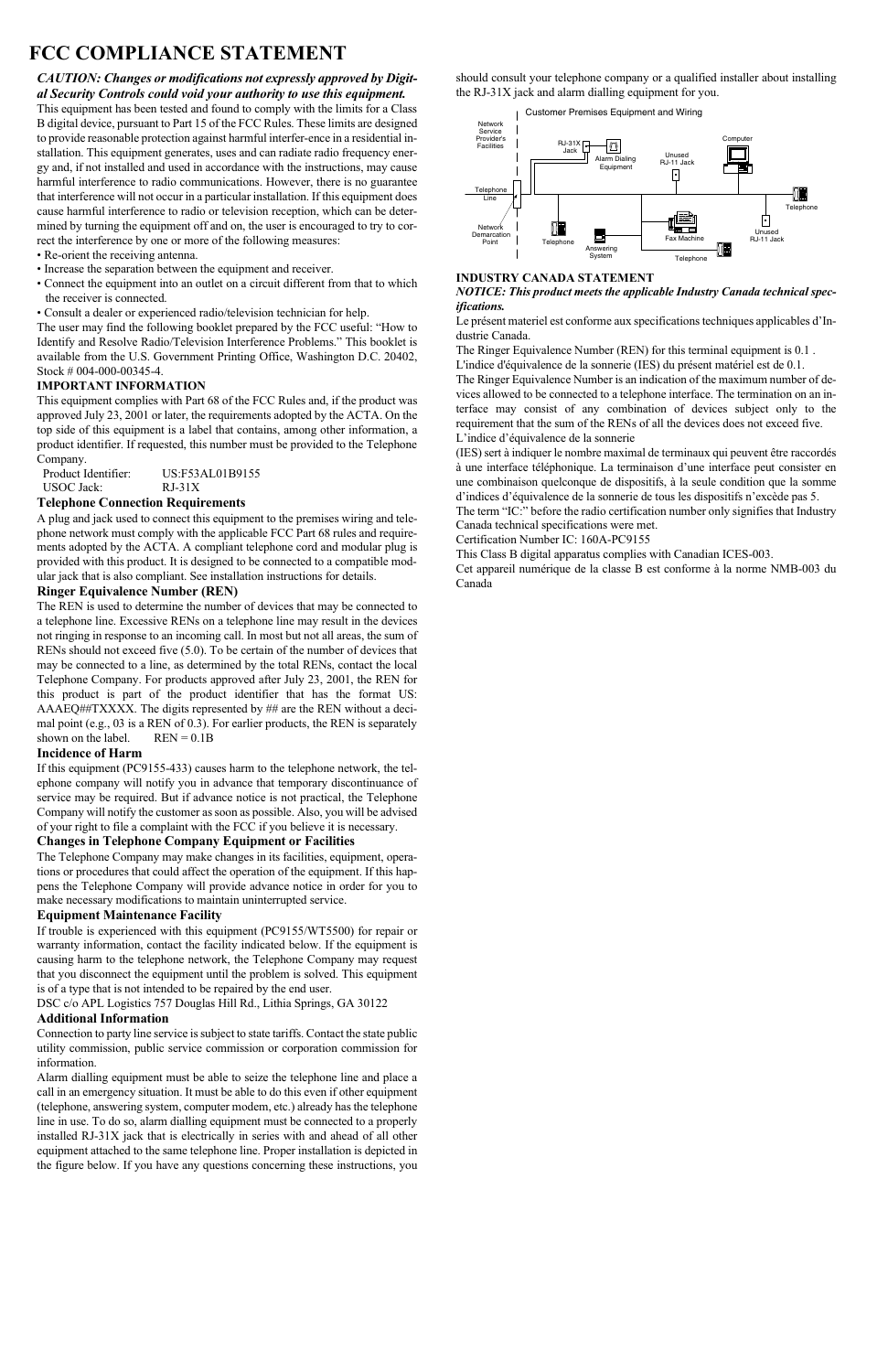## **FCC COMPLIANCE STATEMENT**

*CAUTION: Changes or modifications not expressly approved by Digital Security Controls could void your authority to use this equipment.*

This equipment has been tested and found to comply with the limits for a Class B digital device, pursuant to Part 15 of the FCC Rules. These limits are designed to provide reasonable protection against harmful interfer-ence in a residential installation. This equipment generates, uses and can radiate radio frequency energy and, if not installed and used in accordance with the instructions, may cause harmful interference to radio communications. However, there is no guarantee that interference will not occur in a particular installation. If this equipment does cause harmful interference to radio or television reception, which can be determined by turning the equipment off and on, the user is encouraged to try to correct the interference by one or more of the following measures:

- Re-orient the receiving antenna.
- Increase the separation between the equipment and receiver.
- Connect the equipment into an outlet on a circuit different from that to which the receiver is connected.
- Consult a dealer or experienced radio/television technician for help.

The user may find the following booklet prepared by the FCC useful: "How to Identify and Resolve Radio/Television Interference Problems." This booklet is available from the U.S. Government Printing Office, Washington D.C. 20402, Stock # 004-000-00345-4.

#### **IMPORTANT INFORMATION**

This equipment complies with Part 68 of the FCC Rules and, if the product was approved July 23, 2001 or later, the requirements adopted by the ACTA. On the top side of this equipment is a label that contains, among other information, a product identifier. If requested, this number must be provided to the Telephone Company.

| Product Identifier: | US:F53AL01B9155 |
|---------------------|-----------------|
| <b>USOC</b> Jack:   | $RJ-31X$        |

#### **Telephone Connection Requirements**

A plug and jack used to connect this equipment to the premises wiring and telephone network must comply with the applicable FCC Part 68 rules and requirements adopted by the ACTA. A compliant telephone cord and modular plug is provided with this product. It is designed to be connected to a compatible modular jack that is also compliant. See installation instructions for details.

#### **Ringer Equivalence Number (REN)**

The REN is used to determine the number of devices that may be connected to a telephone line. Excessive RENs on a telephone line may result in the devices not ringing in response to an incoming call. In most but not all areas, the sum of RENs should not exceed five (5.0). To be certain of the number of devices that may be connected to a line, as determined by the total RENs, contact the local Telephone Company. For products approved after July 23, 2001, the REN for this product is part of the product identifier that has the format US: AAAEQ##TXXXX. The digits represented by ## are the REN without a decimal point (e.g., 03 is a REN of 0.3). For earlier products, the REN is separately shown on the label  $REN = 0.1B$  $s$ hown on the label.

#### **Incidence of Harm**

If this equipment (PC9155-433) causes harm to the telephone network, the telephone company will notify you in advance that temporary discontinuance of service may be required. But if advance notice is not practical, the Telephone Company will notify the customer as soon as possible. Also, you will be advised of your right to file a complaint with the FCC if you believe it is necessary.

#### **Changes in Telephone Company Equipment or Facilities**

The Telephone Company may make changes in its facilities, equipment, operations or procedures that could affect the operation of the equipment. If this happens the Telephone Company will provide advance notice in order for you to make necessary modifications to maintain uninterrupted service.

#### **Equipment Maintenance Facility**

If trouble is experienced with this equipment (PC9155/WT5500) for repair or warranty information, contact the facility indicated below. If the equipment is causing harm to the telephone network, the Telephone Company may request that you disconnect the equipment until the problem is solved. This equipment is of a type that is not intended to be repaired by the end user.

DSC c/o APL Logistics 757 Douglas Hill Rd., Lithia Springs, GA 30122

#### **Additional Information**

Connection to party line service is subject to state tariffs. Contact the state public utility commission, public service commission or corporation commission for information.

Alarm dialling equipment must be able to seize the telephone line and place a call in an emergency situation. It must be able to do this even if other equipment (telephone, answering system, computer modem, etc.) already has the telephone line in use. To do so, alarm dialling equipment must be connected to a properly installed RJ-31X jack that is electrically in series with and ahead of all other equipment attached to the same telephone line. Proper installation is depicted in the figure below. If you have any questions concerning these instructions, you

should consult your telephone company or a qualified installer about installing the RJ-31X jack and alarm dialling equipment for you.

Customer Premises Equipment and Wiring



#### **INDUSTRY CANADA STATEMENT**

*NOTICE: This product meets the applicable Industry Canada technical specifications.*

Le présent materiel est conforme aux specifications techniques applicables d'Industrie Canada.

The Ringer Equivalence Number (REN) for this terminal equipment is 0.1 .

L'indice d'équivalence de la sonnerie (IES) du présent matériel est de 0.1.

The Ringer Equivalence Number is an indication of the maximum number of devices allowed to be connected to a telephone interface. The termination on an interface may consist of any combination of devices subject only to the requirement that the sum of the RENs of all the devices does not exceed five. L'indice d'équivalence de la sonnerie

(IES) sert à indiquer le nombre maximal de terminaux qui peuvent être raccordés à une interface téléphonique. La terminaison d'une interface peut consister en une combinaison quelconque de dispositifs, à la seule condition que la somme d'indices d'équivalence de la sonnerie de tous les dispositifs n'excède pas 5. The term "IC:" before the radio certification number only signifies that Industry

Canada technical specifications were met.

Certification Number IC: 160A-PC9155

This Class B digital apparatus complies with Canadian ICES-003.

Cet appareil numérique de la classe B est conforme à la norme NMB-003 du Canada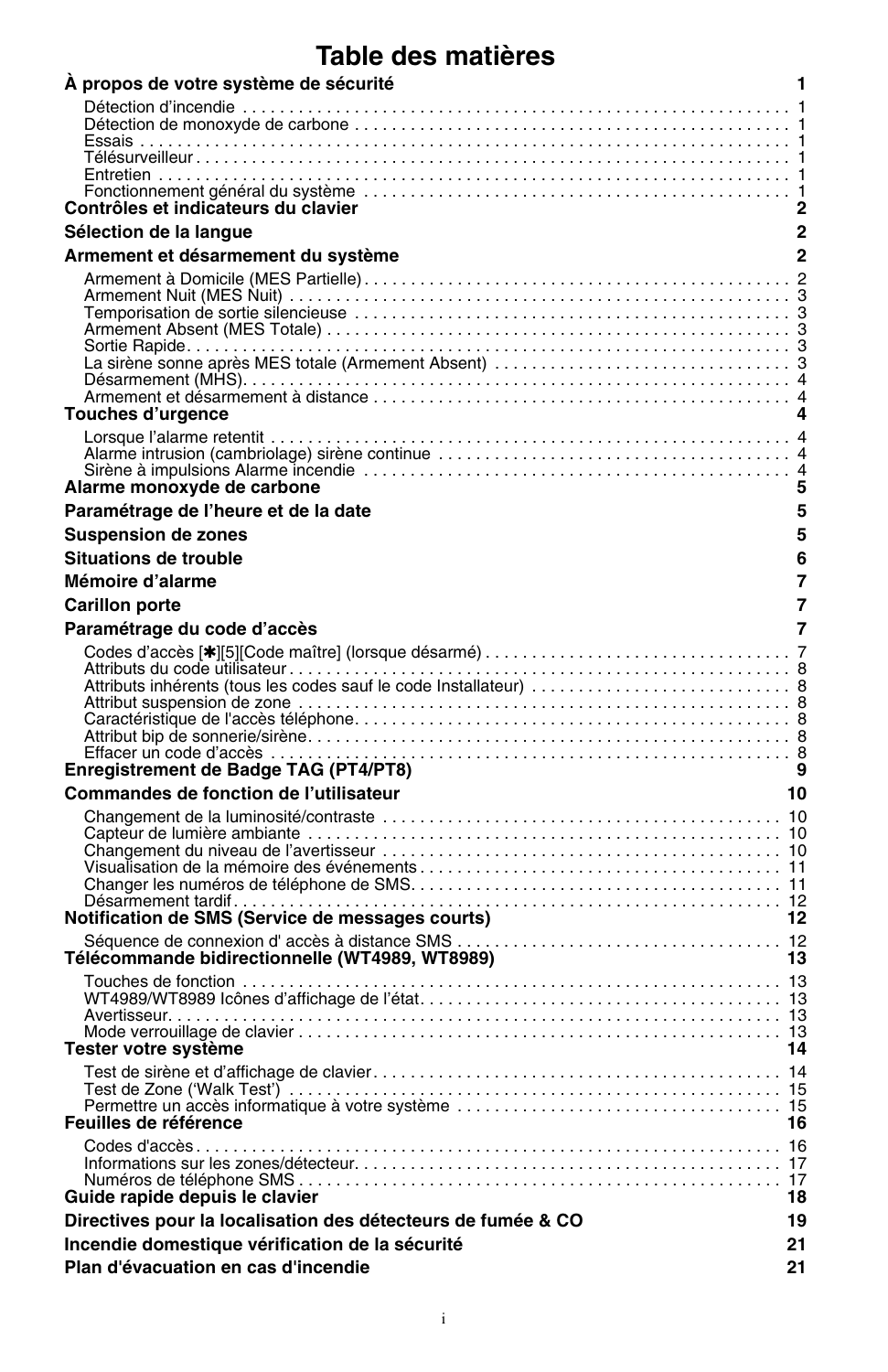## **Table des matières**

| A propos de votre système de sécurité                        | 1            |
|--------------------------------------------------------------|--------------|
|                                                              |              |
|                                                              |              |
|                                                              |              |
| Contrôles et indicateurs du clavier                          | 2            |
| Sélection de la langue                                       | $\mathbf 2$  |
| Armement et désarmement du système                           | $\mathbf{2}$ |
|                                                              |              |
|                                                              |              |
|                                                              |              |
| Touches d'urgence                                            | 4            |
|                                                              |              |
| Alarme monoxyde de carbone                                   | 5            |
| Paramétrage de l'heure et de la date                         | 5            |
| <b>Suspension de zones</b>                                   | 5            |
| Situations de trouble                                        | 6            |
| Mémoire d'alarme                                             | 7            |
| <b>Carillon porte</b>                                        | 7            |
| Paramétrage du code d'accès                                  | 7            |
|                                                              |              |
|                                                              |              |
| Enregistrement de Badge TAG (PT4/PT8)                        | 9            |
| Commandes de fonction de l'utilisateur                       | 10           |
|                                                              |              |
|                                                              |              |
|                                                              |              |
|                                                              |              |
| Notification de SMS (Service de messages courts)             | 12           |
| Télécommande bidirectionnelle (WT4989, WT8989)               | -13          |
|                                                              |              |
| Tester votre système                                         | 14           |
|                                                              |              |
| Feuilles de référence                                        | 16           |
| Guide rapide depuis le clavier                               | 18           |
| Directives pour la localisation des détecteurs de fumée & CO | 19           |
| Incendie domestique vérification de la sécurité              | 21           |
| Plan d'évacuation en cas d'incendie                          | 21           |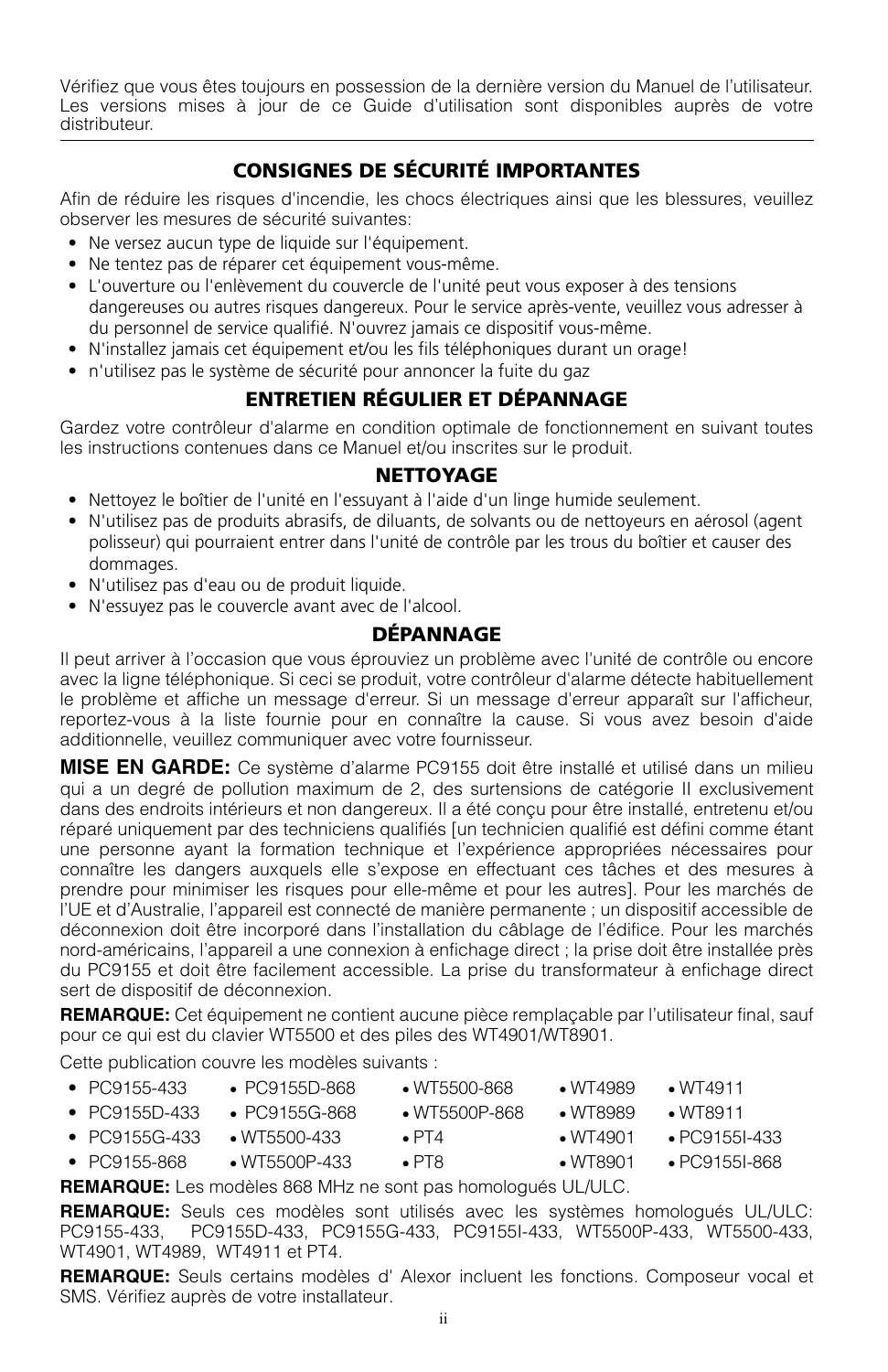Vérifiez que vous êtes toujours en possession de la dernière version du Manuel de l'utilisateur. Les versions mises à jour de ce Guide d'utilisation sont disponibles auprès de votre distributeur.

## **CONSIGNES DE SÉCURITÉ IMPORTANTES**

Afin de réduire les risques d'incendie, les chocs électriques ainsi que les blessures, veuillez observer les mesures de sécurité suivantes:

- Ne versez aucun type de liquide sur l'équipement.
- Ne tentez pas de réparer cet équipement vous-même.
- L'ouverture ou l'enlèvement du couvercle de l'unité peut vous exposer à des tensions dangereuses ou autres risques dangereux. Pour le service après-vente, veuillez vous adresser à du personnel de service qualifié. N'ouvrez jamais ce dispositif vous-même.
- N'installez jamais cet équipement et/ou les fils téléphoniques durant un orage!
- n'utilisez pas le système de sécurité pour annoncer la fuite du gaz

## **ENTRETIEN RÉGULIER ET DÉPANNAGE**

Gardez votre contrôleur d'alarme en condition optimale de fonctionnement en suivant toutes les instructions contenues dans ce Manuel et/ou inscrites sur le produit.

#### **NETTOYAGE**

- Nettoyez le boîtier de l'unité en l'essuyant à l'aide d'un linge humide seulement.
- N'utilisez pas de produits abrasifs, de diluants, de solvants ou de nettoyeurs en aérosol (agent polisseur) qui pourraient entrer dans l'unité de contrôle par les trous du boîtier et causer des dommages.
- N'utilisez pas d'eau ou de produit liquide.
- N'essuyez pas le couvercle avant avec de l'alcool.

## **DÉPANNAGE**

Il peut arriver à l'occasion que vous éprouviez un problème avec l'unité de contrôle ou encore avec la ligne téléphonique. Si ceci se produit, votre contrôleur d'alarme détecte habituellement le problème et affiche un message d'erreur. Si un message d'erreur apparaît sur l'afficheur, reportez-vous à la liste fournie pour en connaître la cause. Si vous avez besoin d'aide additionnelle, veuillez communiquer avec votre fournisseur.

**MISE EN GARDE:** Ce système d'alarme PC9155 doit être installé et utilisé dans un milieu qui a un degré de pollution maximum de 2, des surtensions de catégorie II exclusivement dans des endroits intérieurs et non dangereux. Il a été conçu pour être installé, entretenu et/ou réparé uniquement par des techniciens qualifiés [un technicien qualifié est défini comme étant une personne ayant la formation technique et l'expérience appropriées nécessaires pour connaître les dangers auxquels elle s'expose en effectuant ces tâches et des mesures à prendre pour minimiser les risques pour elle-même et pour les autres]. Pour les marchés de l'UE et d'Australie, l'appareil est connecté de manière permanente ; un dispositif accessible de déconnexion doit être incorporé dans l'installation du câblage de l'édifice. Pour les marchés nord-américains, l'appareil a une connexion à enfichage direct ; la prise doit être installée près du PC9155 et doit être facilement accessible. La prise du transformateur à enfichage direct sert de dispositif de déconnexion.

**REMARQUE:** Cet équipement ne contient aucune pièce remplaçable par l'utilisateur final, sauf pour ce qui est du clavier WT5500 et des piles des WT4901/WT8901.

Cette publication couvre les modèles suivants :

| • $PC9155-433$  | $\cdot$ PC9155D-868   | $\bullet$ WT5500-868    | ~W <sub>T</sub> 4989 | $\bullet$ WT4911    |
|-----------------|-----------------------|-------------------------|----------------------|---------------------|
| • $PC9155D-433$ | • PC9155G-868         | $\bullet$ WT5500P-868   | $\bullet$ MT8989     | $\bullet$ MT8911    |
| • $PC9155G-433$ | $\bullet$ WT5500-433  | $\blacksquare$ PT4      | $\bullet$ MT4901     | $\cdot$ PC9155I-433 |
| • $PC9155-868$  | $\bullet$ WT5500P-433 | $\cdot$ PT <sub>8</sub> | $\bullet$ MT8901     | $\cdot$ PC91551-868 |

**REMARQUE:** Les modèles 868 MHz ne sont pas homologués UL/ULC.

**REMARQUE:** Seuls ces modèles sont utilisés avec les systèmes homologués UL/ULC: PC9155-433, PC9155D-433, PC9155G-433, PC9155I-433, WT5500P-433, WT5500-433, WT4901, WT4989, WT4911 et PT4.

**REMARQUE:** Seuls certains modèles d' Alexor incluent les fonctions. Composeur vocal et SMS. Vérifiez auprès de votre installateur.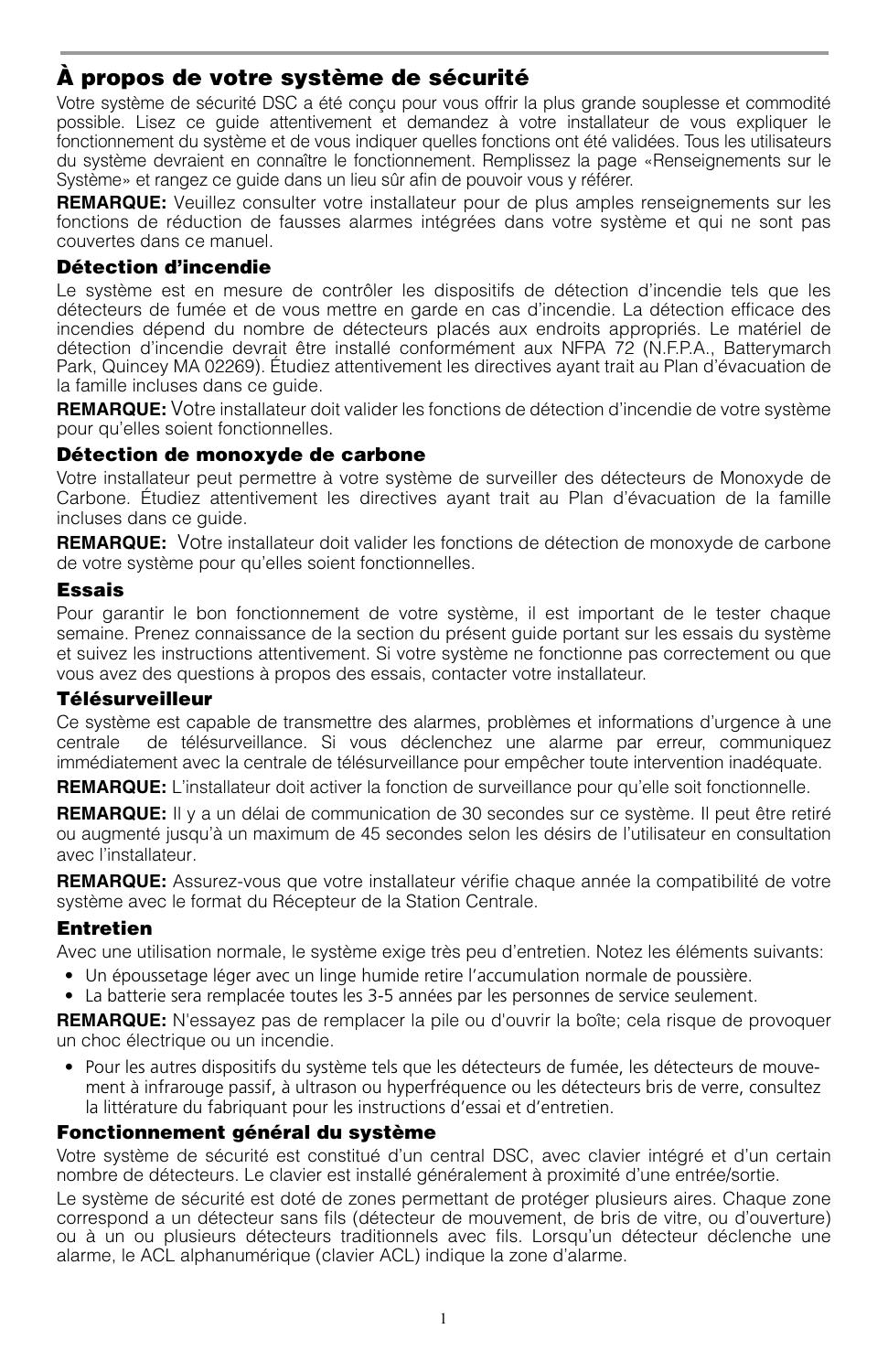## **À propos de votre système de sécurité**

Votre système de sécurité DSC a été conçu pour vous offrir la plus grande souplesse et commodité possible. Lisez ce guide attentivement et demandez à votre installateur de vous expliquer le fonctionnement du système et de vous indiquer quelles fonctions ont été validées. Tous les utilisateurs du système devraient en connaître le fonctionnement. Remplissez la page «Renseignements sur le Système» et rangez ce guide dans un lieu sûr afin de pouvoir vous y référer.

**REMARQUE:** Veuillez consulter votre installateur pour de plus amples renseignements sur les fonctions de réduction de fausses alarmes intégrées dans votre système et qui ne sont pas couvertes dans ce manuel.

#### **Détection d'incendie**

Le système est en mesure de contrôler les dispositifs de détection d'incendie tels que les détecteurs de fumée et de vous mettre en garde en cas d'incendie. La détection efficace des incendies dépend du nombre de détecteurs placés aux endroits appropriés. Le matériel de détection d'incendie devrait être installé conformément aux NFPA 72 (N.F.P.A., Batterymarch Park, Quincey MA 02269). Étudiez attentivement les directives ayant trait au Plan d'évacuation de la famille incluses dans ce guide.

**REMARQUE:** Votre installateur doit valider les fonctions de détection d'incendie de votre système pour qu'elles soient fonctionnelles.

#### **Détection de monoxyde de carbone**

Votre installateur peut permettre à votre système de surveiller des détecteurs de Monoxyde de Carbone. Étudiez attentivement les directives ayant trait au Plan d'évacuation de la famille incluses dans ce guide.

**REMARQUE:** Votre installateur doit valider les fonctions de détection de monoxyde de carbone de votre système pour qu'elles soient fonctionnelles.

#### **Essais**

Pour garantir le bon fonctionnement de votre système, il est important de le tester chaque semaine. Prenez connaissance de la section du présent guide portant sur les essais du système et suivez les instructions attentivement. Si votre système ne fonctionne pas correctement ou que vous avez des questions à propos des essais, contacter votre installateur.

#### **Télésurveilleur**

Ce système est capable de transmettre des alarmes, problèmes et informations d'urgence à une centrale de télésurveillance. Si vous déclenchez une alarme par erreur, communiquez immédiatement avec la centrale de télésurveillance pour empêcher toute intervention inadéquate.

**REMARQUE:** L'installateur doit activer la fonction de surveillance pour qu'elle soit fonctionnelle.

**REMARQUE:** Il y a un délai de communication de 30 secondes sur ce système. Il peut être retiré ou augmenté jusqu'à un maximum de 45 secondes selon les désirs de l'utilisateur en consultation avec l'installateur.

**REMARQUE:** Assurez-vous que votre installateur vérifie chaque année la compatibilité de votre système avec le format du Récepteur de la Station Centrale.

### **Entretien**

Avec une utilisation normale, le système exige très peu d'entretien. Notez les éléments suivants:

- Un époussetage léger avec un linge humide retire l'accumulation normale de poussière.
- La batterie sera remplacée toutes les 3-5 années par les personnes de service seulement.

**REMARQUE:** N'essayez pas de remplacer la pile ou d'ouvrir la boîte; cela risque de provoquer un choc électrique ou un incendie.

• Pour les autres dispositifs du système tels que les détecteurs de fumée, les détecteurs de mouvement à infrarouge passif, à ultrason ou hyperfréquence ou les détecteurs bris de verre, consultez la littérature du fabriquant pour les instructions d'essai et d'entretien.

### **Fonctionnement général du système**

Votre système de sécurité est constitué d'un central DSC, avec clavier intégré et d'un certain nombre de détecteurs. Le clavier est installé généralement à proximité d'une entrée/sortie.

Le système de sécurité est doté de zones permettant de protéger plusieurs aires. Chaque zone correspond a un détecteur sans fils (détecteur de mouvement, de bris de vitre, ou d'ouverture) ou à un ou plusieurs détecteurs traditionnels avec fils. Lorsqu'un détecteur déclenche une alarme, le ACL alphanumérique (clavier ACL) indique la zone d'alarme.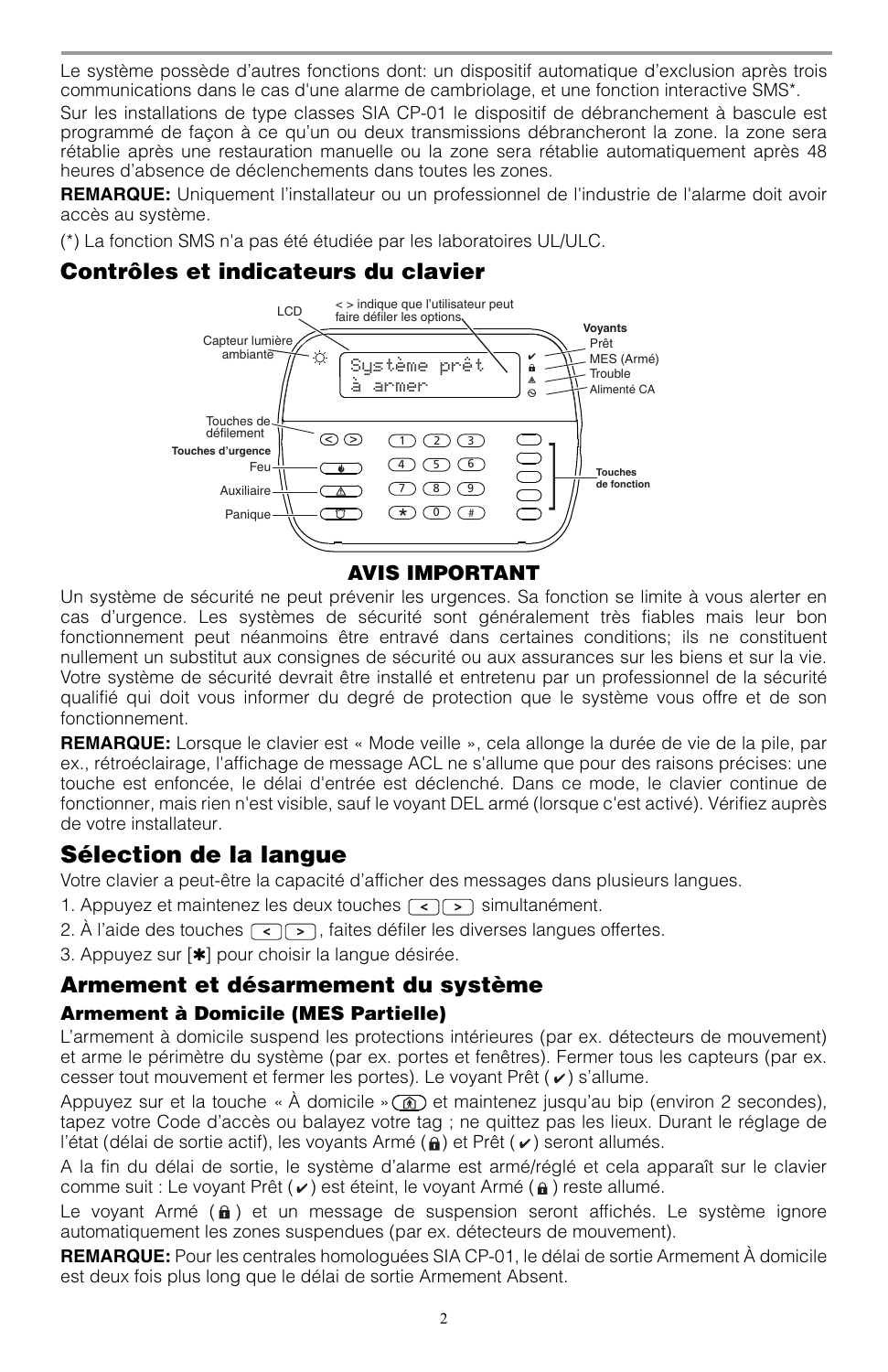Le système possède d'autres fonctions dont: un dispositif automatique d'exclusion après trois communications dans le cas d'une alarme de cambriolage, et une fonction interactive SMS\*.

Sur les installations de type classes SIA CP-01 le dispositif de débranchement à bascule est programmé de façon à ce qu'un ou deux transmissions débrancheront la zone. la zone sera rétablie après une restauration manuelle ou la zone sera rétablie automatiquement après 48 heures d'absence de déclenchements dans toutes les zones.

**REMARQUE:** Uniquement l'installateur ou un professionnel de l'industrie de l'alarme doit avoir accès au système.

(\*) La fonction SMS n'a pas été étudiée par les laboratoires UL/ULC.

## **Contrôles et indicateurs du clavier**



Un système de sécurité ne peut prévenir les urgences. Sa fonction se limite à vous alerter en cas d'urgence. Les systèmes de sécurité sont généralement très fiables mais leur bon fonctionnement peut néanmoins être entravé dans certaines conditions; ils ne constituent nullement un substitut aux consignes de sécurité ou aux assurances sur les biens et sur la vie. Votre système de sécurité devrait être installé et entretenu par un professionnel de la sécurité qualifié qui doit vous informer du degré de protection que le système vous offre et de son fonctionnement.

**REMARQUE:** Lorsque le clavier est « Mode veille », cela allonge la durée de vie de la pile, par ex., rétroéclairage, l'affichage de message ACL ne s'allume que pour des raisons précises: une touche est enfoncée, le délai d'entrée est déclenché. Dans ce mode, le clavier continue de fonctionner, mais rien n'est visible, sauf le voyant DEL armé (lorsque c'est activé). Vérifiez auprès de votre installateur.

## **Sélection de la langue**

Votre clavier a peut-être la capacité d'afficher des messages dans plusieurs langues.

- 1. Appuyez et maintenez les deux touches  $\lceil \cdot \rceil$  simultanément.
- 2. À l'aide des touches  $\lceil \cdot \rceil$ , faites défiler les diverses langues offertes.

3. Appuyez sur [✱] pour choisir la langue désirée.

## **Armement et désarmement du système**

### **Armement à Domicile (MES Partielle)**

L'armement à domicile suspend les protections intérieures (par ex. détecteurs de mouvement) et arme le périmètre du système (par ex. portes et fenêtres). Fermer tous les capteurs (par ex. cesser tout mouvement et fermer les portes). Le voyant Prêt  $(v)$  s'allume.

Appuyez sur et la touche « À domicile »  $\circled{a}$  et maintenez jusqu'au bip (environ 2 secondes), tapez votre Code d'accès ou balayez votre tag ; ne quittez pas les lieux. Durant le réglage de l'état (délai de sortie actif), les voyants Armé  $(a)$  et Prêt ( $\nu$ ) seront allumés.

A la fin du délai de sortie, le système d'alarme est armé/réglé et cela apparaît sur le clavier comme suit : Le voyant Prêt  $(v)$  est éteint, le voyant Armé  $(a)$  reste allumé.

Le voyant Armé  $(a)$  et un message de suspension seront affichés. Le système ignore automatiquement les zones suspendues (par ex. détecteurs de mouvement).

**REMARQUE:** Pour les centrales homologuées SIA CP-01, le délai de sortie Armement À domicile est deux fois plus long que le délai de sortie Armement Absent.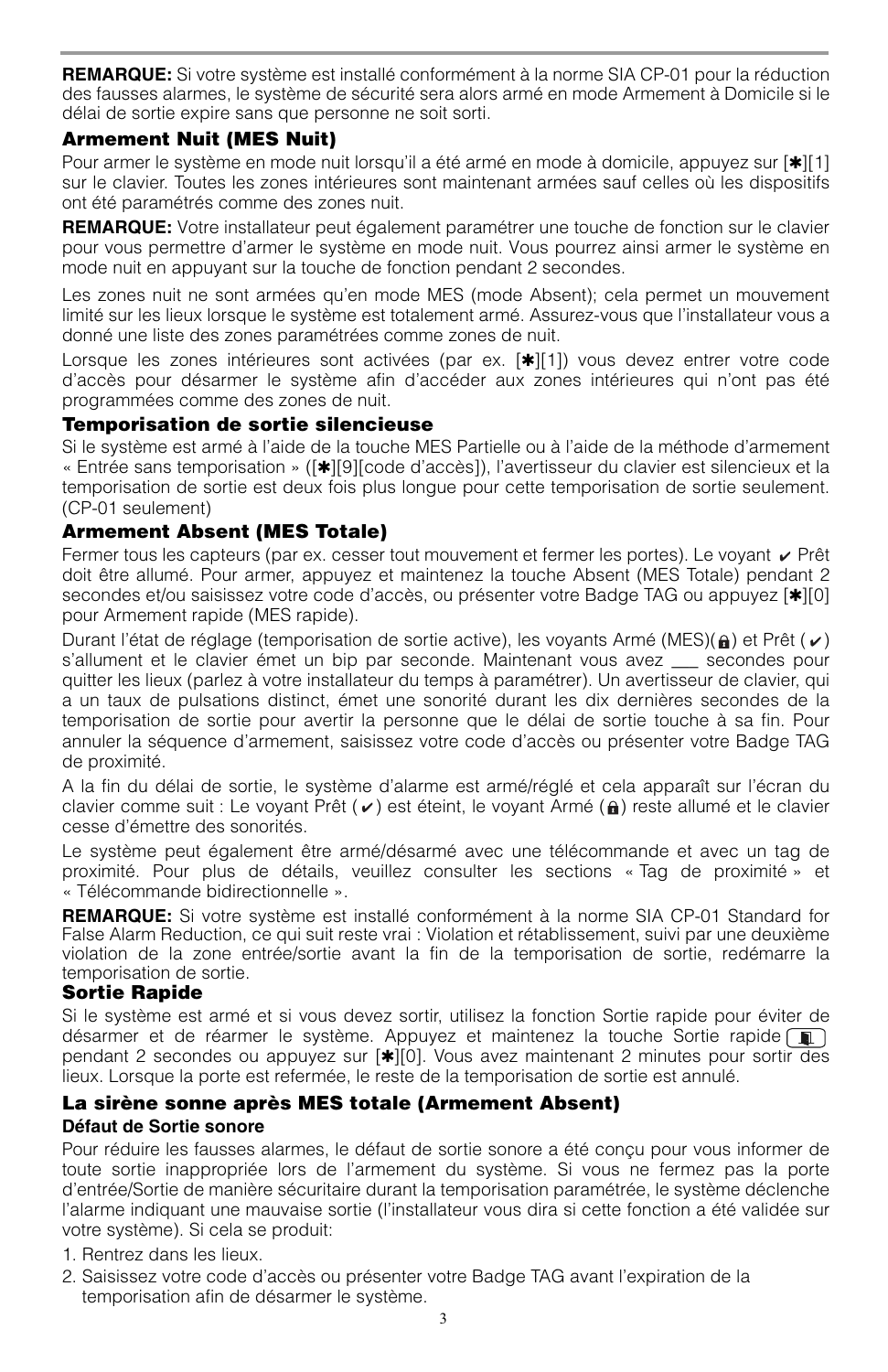**REMARQUE:** Si votre système est installé conformément à la norme SIA CP-01 pour la réduction des fausses alarmes, le système de sécurité sera alors armé en mode Armement à Domicile si le délai de sortie expire sans que personne ne soit sorti.

#### **Armement Nuit (MES Nuit)**

Pour armer le système en mode nuit lorsqu'il a été armé en mode à domicile, appuyez sur [ $||1||$ ] sur le clavier. Toutes les zones intérieures sont maintenant armées sauf celles où les dispositifs ont été paramétrés comme des zones nuit.

**REMARQUE:** Votre installateur peut également paramétrer une touche de fonction sur le clavier pour vous permettre d'armer le système en mode nuit. Vous pourrez ainsi armer le système en mode nuit en appuyant sur la touche de fonction pendant 2 secondes.

Les zones nuit ne sont armées qu'en mode MES (mode Absent); cela permet un mouvement limité sur les lieux lorsque le système est totalement armé. Assurez-vous que l'installateur vous a donné une liste des zones paramétrées comme zones de nuit.

Lorsque les zones intérieures sont activées (par ex. [ $\star$ ][1]) vous devez entrer votre code d'accès pour désarmer le système afin d'accéder aux zones intérieures qui n'ont pas été programmées comme des zones de nuit.

#### **Temporisation de sortie silencieuse**

Si le système est armé à l'aide de la touche MES Partielle ou à l'aide de la méthode d'armement « Entrée sans temporisation » ([✱][9][code d'accès]), l'avertisseur du clavier est silencieux et la temporisation de sortie est deux fois plus longue pour cette temporisation de sortie seulement. (CP-01 seulement)

### **Armement Absent (MES Totale)**

Fermer tous les capteurs (par ex. cesser tout mouvement et fermer les portes). Le voyant  $\vee$  Prêt doit être allumé. Pour armer, appuyez et maintenez la touche Absent (MES Totale) pendant 2 secondes et/ou saisissez votre code d'accès, ou présenter votre Badge TAG ou appuyez [ $|\cdot|0|$ ] pour Armement rapide (MES rapide).

Durant l'état de réglage (temporisation de sortie active), les voyants Armé (MES)( $\bigoplus$ ) et Prêt ( $\bigtriangledown$ ) s'allument et le clavier émet un bip par seconde. Maintenant vous avez \_\_\_ secondes pour quitter les lieux (parlez à votre installateur du temps à paramétrer). Un avertisseur de clavier, qui a un taux de pulsations distinct, émet une sonorité durant les dix dernières secondes de la temporisation de sortie pour avertir la personne que le délai de sortie touche à sa fin. Pour annuler la séquence d'armement, saisissez votre code d'accès ou présenter votre Badge TAG de proximité.

A la fin du délai de sortie, le système d'alarme est armé/réglé et cela apparaît sur l'écran du clavier comme suit : Le voyant Prêt ( $\vee$ ) est éteint, le voyant Armé ( $\hat{\bf{n}}$ ) reste allumé et le clavier cesse d'émettre des sonorités.

Le système peut également être armé/désarmé avec une télécommande et avec un tag de proximité. Pour plus de détails, veuillez consulter les sections « Tag de proximité » et « Télécommande bidirectionnelle ».

**REMARQUE:** Si votre système est installé conformément à la norme SIA CP-01 Standard for False Alarm Reduction, ce qui suit reste vrai : Violation et rétablissement, suivi par une deuxième violation de la zone entrée/sortie avant la fin de la temporisation de sortie, redémarre la temporisation de sortie.

#### **Sortie Rapide**

Si le système est armé et si vous devez sortir, utilisez la fonction Sortie rapide pour éviter de désarmer et de réarmer le système. Appuyez et maintenez la touche Sortie rapide  $\blacksquare$ pendant 2 secondes ou appuyez sur [✱][0]. Vous avez maintenant 2 minutes pour sortir des lieux. Lorsque la porte est refermée, le reste de la temporisation de sortie est annulé.

### **La sirène sonne après MES totale (Armement Absent)**

#### **Défaut de Sortie sonore**

Pour réduire les fausses alarmes, le défaut de sortie sonore a été conçu pour vous informer de toute sortie inappropriée lors de l'armement du système. Si vous ne fermez pas la porte d'entrée/Sortie de manière sécuritaire durant la temporisation paramétrée, le système déclenche l'alarme indiquant une mauvaise sortie (l'installateur vous dira si cette fonction a été validée sur votre système). Si cela se produit:

- 1. Rentrez dans les lieux.
- 2. Saisissez votre code d'accès ou présenter votre Badge TAG avant l'expiration de la temporisation afin de désarmer le système.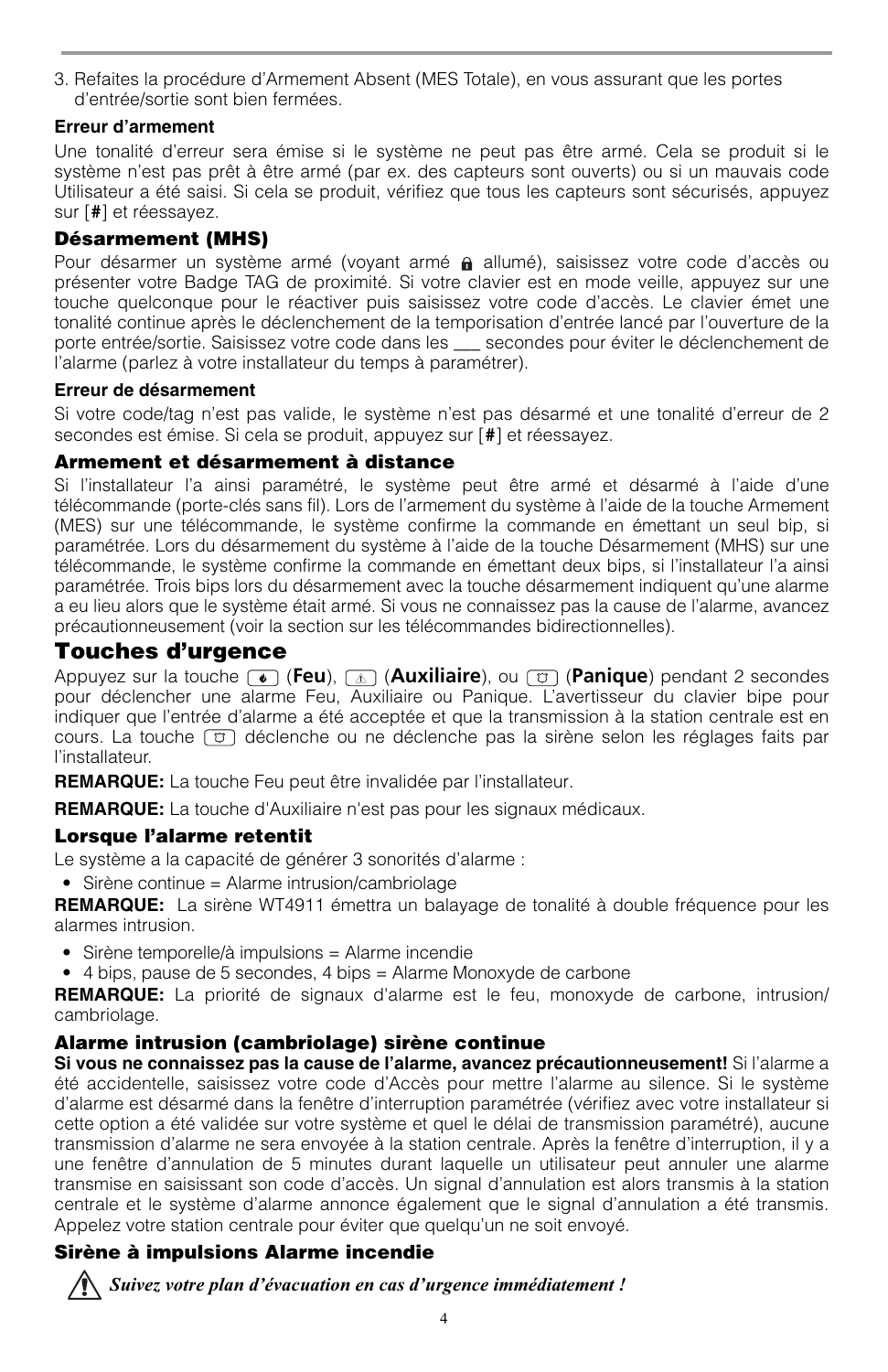3. Refaites la procédure d'Armement Absent (MES Totale), en vous assurant que les portes d'entrée/sortie sont bien fermées.

### **Erreur d'armement**

Une tonalité d'erreur sera émise si le système ne peut pas être armé. Cela se produit si le système n'est pas prêt à être armé (par ex. des capteurs sont ouverts) ou si un mauvais code Utilisateur a été saisi. Si cela se produit, vérifiez que tous les capteurs sont sécurisés, appuyez sur [**#**] et réessayez.

### **Désarmement (MHS)**

Pour désarmer un système armé (voyant armé  $\hat{a}$  allumé), saisissez votre code d'accès ou présenter votre Badge TAG de proximité. Si votre clavier est en mode veille, appuyez sur une touche quelconque pour le réactiver puis saisissez votre code d'accès. Le clavier émet une tonalité continue après le déclenchement de la temporisation d'entrée lancé par l'ouverture de la porte entrée/sortie. Saisissez votre code dans les \_\_\_ secondes pour éviter le déclenchement de l'alarme (parlez à votre installateur du temps à paramétrer).

#### **Erreur de désarmement**

Si votre code/tag n'est pas valide, le système n'est pas désarmé et une tonalité d'erreur de 2 secondes est émise. Si cela se produit, appuyez sur [**#**] et réessayez.

### **Armement et désarmement à distance**

Si l'installateur l'a ainsi paramétré, le système peut être armé et désarmé à l'aide d'une télécommande (porte-clés sans fil). Lors de l'armement du système à l'aide de la touche Armement (MES) sur une télécommande, le système confirme la commande en émettant un seul bip, si paramétrée. Lors du désarmement du système à l'aide de la touche Désarmement (MHS) sur une télécommande, le système confirme la commande en émettant deux bips, si l'installateur l'a ainsi paramétrée. Trois bips lors du désarmement avec la touche désarmement indiquent qu'une alarme a eu lieu alors que le système était armé. Si vous ne connaissez pas la cause de l'alarme, avancez précautionneusement (voir la section sur les télécommandes bidirectionnelles).

## **Touches d'urgence**

Appuyez sur la touche (**Feu**), (**Auxiliaire**), ou (**Panique**) pendant 2 secondes pour déclencher une alarme Feu, Auxiliaire ou Panique. L'avertisseur du clavier bipe pour indiquer que l'entrée d'alarme a été acceptée et que la transmission à la station centrale est en cours. La touche  $\lceil \overline{c} \rceil$  déclenche ou ne déclenche pas la sirène selon les réglages faits par l'installateur.

**REMARQUE:** La touche Feu peut être invalidée par l'installateur.

**REMARQUE:** La touche d'Auxiliaire n'est pas pour les signaux médicaux.

### **Lorsque l'alarme retentit**

Le système a la capacité de générer 3 sonorités d'alarme :

• Sirène continue = Alarme intrusion/cambriolage

**REMARQUE:** La sirène WT4911 émettra un balayage de tonalité à double fréquence pour les alarmes intrusion.

- Sirène temporelle/à impulsions = Alarme incendie
- 4 bips, pause de 5 secondes, 4 bips = Alarme Monoxyde de carbone

**REMARQUE:** La priorité de signaux d'alarme est le feu, monoxyde de carbone, intrusion/ cambriolage.

### **Alarme intrusion (cambriolage) sirène continue**

**Si vous ne connaissez pas la cause de l'alarme, avancez précautionneusement!** Si l'alarme a été accidentelle, saisissez votre code d'Accès pour mettre l'alarme au silence. Si le système d'alarme est désarmé dans la fenêtre d'interruption paramétrée (vérifiez avec votre installateur si cette option a été validée sur votre système et quel le délai de transmission paramétré), aucune transmission d'alarme ne sera envoyée à la station centrale. Après la fenêtre d'interruption, il y a une fenêtre d'annulation de 5 minutes durant laquelle un utilisateur peut annuler une alarme transmise en saisissant son code d'accès. Un signal d'annulation est alors transmis à la station centrale et le système d'alarme annonce également que le signal d'annulation a été transmis. Appelez votre station centrale pour éviter que quelqu'un ne soit envoyé.

### **Sirène à impulsions Alarme incendie**

*Suivez votre plan d'évacuation en cas d'urgence immédiatement !*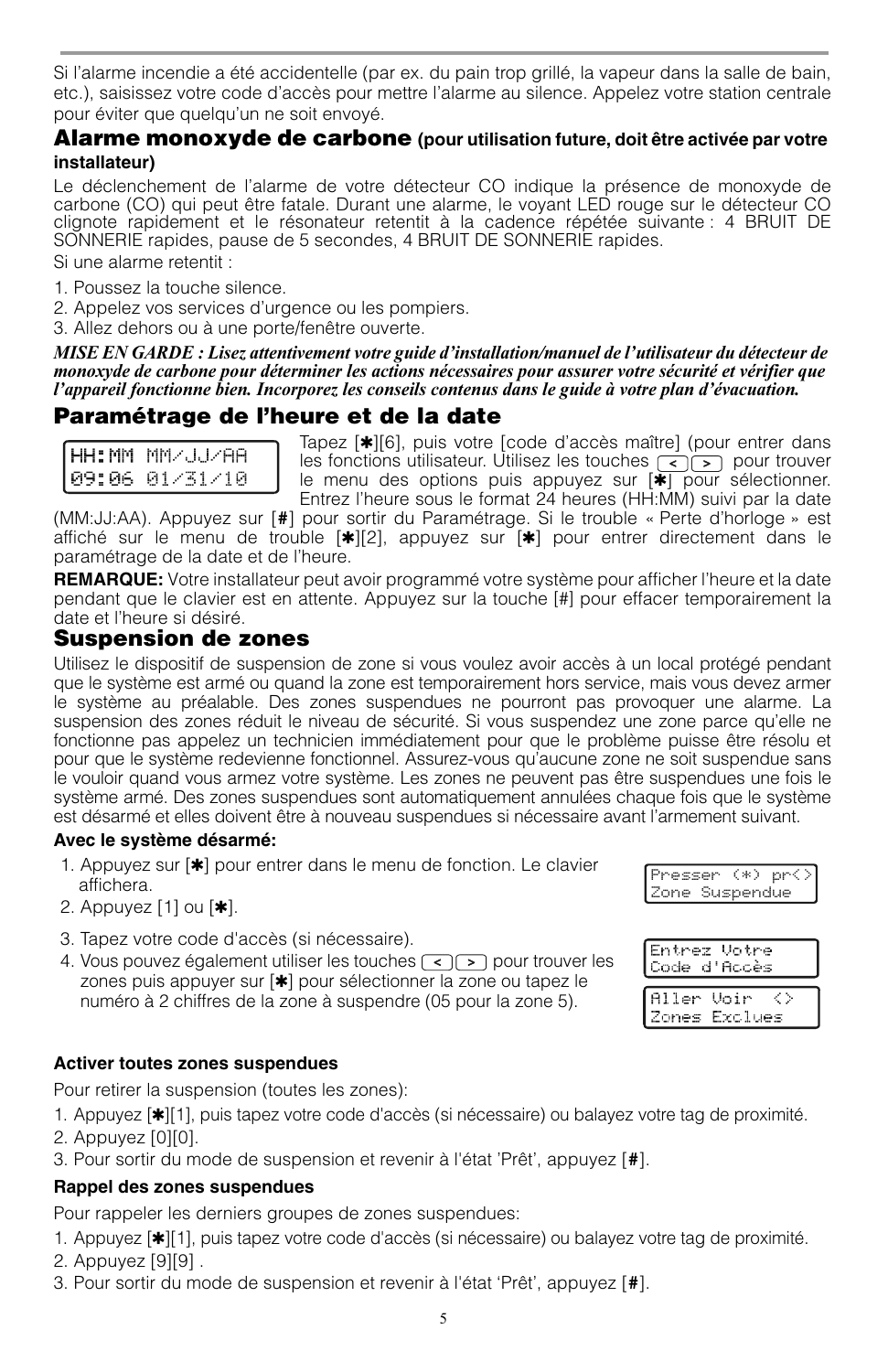Si l'alarme incendie a été accidentelle (par ex. du pain trop grillé, la vapeur dans la salle de bain, etc.), saisissez votre code d'accès pour mettre l'alarme au silence. Appelez votre station centrale pour éviter que quelqu'un ne soit envoyé.

### **Alarme monoxyde de carbone (pour utilisation future, doit être activée par votre installateur)**

Le déclenchement de l'alarme de votre détecteur CO indique la présence de monoxyde de carbone (CO) qui peut être fatale. Durant une alarme, le voyant LED rouge sur le détecteur CO clignote rapidement et le résonateur retentit à la cadence répétée suivante : 4 BRUIT DE SONNERIE rapides, pause de 5 secondes, 4 BRUIT DE SONNERIE rapides.

Si une alarme retentit :

- 1. Poussez la touche silence.
- 2. Appelez vos services d'urgence ou les pompiers.
- 3. Allez dehors ou à une porte/fenêtre ouverte.

*MISE EN GARDE : Lisez attentivement votre guide d'installation/manuel de l'utilisateur du détecteur de monoxyde de carbone pour déterminer les actions nécessaires pour assurer votre sécurité et vérifier que l'appareil fonctionne bien. Incorporez les conseils contenus dans le guide à votre plan d'évacuation.*

### **Paramétrage de l'heure et de la date**

| HH:MM MM/JJ/AA<br>09:06 01/31/10 |
|----------------------------------|
|                                  |

Tapez [✱][6], puis votre [code d'accès maître] (pour entrer dans les fonctions utilisateur. Utilisez les touches  $\lceil \cdot \rceil$  pour trouver le menu des options puis appuyez sur [✱] pour sélectionner. Entrez l'heure sous le format 24 heures (HH:MM) suivi par la date

(MM:JJ:AA). Appuyez sur [**#**] pour sortir du Paramétrage. Si le trouble « Perte d'horloge » est affiché sur le menu de trouble [\*][2], appuyez sur [\*] pour entrer directement dans le paramétrage de la date et de l'heure.

**REMARQUE:** Votre installateur peut avoir programmé votre système pour afficher l'heure et la date pendant que le clavier est en attente. Appuyez sur la touche [#] pour effacer temporairement la date et l'heure si désiré.

### **Suspension de zones**

Utilisez le dispositif de suspension de zone si vous voulez avoir accès à un local protégé pendant que le système est armé ou quand la zone est temporairement hors service, mais vous devez armer le système au préalable. Des zones suspendues ne pourront pas provoquer une alarme. La suspension des zones réduit le niveau de sécurité. Si vous suspendez une zone parce qu'elle ne fonctionne pas appelez un technicien immédiatement pour que le problème puisse être résolu et pour que le système redevienne fonctionnel. Assurez-vous qu'aucune zone ne soit suspendue sans le vouloir quand vous armez votre système. Les zones ne peuvent pas être suspendues une fois le système armé. Des zones suspendues sont automatiquement annulées chaque fois que le système est désarmé et elles doivent être à nouveau suspendues si nécessaire avant l'armement suivant.

#### **Avec le système désarmé:**

- 1. Appuyez sur [\*] pour entrer dans le menu de fonction. Le clavier affichera.
- 2. Appuyez  $[1]$  ou  $[\ast]$ .
- 3. Tapez votre code d'accès (si nécessaire).
- 4. Vous pouvez également utiliser les touches  $\leq$   $\geq$  pour trouver les zones puis appuyer sur [✱] pour sélectionner la zone ou tapez le numéro à 2 chiffres de la zone à suspendre (05 pour la zone 5).

#### **Activer toutes zones suspendues**

Pour retirer la suspension (toutes les zones):

- 1. Appuyez [✱][1], puis tapez votre code d'accès (si nécessaire) ou balayez votre tag de proximité.
- 2. Appuyez [0][0].
- 3. Pour sortir du mode de suspension et revenir à l'état 'Prêt', appuyez [**#**].

#### **Rappel des zones suspendues**

Pour rappeler les derniers groupes de zones suspendues:

- 1. Appuyez [✱][1], puis tapez votre code d'accès (si nécessaire) ou balayez votre tag de proximité.
- 2. Appuyez [9][9] .
- 3. Pour sortir du mode de suspension et revenir à l'état 'Prêt', appuyez [**#**].

Presser (\*) pr<) Zone Suspendue

| Entrez Votre<br>Code d'Accès   |
|--------------------------------|
| Aller Voir <><br>Zones Exclues |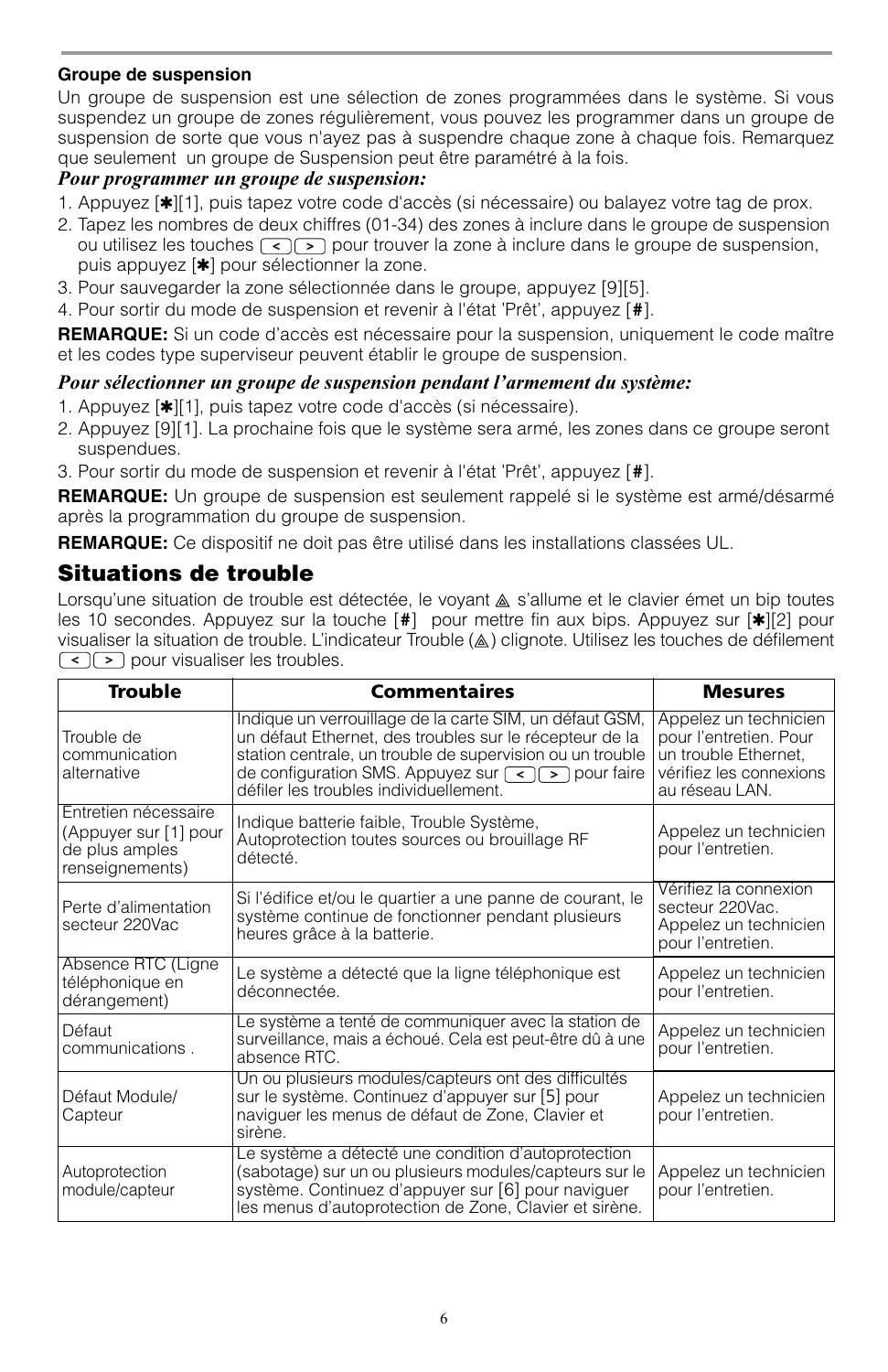#### **Groupe de suspension**

Un groupe de suspension est une sélection de zones programmées dans le système. Si vous suspendez un groupe de zones régulièrement, vous pouvez les programmer dans un groupe de suspension de sorte que vous n'ayez pas à suspendre chaque zone à chaque fois. Remarquez que seulement un groupe de Suspension peut être paramétré à la fois.

### *Pour programmer un groupe de suspension:*

- 1. Appuyez [ $\vert \cdot \vert$ ], puis tapez votre code d'accès (si nécessaire) ou balayez votre tag de prox.
- 2. Tapez les nombres de deux chiffres (01-34) des zones à inclure dans le groupe de suspension ou utilisez les touches  $\leq$   $\geq$  pour trouver la zone à inclure dans le groupe de suspension, puis appuyez [✱] pour sélectionner la zone.
- 3. Pour sauvegarder la zone sélectionnée dans le groupe, appuyez [9][5].
- 4. Pour sortir du mode de suspension et revenir à l'état 'Prêt', appuyez [**#**].

**REMARQUE:** Si un code d'accès est nécessaire pour la suspension, uniquement le code maître et les codes type superviseur peuvent établir le groupe de suspension.

#### *Pour sélectionner un groupe de suspension pendant l'armement du système:*

- 1. Appuyez [✱][1], puis tapez votre code d'accès (si nécessaire).
- 2. Appuyez [9][1]. La prochaine fois que le système sera armé, les zones dans ce groupe seront suspendues.
- 3. Pour sortir du mode de suspension et revenir à l'état 'Prêt', appuyez [**#**].

**REMARQUE:** Un groupe de suspension est seulement rappelé si le système est armé/désarmé après la programmation du groupe de suspension.

**REMARQUE:** Ce dispositif ne doit pas être utilisé dans les installations classées UL.

## **Situations de trouble**

Lorsqu'une situation de trouble est détectée, le voyant  $\triangle$  s'allume et le clavier émet un bip toutes les 10 secondes. Appuyez sur la touche [**#**] pour mettre fin aux bips. Appuyez sur [✱][2] pour visualiser la situation de trouble. L'indicateur Trouble (A) clignote. Utilisez les touches de défilement  $\lceil \cdot \rceil$  pour visualiser les troubles.

| <b>Trouble</b>                                                                                                                                                                                                                                                    | <b>Commentaires</b>                                                                                                                                                                                                                                                                                        |                                                                                                                      |  |  |
|-------------------------------------------------------------------------------------------------------------------------------------------------------------------------------------------------------------------------------------------------------------------|------------------------------------------------------------------------------------------------------------------------------------------------------------------------------------------------------------------------------------------------------------------------------------------------------------|----------------------------------------------------------------------------------------------------------------------|--|--|
| Trouble de<br>communication<br>alternative                                                                                                                                                                                                                        | Indique un verrouillage de la carte SIM, un défaut GSM,<br>un défaut Ethernet, des troubles sur le récepteur de la<br>station centrale, un trouble de supervision ou un trouble<br>de configuration SMS. Appuyez sur $\left\lceil \cdot \right\rceil$ pour faire<br>défiler les troubles individuellement. | Appelez un technicien<br>pour l'entretien. Pour<br>un trouble Ethernet,<br>vérifiez les connexions<br>au réseau LAN. |  |  |
| Entretien nécessaire<br>(Appuyer sur [1] pour<br>de plus amples<br>renseignements)                                                                                                                                                                                | Indique batterie faible, Trouble Système,<br>Autoprotection toutes sources ou brouillage RF<br>détecté.                                                                                                                                                                                                    | Appelez un technicien<br>pour l'entretien.<br>Vérifiez la connexion                                                  |  |  |
| Perte d'alimentation<br>secteur 220Vac                                                                                                                                                                                                                            | Si l'édifice et/ou le quartier a une panne de courant, le<br>secteur 220Vac.<br>système continue de fonctionner pendant plusieurs<br>Appelez un technicien<br>heures grâce à la batterie.<br>pour l'entretien.                                                                                             |                                                                                                                      |  |  |
| Absence RTC (Ligne<br>Le système a détecté que la ligne téléphonique est<br>téléphonique en<br>déconnectée.<br>dérangement)                                                                                                                                       |                                                                                                                                                                                                                                                                                                            | Appelez un technicien<br>pour l'entretien.                                                                           |  |  |
| Le système a tenté de communiquer avec la station de<br>Défaut<br>surveillance, mais a échoué. Cela est peut-être dû à une<br>communications.<br>absence RTC.                                                                                                     |                                                                                                                                                                                                                                                                                                            | Appelez un technicien<br>pour l'entretien.                                                                           |  |  |
| Un ou plusieurs modules/capteurs ont des difficultés<br>Défaut Module/<br>sur le système. Continuez d'appuyer sur [5] pour<br>naviguer les menus de défaut de Zone, Clavier et<br>Capteur<br>sirène.                                                              |                                                                                                                                                                                                                                                                                                            | Appelez un technicien<br>pour l'entretien.                                                                           |  |  |
| Le système a détecté une condition d'autoprotection<br>Autoprotection<br>(sabotage) sur un ou plusieurs modules/capteurs sur le<br>système. Continuez d'appuyer sur [6] pour naviguer<br>module/capteur<br>les menus d'autoprotection de Zone, Clavier et sirène. |                                                                                                                                                                                                                                                                                                            | Appelez un technicien<br>pour l'entretien.                                                                           |  |  |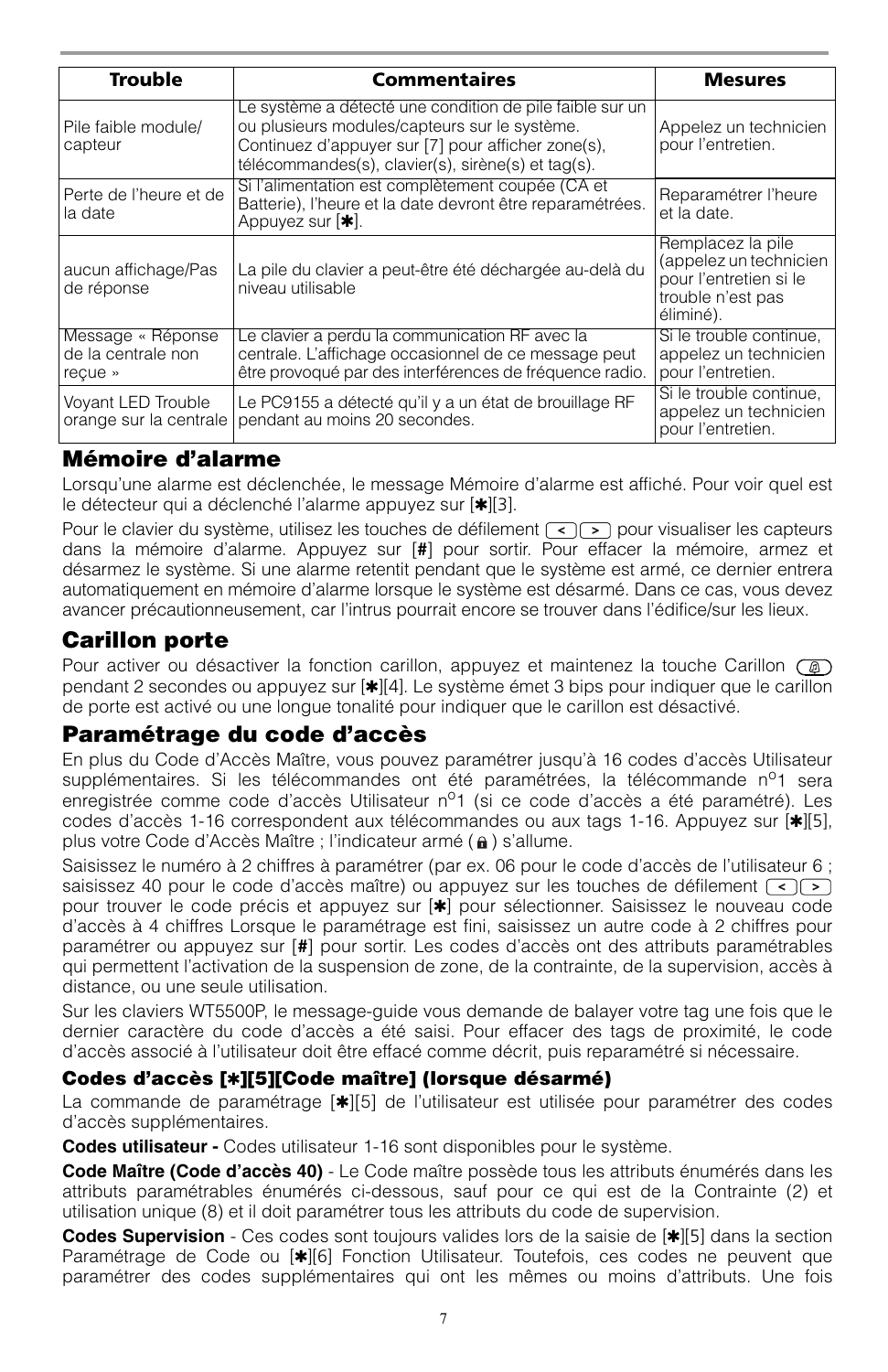| <b>Trouble</b>                                     | <b>Commentaires</b>                                                                                                                                                                                                   | <b>Mesures</b>                                                                                          |
|----------------------------------------------------|-----------------------------------------------------------------------------------------------------------------------------------------------------------------------------------------------------------------------|---------------------------------------------------------------------------------------------------------|
| Pile faible module/<br>capteur                     | Le système a détecté une condition de pile faible sur un<br>ou plusieurs modules/capteurs sur le système.<br>Continuez d'appuyer sur [7] pour afficher zone(s),<br>télécommandes(s), clavier(s), sirène(s) et tag(s). | Appelez un technicien<br>pour l'entretien.                                                              |
| l Perte de l'heure et de<br>la date                | Si l'alimentation est complètement coupée (CA et<br>Batterie), l'heure et la date devront être reparamétrées.<br>Appuyez sur $[*]$ .                                                                                  | Reparamétrer l'heure<br>et la date.                                                                     |
| aucun affichage/Pas<br>de réponse                  | La pile du clavier a peut-être été déchargée au-delà du<br>niveau utilisable                                                                                                                                          | Remplacez la pile<br>(appelez un technicien<br>pour l'entretien si le<br>trouble n'est pas<br>éliminé). |
| Message « Réponse<br>de la centrale non<br>recue » | Le clavier a perdu la communication RF avec la<br>centrale. L'affichage occasionnel de ce message peut<br>être provoqué par des interférences de fréquence radio.                                                     | Si le trouble continue,<br>appelez un technicien<br>pour l'entretien.                                   |
| Voyant LED Trouble<br>orange sur la centrale       | Le PC9155 a détecté qu'il y a un état de brouillage RF<br>pendant au moins 20 secondes.                                                                                                                               | Si le trouble continue,<br>appelez un technicien<br>pour l'entretien.                                   |

## **Mémoire d'alarme**

Lorsqu'une alarme est déclenchée, le message Mémoire d'alarme est affiché. Pour voir quel est le détecteur qui a déclenché l'alarme appuyez sur [\*][3].

Pour le clavier du système, utilisez les touches de défilement  $\lceil \cdot \rceil$  pour visualiser les capteurs dans la mémoire d'alarme. Appuyez sur [**#**] pour sortir. Pour effacer la mémoire, armez et désarmez le système. Si une alarme retentit pendant que le système est armé, ce dernier entrera automatiquement en mémoire d'alarme lorsque le système est désarmé. Dans ce cas, vous devez avancer précautionneusement, car l'intrus pourrait encore se trouver dans l'édifice/sur les lieux.

## **Carillon porte**

Pour activer ou désactiver la fonction carillon, appuyez et maintenez la touche Carillon  $\overline{(\mathcal{D})}$ pendant 2 secondes ou appuyez sur [✱][4]. Le système émet 3 bips pour indiquer que le carillon de porte est activé ou une longue tonalité pour indiquer que le carillon est désactivé.

## **Paramétrage du code d'accès**

En plus du Code d'Accès Maître, vous pouvez paramétrer jusqu'à 16 codes d'accès Utilisateur supplémentaires. Si les télécommandes ont été paramétrées, la télécommande  $n^{\circ}1$  sera enregistrée comme code d'accès Utilisateur n<sup>o</sup>1 (si ce code d'accès a été paramétré). Les codes d'accès 1-16 correspondent aux télécommandes ou aux tags 1-16. Appuyez sur [✱][5], plus votre Code d'Accès Maître ; l'indicateur armé (a) s'allume.

Saisissez le numéro à 2 chiffres à paramétrer (par ex. 06 pour le code d'accès de l'utilisateur 6 : saisissez 40 pour le code d'accès maître) ou appuyez sur les touches de défilement  $\lceil \cdot \rceil$ pour trouver le code précis et appuyez sur [✱] pour sélectionner. Saisissez le nouveau code d'accès à 4 chiffres Lorsque le paramétrage est fini, saisissez un autre code à 2 chiffres pour paramétrer ou appuyez sur [**#**] pour sortir. Les codes d'accès ont des attributs paramétrables qui permettent l'activation de la suspension de zone, de la contrainte, de la supervision, accès à distance, ou une seule utilisation.

Sur les claviers WT5500P, le message-guide vous demande de balayer votre tag une fois que le dernier caractère du code d'accès a été saisi. Pour effacer des tags de proximité, le code d'accès associé à l'utilisateur doit être effacé comme décrit, puis reparamétré si nécessaire.

### **Codes d'accès [**✱**][5][Code maître] (lorsque désarmé)**

La commande de paramétrage [\*][5] de l'utilisateur est utilisée pour paramétrer des codes d'accès supplémentaires.

**Codes utilisateur -** Codes utilisateur 1-16 sont disponibles pour le système.

**Code Maître (Code d'accès 40)** - Le Code maître possède tous les attributs énumérés dans les attributs paramétrables énumérés ci-dessous, sauf pour ce qui est de la Contrainte (2) et utilisation unique (8) et il doit paramétrer tous les attributs du code de supervision.

**Codes Supervision** - Ces codes sont toujours valides lors de la saisie de [✱][5] dans la section Paramétrage de Code ou [✱][6] Fonction Utilisateur. Toutefois, ces codes ne peuvent que paramétrer des codes supplémentaires qui ont les mêmes ou moins d'attributs. Une fois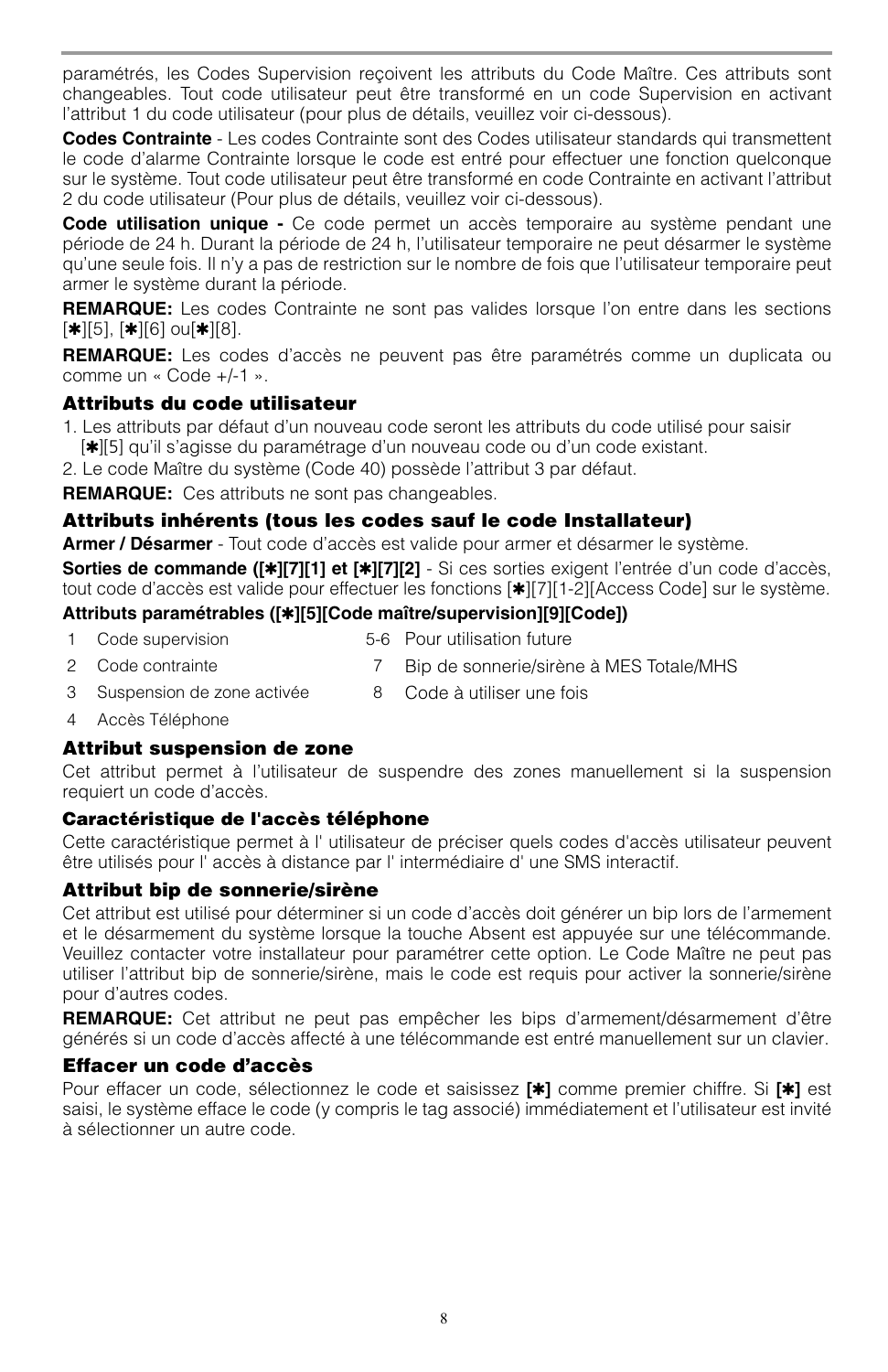paramétrés, les Codes Supervision reçoivent les attributs du Code Maître. Ces attributs sont changeables. Tout code utilisateur peut être transformé en un code Supervision en activant l'attribut 1 du code utilisateur (pour plus de détails, veuillez voir ci-dessous).

**Codes Contrainte** - Les codes Contrainte sont des Codes utilisateur standards qui transmettent le code d'alarme Contrainte lorsque le code est entré pour effectuer une fonction quelconque sur le système. Tout code utilisateur peut être transformé en code Contrainte en activant l'attribut 2 du code utilisateur (Pour plus de détails, veuillez voir ci-dessous).

**Code utilisation unique -** Ce code permet un accès temporaire au système pendant une période de 24 h. Durant la période de 24 h, l'utilisateur temporaire ne peut désarmer le système qu'une seule fois. Il n'y a pas de restriction sur le nombre de fois que l'utilisateur temporaire peut armer le système durant la période.

**REMARQUE:** Les codes Contrainte ne sont pas valides lorsque l'on entre dans les sections [✱][5], [✱][6] ou[✱][8].

**REMARQUE:** Les codes d'accès ne peuvent pas être paramétrés comme un duplicata ou comme un « Code +/-1 ».

#### **Attributs du code utilisateur**

- 1. Les attributs par défaut d'un nouveau code seront les attributs du code utilisé pour saisir [✱][5] qu'il s'agisse du paramétrage d'un nouveau code ou d'un code existant.
- 2. Le code Maître du système (Code 40) possède l'attribut 3 par défaut.

**REMARQUE:** Ces attributs ne sont pas changeables.

### **Attributs inhérents (tous les codes sauf le code Installateur)**

**Armer / Désarmer** - Tout code d'accès est valide pour armer et désarmer le système.

**Sorties de commande ([**✱**][7][1] et [**✱**][7][2]** - Si ces sorties exigent l'entrée d'un code d'accès, tout code d'accès est valide pour effectuer les fonctions [✱][7][1-2][Access Code] sur le système.

#### **Attributs paramétrables ([**✱**][5][Code maître/supervision][9][Code])**

- 1 Code supervision 5-6 Pour utilisation future
- 2 Code contrainte 7 Bip de sonnerie/sirène à MES Totale/MHS
- 3 Suspension de zone activée 8 Code à utiliser une fois
- 4 Accès Téléphone

#### **Attribut suspension de zone**

Cet attribut permet à l'utilisateur de suspendre des zones manuellement si la suspension requiert un code d'accès.

#### **Caractéristique de l'accès téléphone**

Cette caractéristique permet à l' utilisateur de préciser quels codes d'accès utilisateur peuvent être utilisés pour l' accès à distance par l' intermédiaire d' une SMS interactif.

### **Attribut bip de sonnerie/sirène**

Cet attribut est utilisé pour déterminer si un code d'accès doit générer un bip lors de l'armement et le désarmement du système lorsque la touche Absent est appuyée sur une télécommande. Veuillez contacter votre installateur pour paramétrer cette option. Le Code Maître ne peut pas utiliser l'attribut bip de sonnerie/sirène, mais le code est requis pour activer la sonnerie/sirène pour d'autres codes.

**REMARQUE:** Cet attribut ne peut pas empêcher les bips d'armement/désarmement d'être générés si un code d'accès affecté à une télécommande est entré manuellement sur un clavier.

#### **Effacer un code d'accès**

Pour effacer un code, sélectionnez le code et saisissez **[**✱**]** comme premier chiffre. Si **[**✱**]** est saisi, le système efface le code (y compris le tag associé) immédiatement et l'utilisateur est invité à sélectionner un autre code.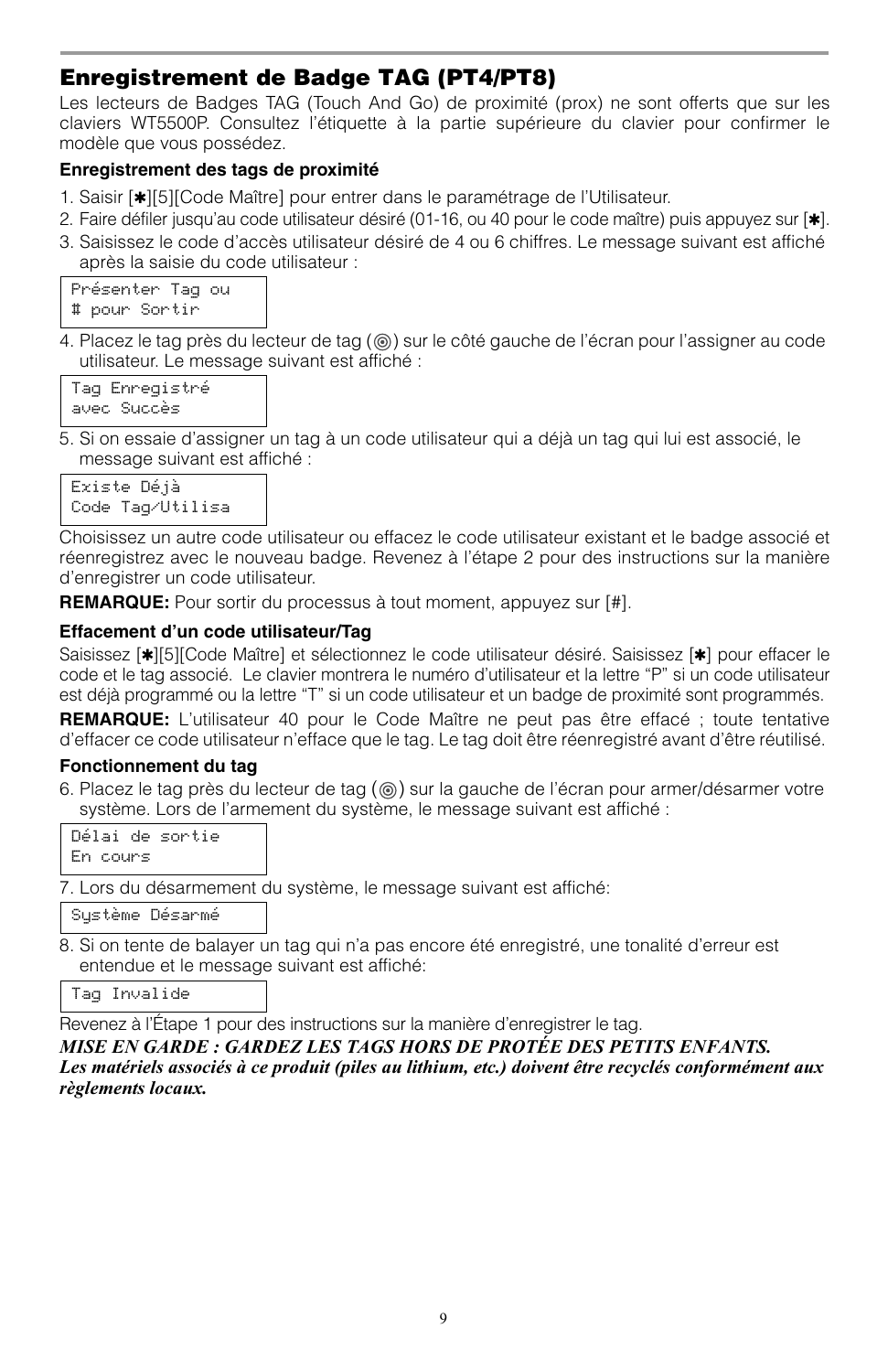## **Enregistrement de Badge TAG (PT4/PT8)**

Les lecteurs de Badges TAG (Touch And Go) de proximité (prox) ne sont offerts que sur les claviers WT5500P. Consultez l'étiquette à la partie supérieure du clavier pour confirmer le modèle que vous possédez.

### **Enregistrement des tags de proximité**

- 1. Saisir [\*][5][Code Maître] pour entrer dans le paramétrage de l'Utilisateur.
- 2. Faire défiler jusqu'au code utilisateur désiré (01-16, ou 40 pour le code maître) puis appuyez sur [✱].
- 3. Saisissez le code d'accès utilisateur désiré de 4 ou 6 chiffres. Le message suivant est affiché après la saisie du code utilisateur :

Présenter Tag ou # pour Sortir

4. Placez le tag près du lecteur de tag ((6)) sur le côté gauche de l'écran pour l'assigner au code utilisateur. Le message suivant est affiché :

Tag Enregistré avec Succès

5. Si on essaie d'assigner un tag à un code utilisateur qui a déjà un tag qui lui est associé, le message suivant est affiché :

Existe Déjà Code Tag/Utilisa

Choisissez un autre code utilisateur ou effacez le code utilisateur existant et le badge associé et réenregistrez avec le nouveau badge. Revenez à l'étape 2 pour des instructions sur la manière d'enregistrer un code utilisateur.

**REMARQUE:** Pour sortir du processus à tout moment, appuyez sur [#].

#### **Effacement d'un code utilisateur/Tag**

Saisissez [✱][5][Code Maître] et sélectionnez le code utilisateur désiré. Saisissez [✱] pour effacer le code et le tag associé. Le clavier montrera le numéro d'utilisateur et la lettre "P" si un code utilisateur est déjà programmé ou la lettre "T" si un code utilisateur et un badge de proximité sont programmés.

**REMARQUE:** L'utilisateur 40 pour le Code Maître ne peut pas être effacé ; toute tentative d'effacer ce code utilisateur n'efface que le tag. Le tag doit être réenregistré avant d'être réutilisé.

#### **Fonctionnement du tag**

6. Placez le tag près du lecteur de tag  $(\circledcirc)$  sur la gauche de l'écran pour armer/désarmer votre système. Lors de l'armement du système, le message suivant est affiché :

|          |  | Délai de sortie |
|----------|--|-----------------|
| En cours |  |                 |

7. Lors du désarmement du système, le message suivant est affiché:

Système Désarmé

8. Si on tente de balayer un tag qui n'a pas encore été enregistré, une tonalité d'erreur est entendue et le message suivant est affiché:

Tag Invalide

Revenez à l'Étape 1 pour des instructions sur la manière d'enregistrer le tag.

*MISE EN GARDE : GARDEZ LES TAGS HORS DE PROTÉE DES PETITS ENFANTS. Les matériels associés à ce produit (piles au lithium, etc.) doivent être recyclés conformément aux règlements locaux.*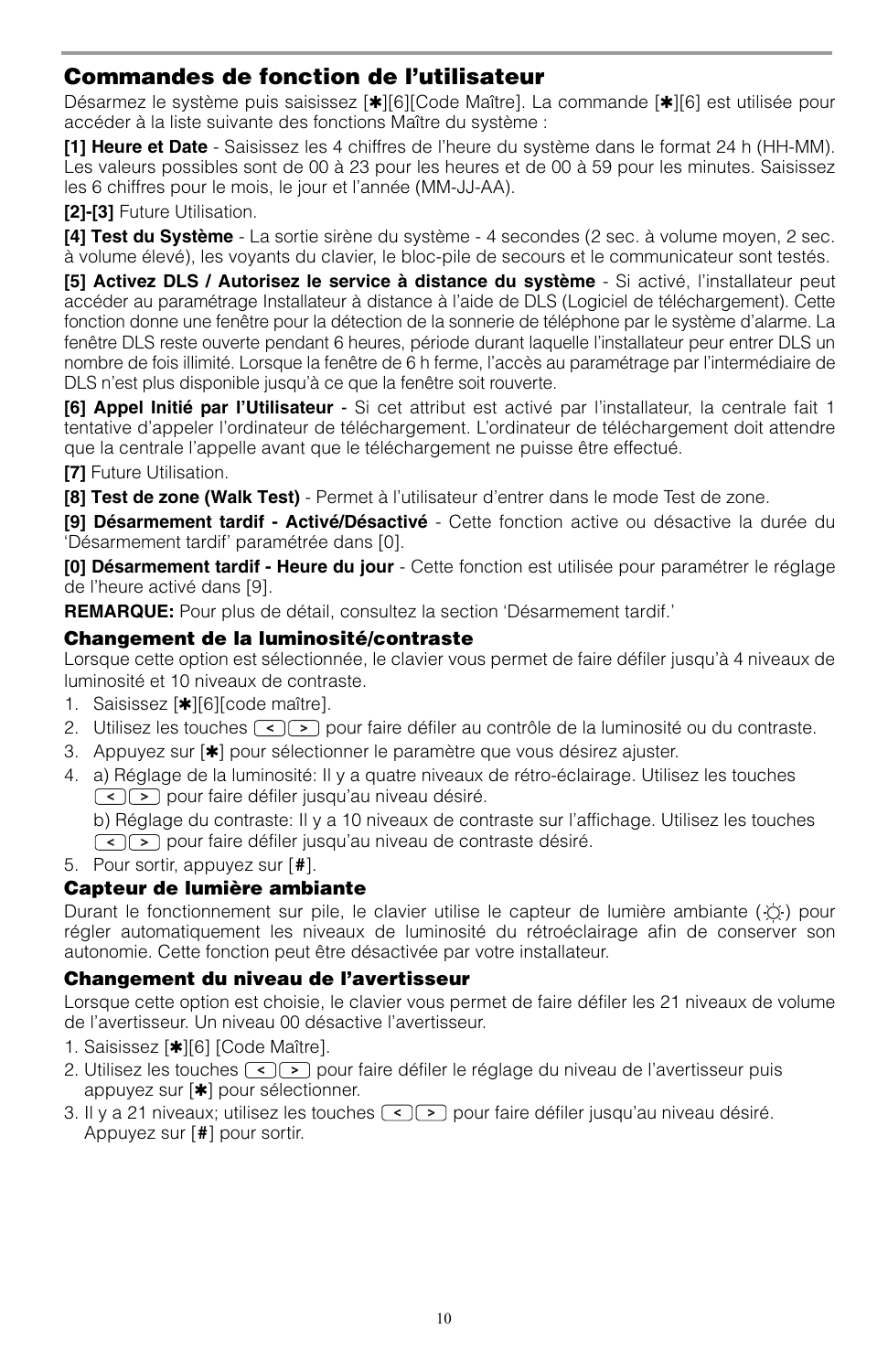## **Commandes de fonction de l'utilisateur**

Désarmez le système puis saisissez [∗][6][Code Maître]. La commande [∗][6] est utilisée pour accéder à la liste suivante des fonctions Maître du système :

**[1] Heure et Date** - Saisissez les 4 chiffres de l'heure du système dans le format 24 h (HH-MM). Les valeurs possibles sont de 00 à 23 pour les heures et de 00 à 59 pour les minutes. Saisissez les 6 chiffres pour le mois, le jour et l'année (MM-JJ-AA).

**[2]-[3]** Future Utilisation.

**[4] Test du Système** - La sortie sirène du système - 4 secondes (2 sec. à volume moyen, 2 sec. à volume élevé), les voyants du clavier, le bloc-pile de secours et le communicateur sont testés.

**[5] Activez DLS / Autorisez le service à distance du système** - Si activé, l'installateur peut accéder au paramétrage Installateur à distance à l'aide de DLS (Logiciel de téléchargement). Cette fonction donne une fenêtre pour la détection de la sonnerie de téléphone par le système d'alarme. La fenêtre DLS reste ouverte pendant 6 heures, période durant laquelle l'installateur peur entrer DLS un nombre de fois illimité. Lorsque la fenêtre de 6 h ferme, l'accès au paramétrage par l'intermédiaire de DLS n'est plus disponible jusqu'à ce que la fenêtre soit rouverte.

**[6] Appel Initié par l'Utilisateur** - Si cet attribut est activé par l'installateur, la centrale fait 1 tentative d'appeler l'ordinateur de téléchargement. L'ordinateur de téléchargement doit attendre que la centrale l'appelle avant que le téléchargement ne puisse être effectué.

**[7]** Future Utilisation.

**[8] Test de zone (Walk Test)** - Permet à l'utilisateur d'entrer dans le mode Test de zone.

**[9] Désarmement tardif - Activé/Désactivé** - Cette fonction active ou désactive la durée du 'Désarmement tardif' paramétrée dans [0].

**[0] Désarmement tardif - Heure du jour** - Cette fonction est utilisée pour paramétrer le réglage de l'heure activé dans [9].

**REMARQUE:** Pour plus de détail, consultez la section 'Désarmement tardif.'

### **Changement de la luminosité/contraste**

Lorsque cette option est sélectionnée, le clavier vous permet de faire défiler jusqu'à 4 niveaux de luminosité et 10 niveaux de contraste.

- 1. Saisissez [\*][6][code maître].
- 2. Utilisez les touches  $\leq$   $\geq$  pour faire défiler au contrôle de la luminosité ou du contraste.
- 3. Appuyez sur [✱] pour sélectionner le paramètre que vous désirez ajuster.
- 4. a) Réglage de la luminosité: Il y a quatre niveaux de rétro-éclairage. Utilisez les touches  $\lceil \cdot \rceil$  pour faire défiler jusqu'au niveau désiré.

b) Réglage du contraste: Il y a 10 niveaux de contraste sur l'affichage. Utilisez les touches  $\lceil \cdot \rceil$  pour faire défiler jusqu'au niveau de contraste désiré.

5. Pour sortir, appuyez sur [**#**].

### **Capteur de lumière ambiante**

Durant le fonctionnement sur pile, le clavier utilise le capteur de lumière ambiante ( $\circledcirc$ ) pour régler automatiquement les niveaux de luminosité du rétroéclairage afin de conserver son autonomie. Cette fonction peut être désactivée par votre installateur.

### **Changement du niveau de l'avertisseur**

Lorsque cette option est choisie, le clavier vous permet de faire défiler les 21 niveaux de volume de l'avertisseur. Un niveau 00 désactive l'avertisseur.

- 1. Saisissez [\*][6] [Code Maître].
- 2. Utilisez les touches  $\lceil \cdot \rceil$  pour faire défiler le réglage du niveau de l'avertisseur puis appuyez sur [✱] pour sélectionner.
- 3. Il y a 21 niveaux; utilisez les touches  $\leq$   $\geq$  pour faire défiler jusqu'au niveau désiré. Appuyez sur [**#**] pour sortir.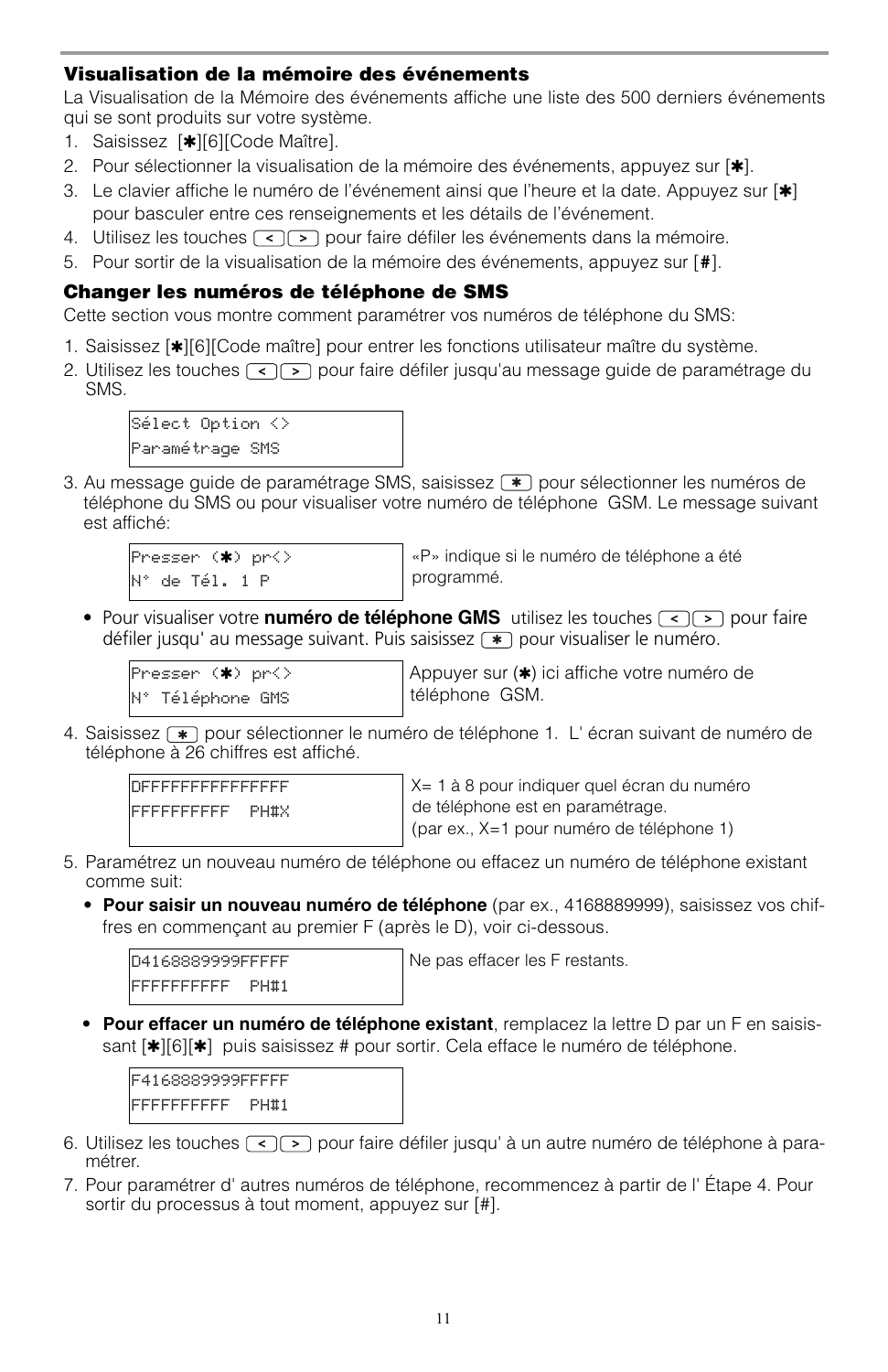### **Visualisation de la mémoire des événements**

La Visualisation de la Mémoire des événements affiche une liste des 500 derniers événements qui se sont produits sur votre système.

- 1. Saisissez [✱][6][Code Maître].
- 2. Pour sélectionner la visualisation de la mémoire des événements, appuyez sur [ $\ast$ ].
- 3. Le clavier affiche le numéro de l'événement ainsi que l'heure et la date. Appuyez sur [ $\ast$ ] pour basculer entre ces renseignements et les détails de l'événement.
- 4. Utilisez les touches  $\lceil \cdot \rceil$  pour faire défiler les événements dans la mémoire.
- 5. Pour sortir de la visualisation de la mémoire des événements, appuyez sur [**#**].

#### **Changer les numéros de téléphone de SMS**

Cette section vous montre comment paramétrer vos numéros de téléphone du SMS:

- 1. Saisissez [✱][6][Code maître] pour entrer les fonctions utilisateur maître du système.
- 2. Utilisez les touches  $\lceil \cdot \rceil$  pour faire défiler jusqu'au message guide de paramétrage du SMS.



3. Au message guide de paramétrage SMS, saisissez  $\left( \frac{w}{m} \right)$  pour sélectionner les numéros de téléphone du SMS ou pour visualiser votre numéro de téléphone GSM. Le message suivant est affiché:

```
Presser (✱) pr<>
N° de Tél. 1 P
```
«P» indique si le numéro de téléphone a été programmé.

• Pour visualiser votre **numéro de téléphone GMS** utilisez les touches  $\lceil \cdot \rceil \rceil$  pour faire défiler jusqu' au message suivant. Puis saisissez  $\rightarrow$  pour visualiser le numéro.

```
\mathsf{Presser}(\boldsymbol{*}) pr<\mathsf{\rangle}N° Téléphone GMS
```
Appuyer sur (✱) ici affiche votre numéro de téléphone GSM.

4. Saisissez  $\rightarrow$  pour sélectionner le numéro de téléphone 1. L'écran suivant de numéro de téléphone à 26 chiffres est affiché.



X= 1 à 8 pour indiquer quel écran du numéro de téléphone est en paramétrage.

(par ex., X=1 pour numéro de téléphone 1)

- 5. Paramétrez un nouveau numéro de téléphone ou effacez un numéro de téléphone existant comme suit:
	- **Pour saisir un nouveau numéro de téléphone** (par ex., 4168889999), saisissez vos chiffres en commençant au premier F (après le D), voir ci-dessous.

D4168889999FFFFF FFFFFFFFFF PH#1 Ne pas effacer les F restants.

• **Pour effacer un numéro de téléphone existant**, remplacez la lettre D par un F en saisissant [ $*$ ][6][ $*$ ] puis saisissez # pour sortir. Cela efface le numéro de téléphone.

F4168889999FFFFF FFFFFFFFFF PH#1

- 6. Utilisez les touches  $\lceil \cdot \rceil$  pour faire défiler jusqu' à un autre numéro de téléphone à paramétrer.
- 7. Pour paramétrer d' autres numéros de téléphone, recommencez à partir de l' Étape 4. Pour sortir du processus à tout moment, appuyez sur [#].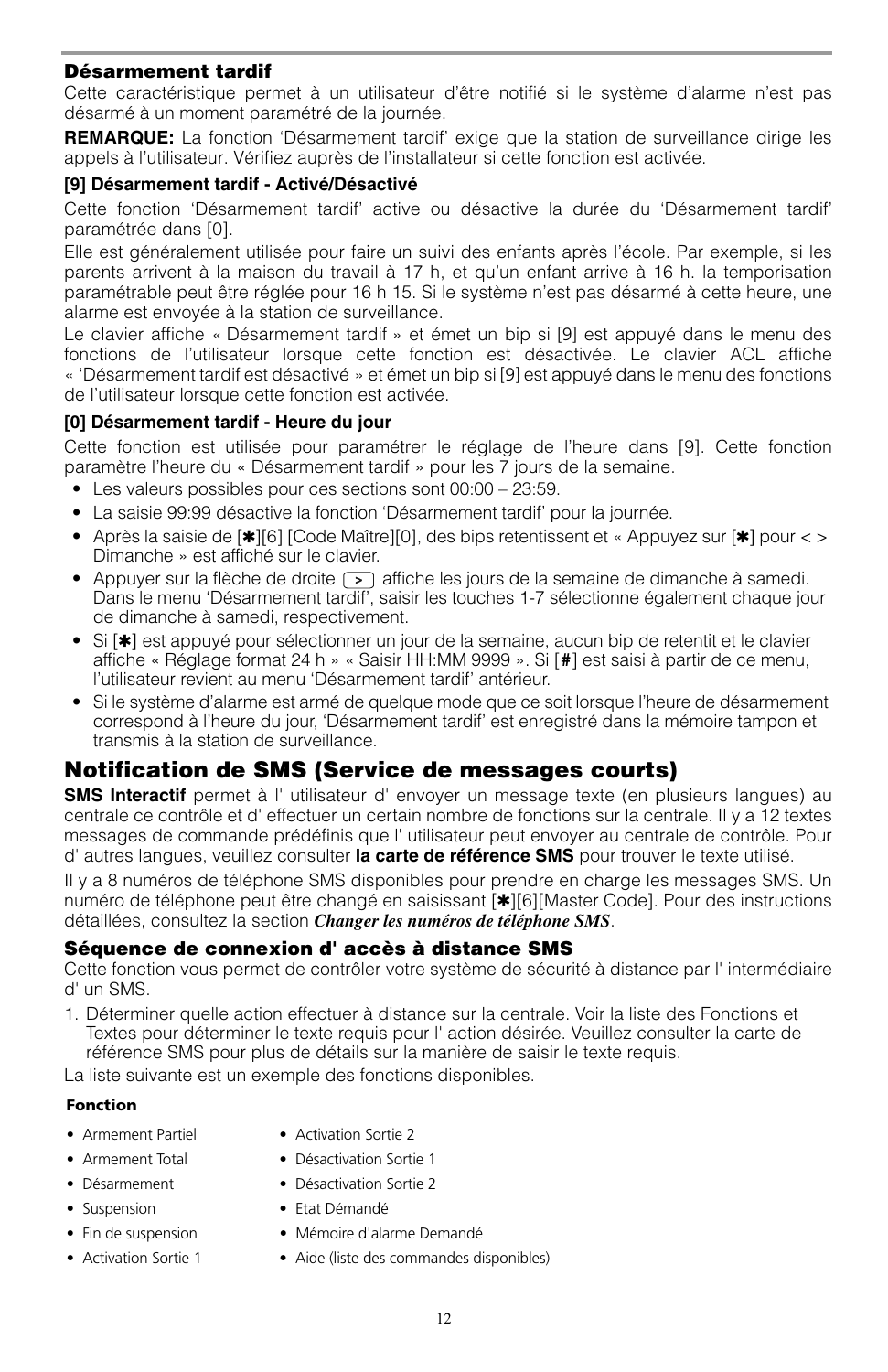#### **Désarmement tardif**

Cette caractéristique permet à un utilisateur d'être notifié si le système d'alarme n'est pas désarmé à un moment paramétré de la journée.

**REMARQUE:** La fonction 'Désarmement tardif' exige que la station de surveillance dirige les appels à l'utilisateur. Vérifiez auprès de l'installateur si cette fonction est activée.

#### **[9] Désarmement tardif - Activé/Désactivé**

Cette fonction 'Désarmement tardif' active ou désactive la durée du 'Désarmement tardif' paramétrée dans [0].

Elle est généralement utilisée pour faire un suivi des enfants après l'école. Par exemple, si les parents arrivent à la maison du travail à 17 h, et qu'un enfant arrive à 16 h. la temporisation paramétrable peut être réglée pour 16 h 15. Si le système n'est pas désarmé à cette heure, une alarme est envoyée à la station de surveillance.

Le clavier affiche « Désarmement tardif » et émet un bip si [9] est appuyé dans le menu des fonctions de l'utilisateur lorsque cette fonction est désactivée. Le clavier ACL affiche « 'Désarmement tardif est désactivé » et émet un bip si [9] est appuyé dans le menu des fonctions de l'utilisateur lorsque cette fonction est activée.

#### **[0] Désarmement tardif - Heure du jour**

Cette fonction est utilisée pour paramétrer le réglage de l'heure dans [9]. Cette fonction paramètre l'heure du « Désarmement tardif » pour les 7 jours de la semaine.

- Les valeurs possibles pour ces sections sont 00:00 23:59.
- La saisie 99:99 désactive la fonction 'Désarmement tardif' pour la journée.
- Après la saisie de [✱][6] [Code Maître][0], des bips retentissent et « Appuyez sur [✱] pour < > Dimanche » est affiché sur le clavier.
- Appuyer sur la flèche de droite  $\lceil \cdot \rceil$  affiche les jours de la semaine de dimanche à samedi. Dans le menu 'Désarmement tardif', saisir les touches 1-7 sélectionne également chaque jour de dimanche à samedi, respectivement.
- Si [✱] est appuyé pour sélectionner un jour de la semaine, aucun bip de retentit et le clavier affiche « Réglage format 24 h » « Saisir HH:MM 9999 ». Si [**#**] est saisi à partir de ce menu, l'utilisateur revient au menu 'Désarmement tardif' antérieur.
- Si le système d'alarme est armé de quelque mode que ce soit lorsque l'heure de désarmement correspond à l'heure du jour, 'Désarmement tardif' est enregistré dans la mémoire tampon et transmis à la station de surveillance.

## **Notification de SMS (Service de messages courts)**

**SMS Interactif** permet à l' utilisateur d' envoyer un message texte (en plusieurs langues) au centrale ce contrôle et d' effectuer un certain nombre de fonctions sur la centrale. Il y a 12 textes messages de commande prédéfinis que l' utilisateur peut envoyer au centrale de contrôle. Pour d' autres langues, veuillez consulter **la carte de référence SMS** pour trouver le texte utilisé.

Il y a 8 numéros de téléphone SMS disponibles pour prendre en charge les messages SMS. Un numéro de téléphone peut être changé en saisissant [ $\vert\vert\vert\vert$ [6][Master Code]. Pour des instructions détaillées, consultez la section *Changer les numéros de téléphone SMS*.

#### **Séquence de connexion d' accès à distance SMS**

Cette fonction vous permet de contrôler votre système de sécurité à distance par l' intermédiaire d' un SMS.

1. Déterminer quelle action effectuer à distance sur la centrale. Voir la liste des Fonctions et Textes pour déterminer le texte requis pour l' action désirée. Veuillez consulter la carte de référence SMS pour plus de détails sur la manière de saisir le texte requis.

La liste suivante est un exemple des fonctions disponibles.

#### **Fonction**

- 
- 
- 
- 
- 
- 
- Armement Partiel Activation Sortie 2
- Armement Total Désactivation Sortie 1
- Désarmement Désactivation Sortie 2
- Suspension Etat Démandé
- Fin de suspension Mémoire d'alarme Demandé
- Activation Sortie 1 Aide (liste des commandes disponibles)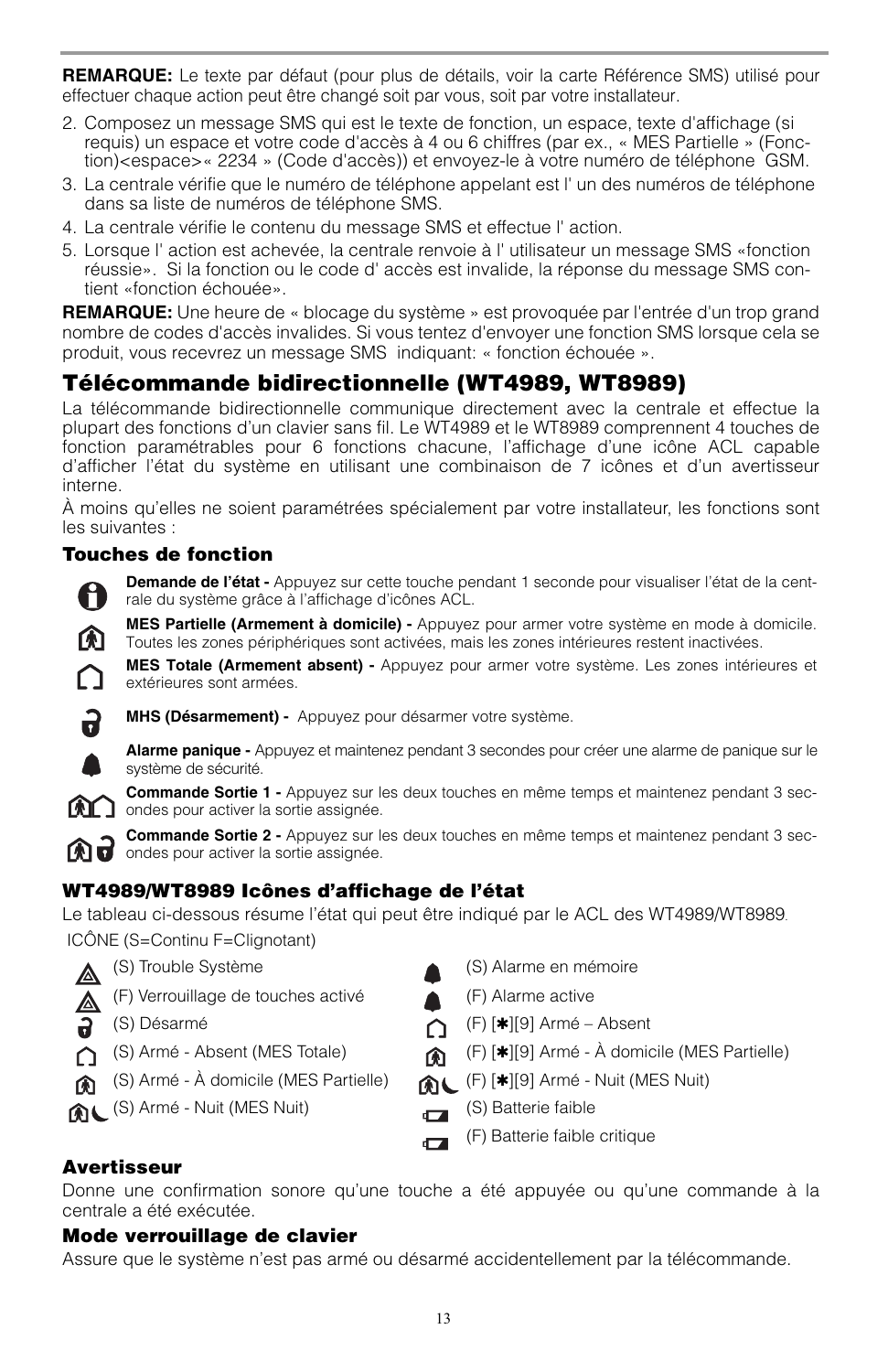**REMARQUE:** Le texte par défaut (pour plus de détails, voir la carte Référence SMS) utilisé pour effectuer chaque action peut être changé soit par vous, soit par votre installateur.

- 2. Composez un message SMS qui est le texte de fonction, un espace, texte d'affichage (si requis) un espace et votre code d'accès à 4 ou 6 chiffres (par ex., « MES Partielle » (Fonction)<espace>« 2234 » (Code d'accès)) et envoyez-le à votre numéro de téléphone GSM.
- 3. La centrale vérifie que le numéro de téléphone appelant est l' un des numéros de téléphone dans sa liste de numéros de téléphone SMS.
- 4. La centrale vérifie le contenu du message SMS et effectue l' action.
- 5. Lorsque l' action est achevée, la centrale renvoie à l' utilisateur un message SMS «fonction réussie». Si la fonction ou le code d' accès est invalide, la réponse du message SMS contient «fonction échouée».

**REMARQUE:** Une heure de « blocage du système » est provoquée par l'entrée d'un trop grand nombre de codes d'accès invalides. Si vous tentez d'envoyer une fonction SMS lorsque cela se produit, vous recevrez un message SMS indiquant: « fonction échouée ».

## **Télécommande bidirectionnelle (WT4989, WT8989)**

La télécommande bidirectionnelle communique directement avec la centrale et effectue la plupart des fonctions d'un clavier sans fil. Le WT4989 et le WT8989 comprennent 4 touches de fonction paramétrables pour 6 fonctions chacune, l'affichage d'une icône ACL capable d'afficher l'état du système en utilisant une combinaison de 7 icônes et d'un avertisseur interne.

À moins qu'elles ne soient paramétrées spécialement par votre installateur, les fonctions sont les suivantes :

### **Touches de fonction**

**Demande de l'état -** Appuyez sur cette touche pendant 1 seconde pour visualiser l'état de la centrale du système grâce à l'affichage d'icônes ACL.

**MES Partielle (Armement à domicile) -** Appuyez pour armer votre système en mode à domicile. Toutes les zones périphériques sont activées, mais les zones intérieures restent inactivées.

**MES Totale (Armement absent) -** Appuyez pour armer votre système. Les zones intérieures et extérieures sont armées.



M

**MHS (Désarmement) -** Appuyez pour désarmer votre système.

**Alarme panique -** Appuyez et maintenez pendant 3 secondes pour créer une alarme de panique sur le système de sécurité.

**Commande Sortie 1 -** Appuyez sur les deux touches en même temps et maintenez pendant 3 sec- $\Omega$  ondes pour activer la sortie assignée.

**Commande Sortie 2 -** Appuyez sur les deux touches en même temps et maintenez pendant 3 secondes pour activer la sortie assignée.

### **WT4989/WT8989 Icônes d'affichage de l'état**

Le tableau ci-dessous résume l'état qui peut être indiqué par le ACL des WT4989/WT8989.

ICÔNE (S=Continu F=Clignotant)

- △ (S) Trouble Système (S) Alarme en mémoire
- (F) Verrouillage de touches activé (F) Alarme active
- 2
- ∩
- ⋒
- (S) Armé Nuit (MES Nuit) (S) Batterie faible
- 
- 
- (S) Désarmé (F) [✱][9] Armé Absent
- (S) Armé Absent (MES Totale) (F) [✱][9] Armé À domicile (MES Partielle)
- (S) Armé À domicile (MES Partielle) (F) [✱][9] Armé Nuit (MES Nuit)
	-
	- (F) Batterie faible critique $\sqrt{2}$

### **Avertisseur**

Donne une confirmation sonore qu'une touche a été appuyée ou qu'une commande à la centrale a été exécutée.

#### **Mode verrouillage de clavier**

Assure que le système n'est pas armé ou désarmé accidentellement par la télécommande.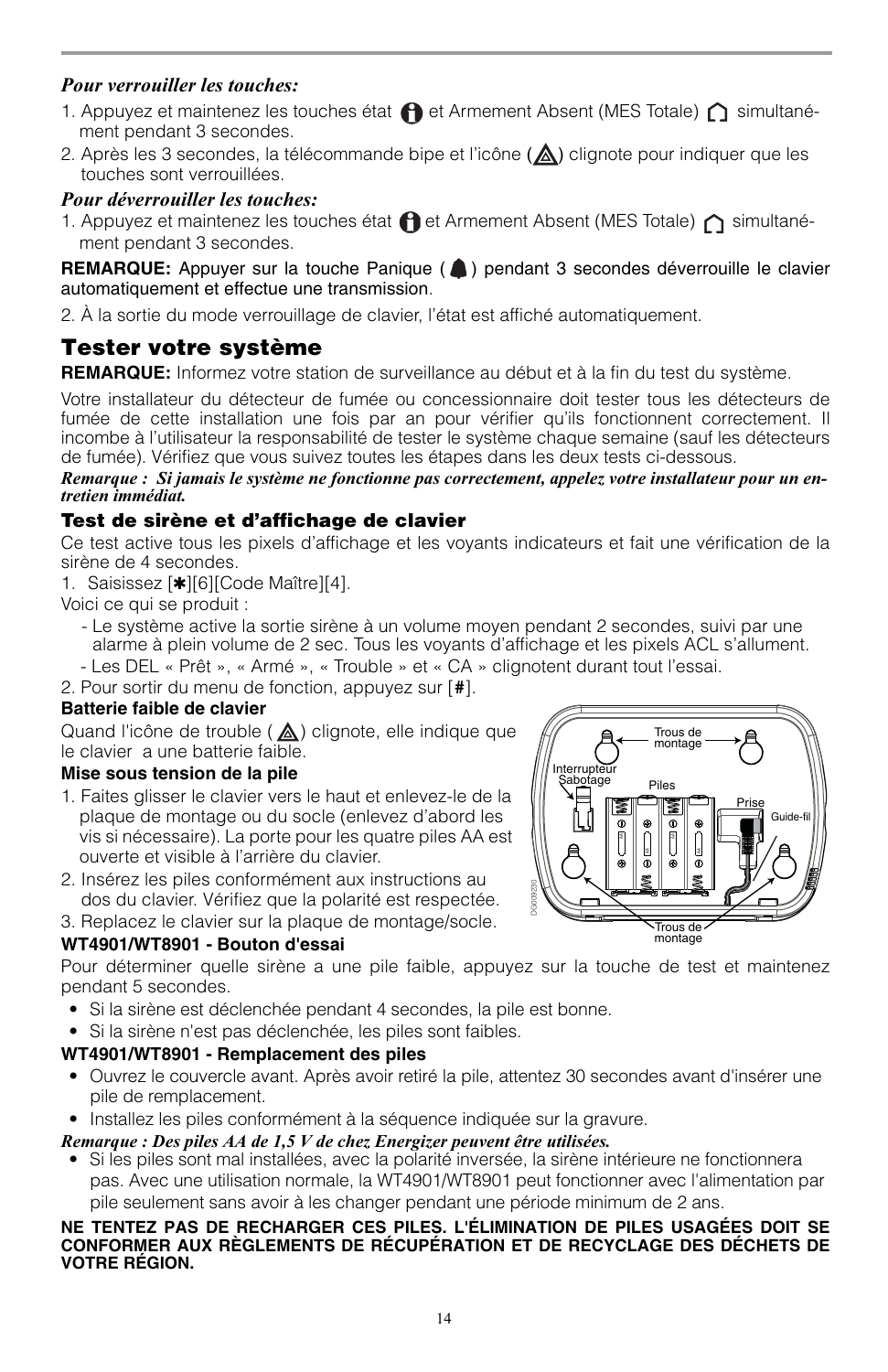### *Pour verrouiller les touches:*

- 1. Appuyez et maintenez les touches état  $\bigcap$  et Armement Absent (MES Totale)  $\bigcap$  simultanément pendant 3 secondes.
- 2. Après les 3 secondes, la télécommande bipe et l'icône  $(\triangle)$  clignote pour indiquer que les touches sont verrouillées.

#### *Pour déverrouiller les touches:*

1. Appuyez et maintenez les touches état  $\bigcap$  et Armement Absent (MES Totale)  $\bigcap$  simultanément pendant 3 secondes.

**REMARQUE:** Appuyer sur la touche Panique ( ) pendant 3 secondes déverrouille le clavier automatiquement et effectue une transmission.

2. À la sortie du mode verrouillage de clavier, l'état est affiché automatiquement.

## **Tester votre système**

**REMARQUE:** Informez votre station de surveillance au début et à la fin du test du système.

Votre installateur du détecteur de fumée ou concessionnaire doit tester tous les détecteurs de fumée de cette installation une fois par an pour vérifier qu'ils fonctionnent correctement. Il incombe à l'utilisateur la responsabilité de tester le système chaque semaine (sauf les détecteurs de fumée). Vérifiez que vous suivez toutes les étapes dans les deux tests ci-dessous.

#### *Remarque : Si jamais le système ne fonctionne pas correctement, appelez votre installateur pour un entretien immédiat.*

### **Test de sirène et d'affichage de clavier**

Ce test active tous les pixels d'affichage et les voyants indicateurs et fait une vérification de la sirène de 4 secondes.

1. Saisissez [✱][6][Code Maître][4].

Voici ce qui se produit :

- Le système active la sortie sirène à un volume moyen pendant 2 secondes, suivi par une alarme à plein volume de 2 sec. Tous les voyants d'affichage et les pixels ACL s'allument.
- Les DEL « Prêt », « Armé », « Trouble » et « CA » clignotent durant tout l'essai.

2. Pour sortir du menu de fonction, appuyez sur [**#**].

### **Batterie faible de clavier**

Quand l'icône de trouble  $(\triangle)$  clignote, elle indique que le clavier a une batterie faible.

#### **Mise sous tension de la pile**

- 1. Faites glisser le clavier vers le haut et enlevez-le de la plaque de montage ou du socle (enlevez d'abord les vis si nécessaire). La porte pour les quatre piles AA est ouverte et visible à l'arrière du clavier.
- 2. Insérez les piles conformément aux instructions au dos du clavier. Vérifiez que la polarité est respectée.

3. Replacez le clavier sur la plaque de montage/socle.

### **WT4901/WT8901 - Bouton d'essai**

Pour déterminer quelle sirène a une pile faible, appuyez sur la touche de test et maintenez pendant 5 secondes.

- Si la sirène est déclenchée pendant 4 secondes, la pile est bonne.
- Si la sirène n'est pas déclenchée, les piles sont faibles.

### **WT4901/WT8901 - Remplacement des piles**

- Ouvrez le couvercle avant. Après avoir retiré la pile, attentez 30 secondes avant d'insérer une pile de remplacement.
- Installez les piles conformément à la séquence indiquée sur la gravure.

#### *Remarque : Des piles AA de 1,5 V de chez Energizer peuvent être utilisées.*

• Si les piles sont mal installées, avec la polarité inversée, la sirène intérieure ne fonctionnera pas. Avec une utilisation normale, la WT4901/WT8901 peut fonctionner avec l'alimentation par pile seulement sans avoir à les changer pendant une période minimum de 2 ans.

#### **NE TENTEZ PAS DE RECHARGER CES PILES. L'ÉLIMINATION DE PILES USAGÉES DOIT SE CONFORMER AUX RÈGLEMENTS DE RÉCUPÉRATION ET DE RECYCLAGE DES DÉCHETS DE VOTRE RÉGION.**

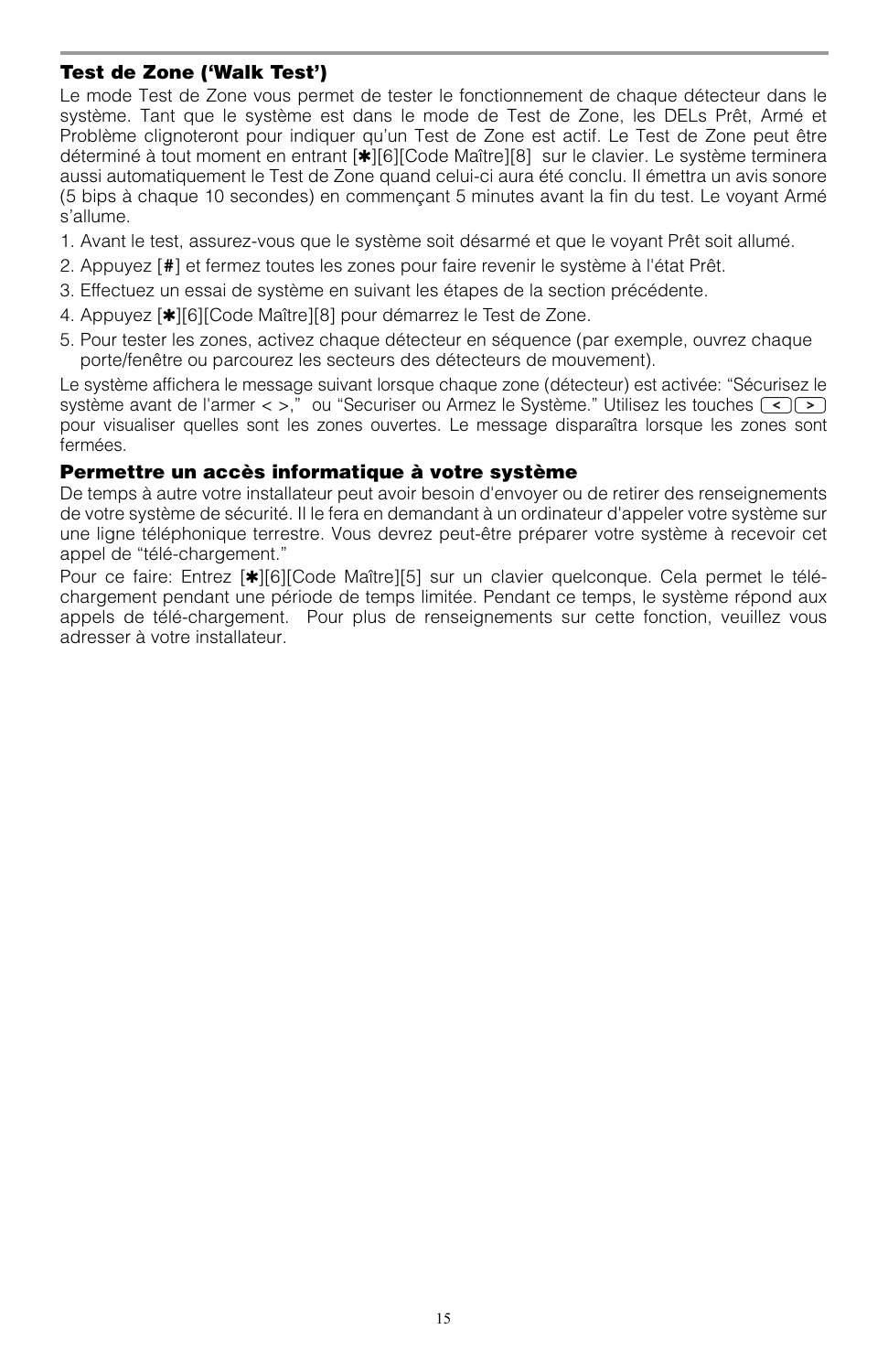### **Test de Zone ('Walk Test')**

Le mode Test de Zone vous permet de tester le fonctionnement de chaque détecteur dans le système. Tant que le système est dans le mode de Test de Zone, les DELs Prêt, Armé et Problème clignoteront pour indiquer qu'un Test de Zone est actif. Le Test de Zone peut être déterminé à tout moment en entrant [✱][6][Code Maître][8] sur le clavier. Le système terminera aussi automatiquement le Test de Zone quand celui-ci aura été conclu. Il émettra un avis sonore (5 bips à chaque 10 secondes) en commençant 5 minutes avant la fin du test. Le voyant Armé s'allume.

- 1. Avant le test, assurez-vous que le système soit désarmé et que le voyant Prêt soit allumé.
- 2. Appuyez [**#**] et fermez toutes les zones pour faire revenir le système à l'état Prêt.
- 3. Effectuez un essai de système en suivant les étapes de la section précédente.
- 4. Appuyez [✱][6][Code Maître][8] pour démarrez le Test de Zone.
- 5. Pour tester les zones, activez chaque détecteur en séquence (par exemple, ouvrez chaque porte/fenêtre ou parcourez les secteurs des détecteurs de mouvement).

Le système affichera le message suivant lorsque chaque zone (détecteur) est activée: "Sécurisez le système avant de l'armer  $\langle \rangle$ ," ou "Securiser ou Armez le Système." Utilisez les touches  $\langle \cdot \rangle$ pour visualiser quelles sont les zones ouvertes. Le message disparaîtra lorsque les zones sont fermées.

#### **Permettre un accès informatique à votre système**

De temps à autre votre installateur peut avoir besoin d'envoyer ou de retirer des renseignements de votre système de sécurité. Il le fera en demandant à un ordinateur d'appeler votre système sur une ligne téléphonique terrestre. Vous devrez peut-être préparer votre système à recevoir cet appel de "télé-chargement."

Pour ce faire: Entrez [\*][6][Code Maître][5] sur un clavier quelconque. Cela permet le téléchargement pendant une période de temps limitée. Pendant ce temps, le système répond aux appels de télé-chargement. Pour plus de renseignements sur cette fonction, veuillez vous adresser à votre installateur.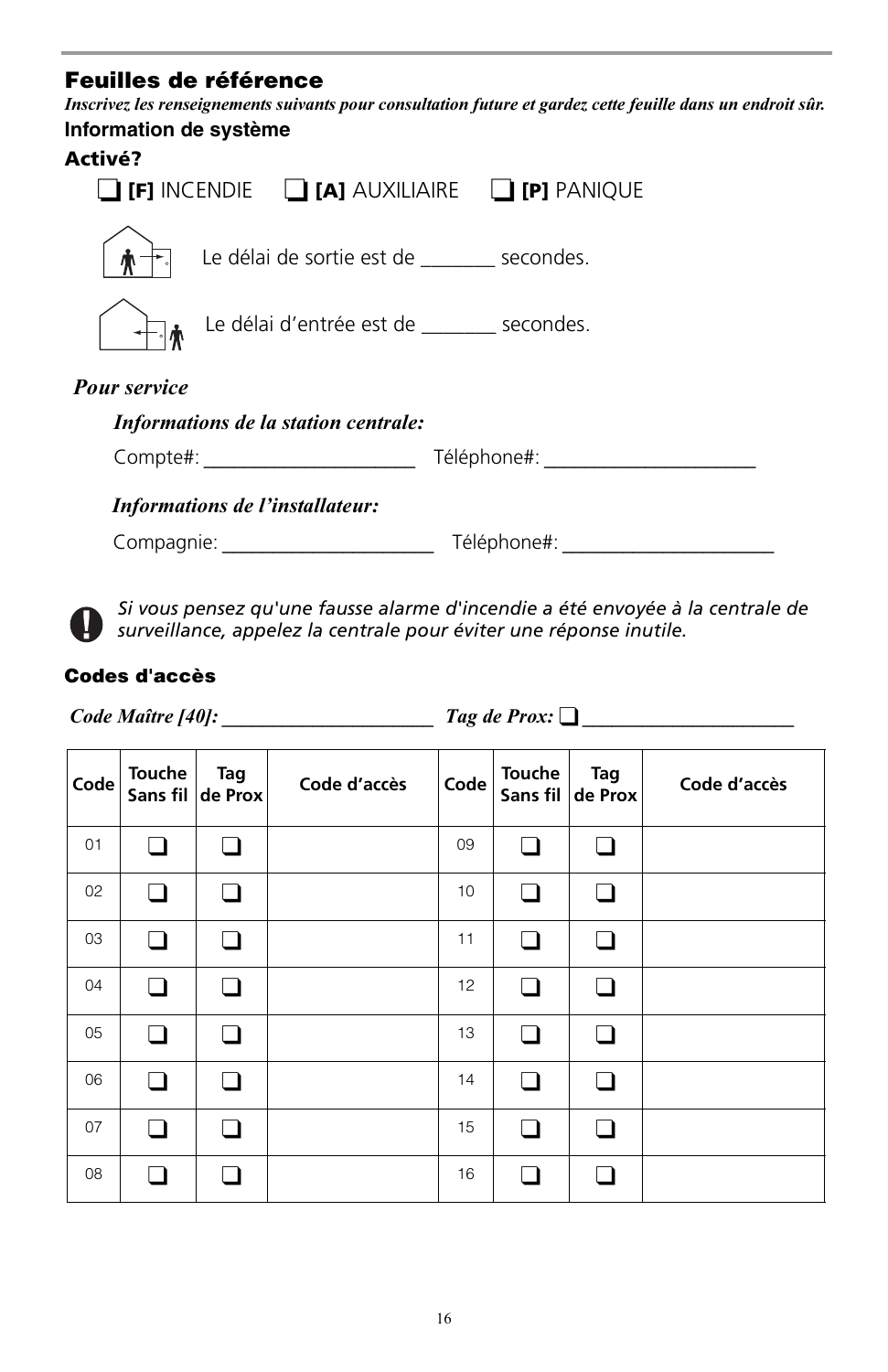## **Feuilles de référence**

*Inscrivez les renseignements suivants pour consultation future et gardez cette feuille dans un endroit sûr.* **Information de système**

## **Activé?**

|                     |                                                       | $\Gamma$ [F] incendie $\Gamma$ [A] auxiliaire $\Gamma$ [P] panique |  |
|---------------------|-------------------------------------------------------|--------------------------------------------------------------------|--|
|                     | Le délai de sortie est de _______ secondes.           |                                                                    |  |
|                     | <sub></sub> Le délai d'entrée est de ______ secondes. |                                                                    |  |
| <b>Pour service</b> |                                                       |                                                                    |  |
|                     | Informations de la station centrale:                  |                                                                    |  |
|                     | Compte#:                                              | Téléphone#:                                                        |  |
|                     | Informations de l'installateur:                       |                                                                    |  |
| Compagnie:          |                                                       | Téléphone#:                                                        |  |

*Si vous pensez qu'une fausse alarme d'incendie a été envoyée à la centrale de surveillance, appelez la centrale pour éviter une réponse inutile.*

### **Codes d'accès**

V

 *Code Maître [40]: \_\_\_\_\_\_\_\_\_\_\_\_\_\_\_\_\_\_\_\_\_ Tag de Prox:* ❑ *\_\_\_\_\_\_\_\_\_\_\_\_\_\_\_\_\_\_\_\_\_*

| Code | Touche | Tag<br>Sans fil de Prox | Code d'accès | Code | <b>Touche</b><br>Sans fil | Tag<br>de Prox | Code d'accès |
|------|--------|-------------------------|--------------|------|---------------------------|----------------|--------------|
| 01   |        |                         |              | 09   | n                         | H              |              |
| 02   | l 1    |                         |              | 10   | H                         |                |              |
| 03   |        | □                       |              | 11   | . .                       |                |              |
| 04   |        | n                       |              | 12   | ∣ 1                       | $\blacksquare$ |              |
| 05   | l 1    | ∣ 1                     |              | 13   | ∩                         | $\blacksquare$ |              |
| 06   |        |                         |              | 14   | n                         | H              |              |
| 07   |        |                         |              | 15   | ı                         |                |              |
| 08   |        |                         |              | 16   |                           |                |              |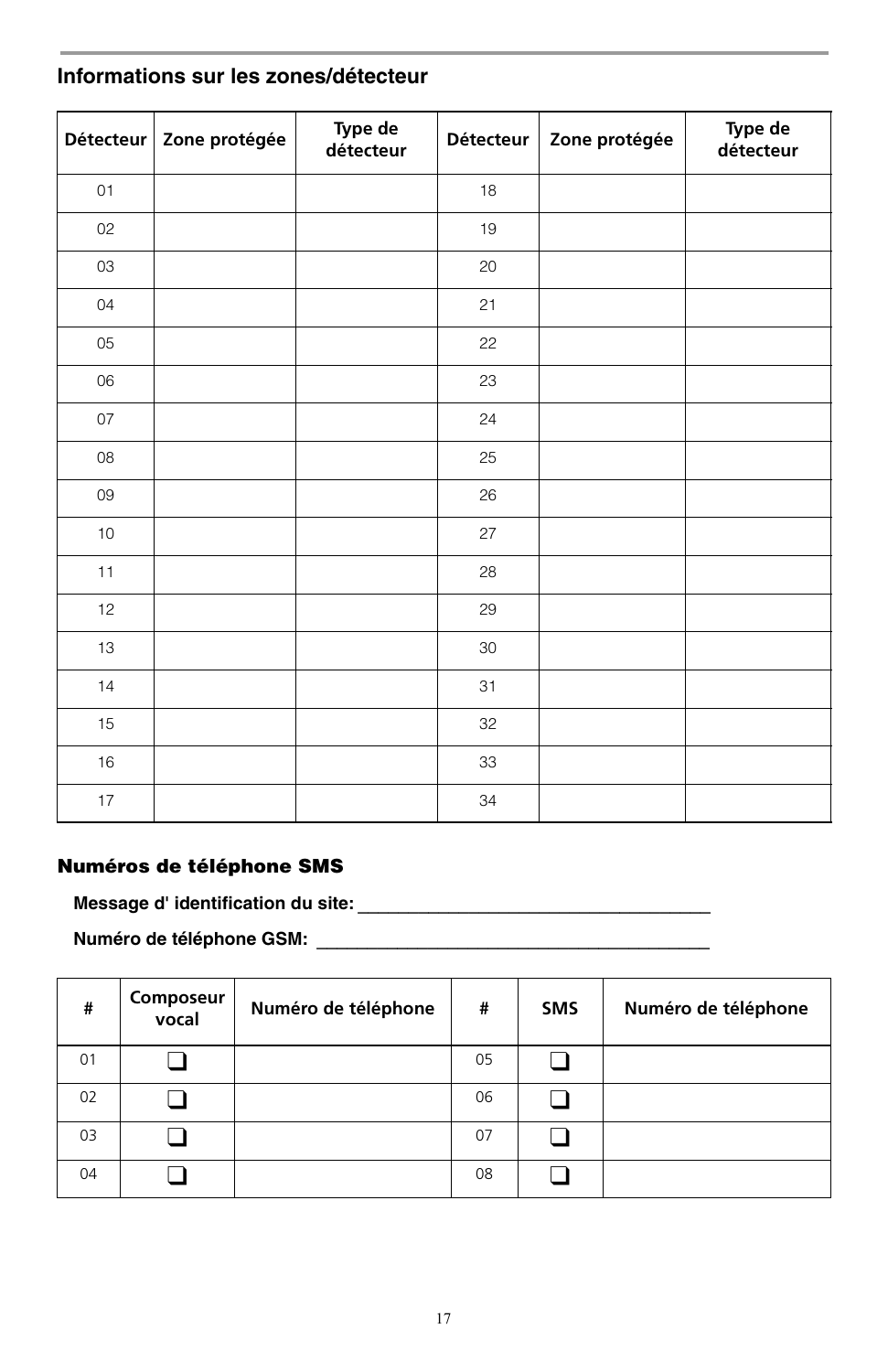|    | Détecteur   Zone protégée | Type de<br>détecteur | <b>Détecteur</b> | Zone protégée | Type de<br>détecteur |
|----|---------------------------|----------------------|------------------|---------------|----------------------|
| 01 |                           |                      | 18               |               |                      |
| 02 |                           |                      | 19               |               |                      |
| 03 |                           |                      | 20               |               |                      |
| 04 |                           |                      | 21               |               |                      |
| 05 |                           |                      | 22               |               |                      |
| 06 |                           |                      | 23               |               |                      |
| 07 |                           |                      | 24               |               |                      |
| 08 |                           |                      | 25               |               |                      |
| 09 |                           |                      | 26               |               |                      |
| 10 |                           |                      | 27               |               |                      |
| 11 |                           |                      | 28               |               |                      |
| 12 |                           |                      | 29               |               |                      |
| 13 |                           |                      | 30               |               |                      |
| 14 |                           |                      | 31               |               |                      |
| 15 |                           |                      | 32               |               |                      |
| 16 |                           |                      | 33               |               |                      |
| 17 |                           |                      | 34               |               |                      |

### **Informations sur les zones/détecteur**

### **Numéros de téléphone SMS**

**Message d' identification du site:** *\_\_\_\_\_\_\_\_\_\_\_\_\_\_\_\_\_\_\_\_\_\_\_\_\_\_\_\_\_\_\_\_\_\_\_*

**Numéro de téléphone GSM:** *\_\_\_\_\_\_\_\_\_\_\_\_\_\_\_\_\_\_\_\_\_\_\_\_\_\_\_\_\_\_\_\_\_\_\_\_\_\_\_*

| #  | Composeur<br>vocal | Numéro de téléphone | #  | <b>SMS</b> | Numéro de téléphone |
|----|--------------------|---------------------|----|------------|---------------------|
| 01 |                    |                     | 05 |            |                     |
| 02 |                    |                     | 06 |            |                     |
| 03 |                    |                     | 07 |            |                     |
| 04 |                    |                     | 08 |            |                     |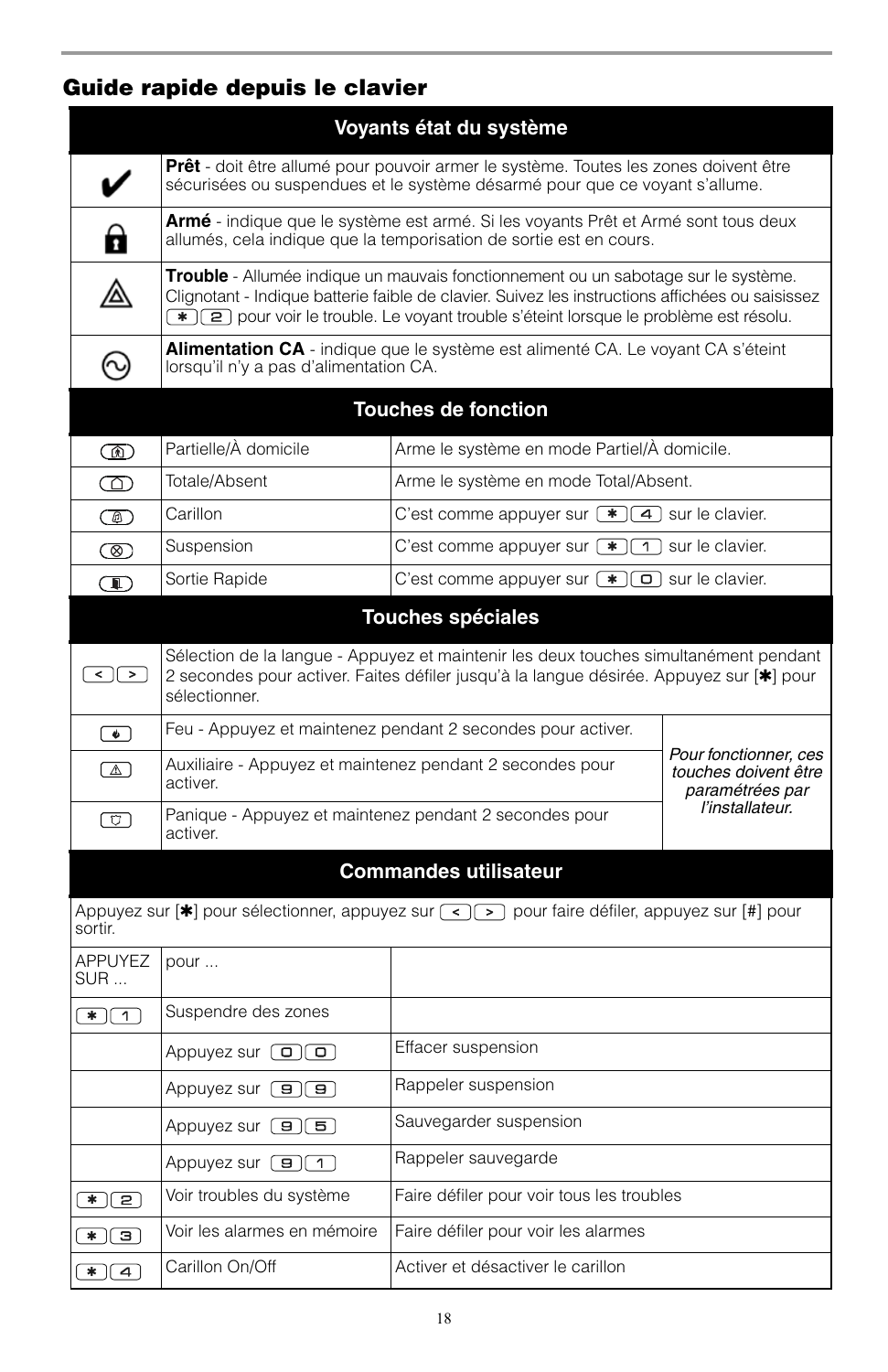## **Guide rapide depuis le clavier**

| Voyants état du système                                                                                          |                                                                                                                                                                                                                                                                                                       |                                                      |                                                                  |  |
|------------------------------------------------------------------------------------------------------------------|-------------------------------------------------------------------------------------------------------------------------------------------------------------------------------------------------------------------------------------------------------------------------------------------------------|------------------------------------------------------|------------------------------------------------------------------|--|
|                                                                                                                  | <b>Prêt</b> - doit être allumé pour pouvoir armer le système. Toutes les zones doivent être<br>sécurisées ou suspendues et le système désarmé pour que ce voyant s'allume.                                                                                                                            |                                                      |                                                                  |  |
|                                                                                                                  | Armé - indique que le système est armé. Si les voyants Prêt et Armé sont tous deux<br>allumés, cela indique que la temporisation de sortie est en cours.                                                                                                                                              |                                                      |                                                                  |  |
| ◬                                                                                                                | <b>Trouble</b> - Allumée indique un mauvais fonctionnement ou un sabotage sur le système.<br>Clignotant - Indique batterie faible de clavier. Suivez les instructions affichées ou saisissez<br><b>*</b> $\boxed{2}$ pour voir le trouble. Le voyant trouble s'éteint lorsque le problème est résolu. |                                                      |                                                                  |  |
|                                                                                                                  | <b>Alimentation CA</b> - indique que le système est alimenté CA. Le voyant CA s'éteint<br>lorsqu'il n'y a pas d'alimentation CA.                                                                                                                                                                      |                                                      |                                                                  |  |
| <b>Touches de fonction</b>                                                                                       |                                                                                                                                                                                                                                                                                                       |                                                      |                                                                  |  |
| ⋒                                                                                                                | Partielle/À domicile                                                                                                                                                                                                                                                                                  | Arme le système en mode Partiel/À domicile.          |                                                                  |  |
| ത                                                                                                                | Totale/Absent                                                                                                                                                                                                                                                                                         | Arme le système en mode Total/Absent.                |                                                                  |  |
| <b>(@)</b>                                                                                                       | Carillon                                                                                                                                                                                                                                                                                              | C'est comme appuyer sur $(*)$ 4 sur le clavier.      |                                                                  |  |
| ത                                                                                                                | Suspension                                                                                                                                                                                                                                                                                            | C'est comme appuyer sur $(*)$ 1 sur le clavier.      |                                                                  |  |
|                                                                                                                  | Sortie Rapide                                                                                                                                                                                                                                                                                         | C'est comme appuyer sur $(*)$ $\Box$ sur le clavier. |                                                                  |  |
|                                                                                                                  | <b>Touches spéciales</b>                                                                                                                                                                                                                                                                              |                                                      |                                                                  |  |
| <    >                                                                                                           | Sélection de la langue - Appuyez et maintenir les deux touches simultanément pendant<br>2 secondes pour activer. Faites défiler jusqu'à la langue désirée. Appuyez sur [*] pour<br>sélectionner.                                                                                                      |                                                      |                                                                  |  |
| $\lceil \bullet \rceil$                                                                                          | Feu - Appuyez et maintenez pendant 2 secondes pour activer.                                                                                                                                                                                                                                           |                                                      |                                                                  |  |
| $\sqrt{2}$                                                                                                       | Auxiliaire - Appuyez et maintenez pendant 2 secondes pour<br>activer.                                                                                                                                                                                                                                 |                                                      | Pour fonctionner, ces<br>touches doivent être<br>paramétrées par |  |
| $\left[\begin{matrix} \nabla \end{matrix}\right]$                                                                | l'installateur.<br>Panique - Appuyez et maintenez pendant 2 secondes pour<br>activer.                                                                                                                                                                                                                 |                                                      |                                                                  |  |
|                                                                                                                  | <b>Commandes utilisateur</b>                                                                                                                                                                                                                                                                          |                                                      |                                                                  |  |
| Appuyez sur [*] pour sélectionner, appuyez sur $\leq$ $\leq$ pour faire défiler, appuyez sur [#] pour<br>sortir. |                                                                                                                                                                                                                                                                                                       |                                                      |                                                                  |  |
| <b>APPUYEZ</b><br>SUR                                                                                            | pour                                                                                                                                                                                                                                                                                                  |                                                      |                                                                  |  |
| $\overline{\ast}$ $\boxed{1}$                                                                                    | Suspendre des zones                                                                                                                                                                                                                                                                                   |                                                      |                                                                  |  |
|                                                                                                                  | Appuyez sur $\boxed{\bullet}$ $\boxed{\bullet}$                                                                                                                                                                                                                                                       | Effacer suspension                                   |                                                                  |  |
|                                                                                                                  | Appuyez sur $\boxed{\mathbf{9}}$ $\boxed{\mathbf{9}}$                                                                                                                                                                                                                                                 | Rappeler suspension                                  |                                                                  |  |
|                                                                                                                  | Appuyez sur $\boxed{9}$ $\boxed{5}$                                                                                                                                                                                                                                                                   | Sauvegarder suspension                               |                                                                  |  |
|                                                                                                                  | Appuyez sur $\boxed{9}$ $\boxed{1}$                                                                                                                                                                                                                                                                   | Rappeler sauvegarde                                  |                                                                  |  |
| $\left( \frac{*}{2} \right)$                                                                                     | Voir troubles du système                                                                                                                                                                                                                                                                              | Faire défiler pour voir tous les troubles            |                                                                  |  |
| $\overline{\mathbf{H}}(\mathbf{B})$                                                                              | Voir les alarmes en mémoire                                                                                                                                                                                                                                                                           | Faire défiler pour voir les alarmes                  |                                                                  |  |
| $\bullet$ $\bullet$                                                                                              | Carillon On/Off                                                                                                                                                                                                                                                                                       | Activer et désactiver le carillon                    |                                                                  |  |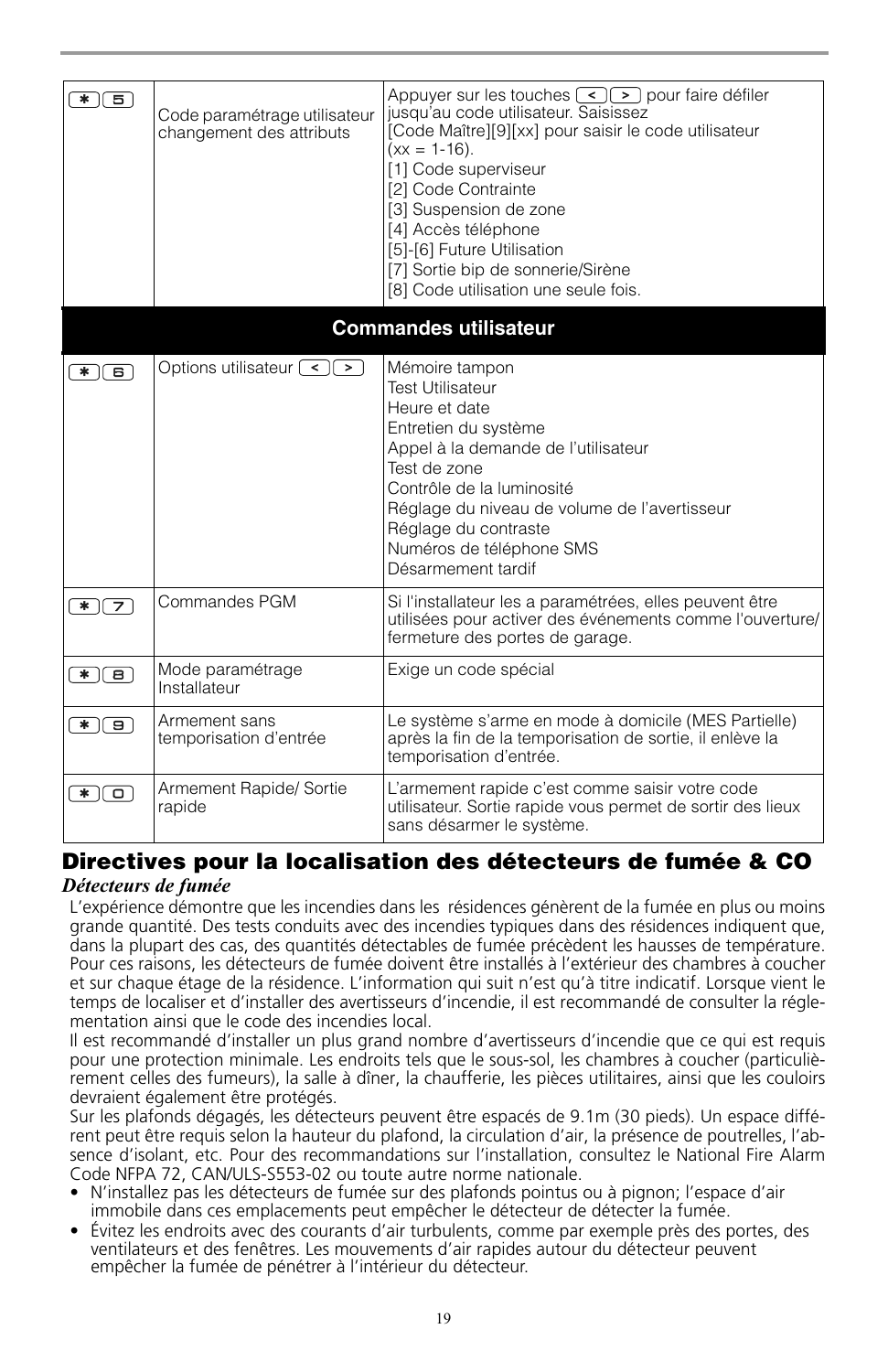| * 16                             | Code paramétrage utilisateur<br>changement des attributs | Appuyer sur les touches $\lceil \cdot \rceil$ pour faire défiler<br>jusqu'au code utilisateur. Saisissez<br>[Code Maître][9][xx] pour saisir le code utilisateur<br>$(xx = 1-16)$ .<br>[1] Code superviseur<br>[2] Code Contrainte<br>[3] Suspension de zone<br>[4] Accès téléphone<br>[5]-[6] Future Utilisation<br>[7] Sortie bip de sonnerie/Sirène<br>[8] Code utilisation une seule fois. |  |  |
|----------------------------------|----------------------------------------------------------|------------------------------------------------------------------------------------------------------------------------------------------------------------------------------------------------------------------------------------------------------------------------------------------------------------------------------------------------------------------------------------------------|--|--|
| <b>Commandes utilisateur</b>     |                                                          |                                                                                                                                                                                                                                                                                                                                                                                                |  |  |
| ொ<br>∗ ∣                         | Options utilisateur $\lceil \cdot \rceil$                | Mémoire tampon<br><b>Test Utilisateur</b><br>Heure et date<br>Entretien du système<br>Appel à la demande de l'utilisateur<br>Test de zone<br>Contrôle de la luminosité<br>Réglage du niveau de volume de l'avertisseur<br>Réglage du contraste<br>Numéros de téléphone SMS<br>Désarmement tardif                                                                                               |  |  |
| $\overline{\ast}$ $\overline{z}$ | Commandes PGM                                            | Si l'installateur les a paramétrées, elles peuvent être<br>utilisées pour activer des événements comme l'ouverture/<br>fermeture des portes de garage.                                                                                                                                                                                                                                         |  |  |
| 8<br>∗ ∣                         | Mode paramétrage<br>Installateur                         | Exige un code spécial                                                                                                                                                                                                                                                                                                                                                                          |  |  |
| ंडा<br>∗ ∥                       | Armement sans<br>temporisation d'entrée                  | Le système s'arme en mode à domicile (MES Partielle)<br>après la fin de la temporisation de sortie, il enlève la<br>temporisation d'entrée.                                                                                                                                                                                                                                                    |  |  |
| ०<br>*.                          | Armement Rapide/ Sortie<br>rapide                        | L'armement rapide c'est comme saisir votre code<br>utilisateur. Sortie rapide vous permet de sortir des lieux<br>sans désarmer le système.                                                                                                                                                                                                                                                     |  |  |

## **Directives pour la localisation des détecteurs de fumée & CO**

## *Détecteurs de fumée*

L'expérience démontre que les incendies dans les résidences génèrent de la fumée en plus ou moins grande quantité. Des tests conduits avec des incendies typiques dans des résidences indiquent que, dans la plupart des cas, des quantités détectables de fumée précèdent les hausses de température. Pour ces raisons, les détecteurs de fumée doivent être installés à l'extérieur des chambres à coucher et sur chaque étage de la résidence. L'information qui suit n'est qu'à titre indicatif. Lorsque vient le temps de localiser et d'installer des avertisseurs d'incendie, il est recommandé de consulter la réglementation ainsi que le code des incendies local.

Il est recommandé d'installer un plus grand nombre d'avertisseurs d'incendie que ce qui est requis pour une protection minimale. Les endroits tels que le sous-sol, les chambres à coucher (particulièrement celles des fumeurs), la salle à dîner, la chaufferie, les pièces utilitaires, ainsi que les couloirs devraient également être protégés.

Sur les plafonds dégagés, les détecteurs peuvent être espacés de 9.1m (30 pieds). Un espace différent peut être requis selon la hauteur du plafond, la circulation d'air, la présence de poutrelles, l'absence d'isolant, etc. Pour des recommandations sur l'installation, consultez le National Fire Alarm Code NFPA 72, CAN/ULS-S553-02 ou toute autre norme nationale.

- N'installez pas les détecteurs de fumée sur des plafonds pointus ou à pignon; l'espace d'air immobile dans ces emplacements peut empêcher le détecteur de détecter la fumée.
- Évitez les endroits avec des courants d'air turbulents, comme par exemple près des portes, des ventilateurs et des fenêtres. Les mouvements d'air rapides autour du détecteur peuvent empêcher la fumée de pénétrer à l'intérieur du détecteur.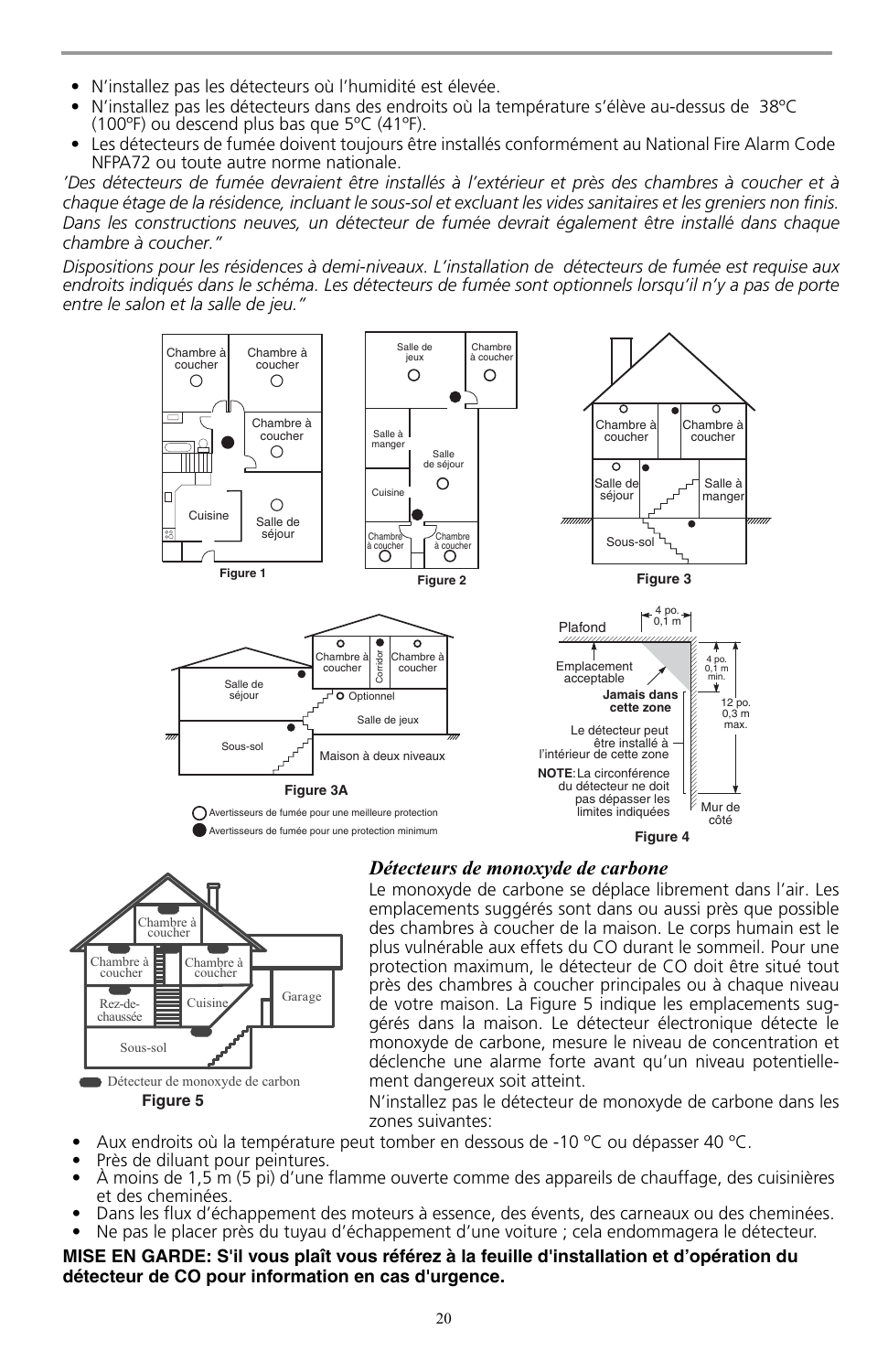- N'installez pas les détecteurs où l'humidité est élevée.
- N'installez pas les détecteurs dans des endroits où la température s'élève au-dessus de 38ºC (100ºF) ou descend plus bas que 5ºC (41ºF).
- Les détecteurs de fumée doivent toujours être installés conformément au National Fire Alarm Code NFPA72 ou toute autre norme nationale.

*'Des détecteurs de fumée devraient être installés à l'extérieur et près des chambres à coucher et à chaque étage de la résidence, incluant le sous-sol et excluant les vides sanitaires et les greniers non finis. Dans les constructions neuves, un détecteur de fumée devrait également être installé dans chaque chambre à coucher."* 

*Dispositions pour les résidences à demi-niveaux. L'installation de détecteurs de fumée est requise aux endroits indiqués dans le schéma. Les détecteurs de fumée sont optionnels lorsqu'il n'y a pas de porte entre le salon et la salle de jeu."*





### *Détecteurs de monoxyde de carbone*

Le monoxyde de carbone se déplace librement dans l'air. Les emplacements suggérés sont dans ou aussi près que possible des chambres à coucher de la maison. Le corps humain est le plus vulnérable aux effets du CO durant le sommeil. Pour une protection maximum, le détecteur de CO doit être situé tout près des chambres à coucher principales ou à chaque niveau de votre maison. La Figure 5 indique les emplacements suggérés dans la maison. Le détecteur électronique détecte le monoxyde de carbone, mesure le niveau de concentration et déclenche une alarme forte avant qu'un niveau potentiellement dangereux soit atteint.

N'installez pas le détecteur de monoxyde de carbone dans les zones suivantes:

- Aux endroits où la température peut tomber en dessous de -10  $^{\circ}$ C ou dépasser 40  $^{\circ}$ C.
- Près de diluant pour peintures.
- À moins de 1,5 m (5 pi) d'une flamme ouverte comme des appareils de chauffage, des cuisinières et des cheminées.
- Dans les flux d'échappement des moteurs à essence, des évents, des carneaux ou des cheminées.
- Ne pas le placer près du tuyau d'échappement d'une voiture ; cela endommagera le détecteur.

#### **MISE EN GARDE: S'il vous plaît vous référez à la feuille d'installation et d'opération du détecteur de CO pour information en cas d'urgence.**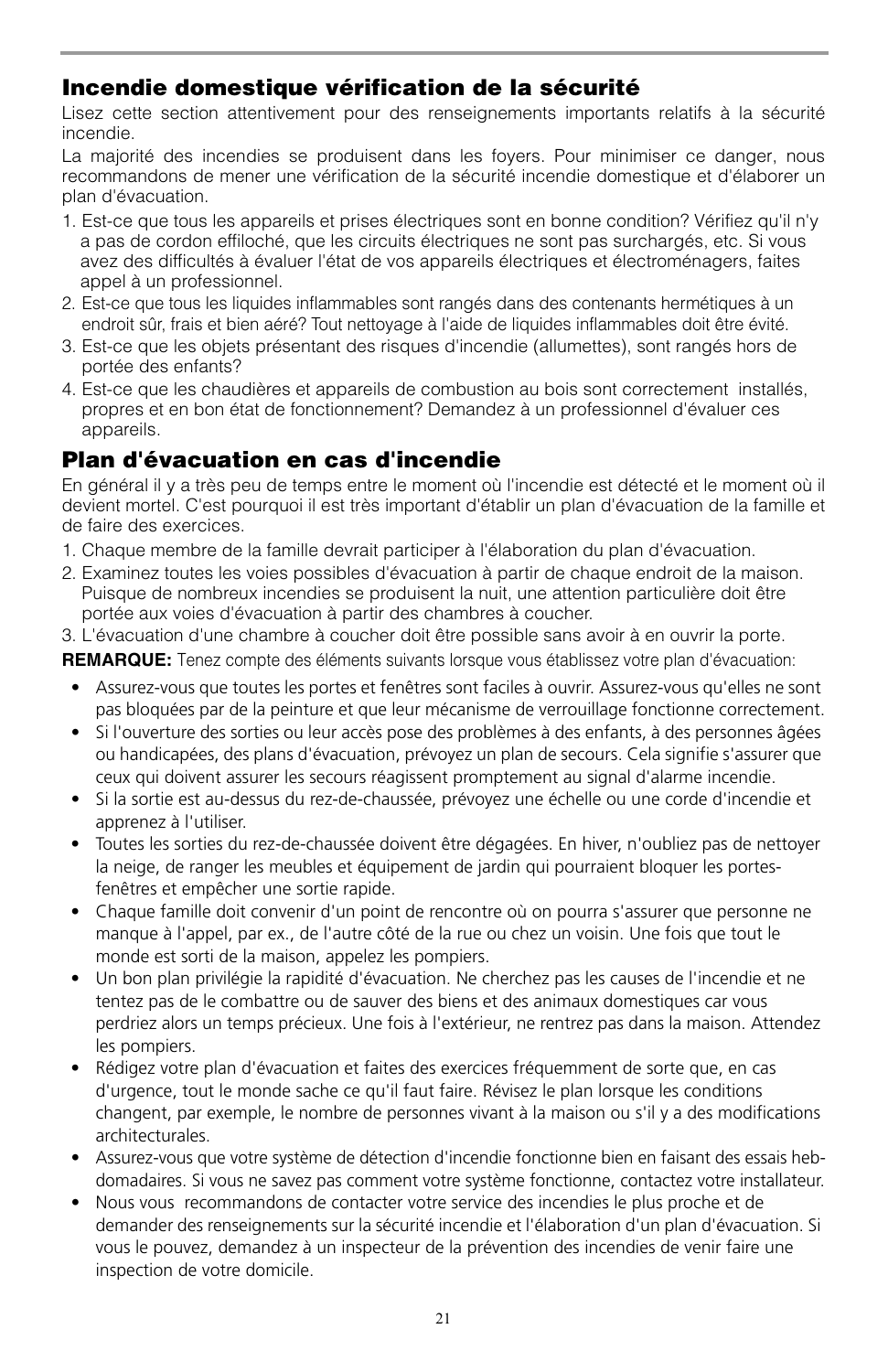## **Incendie domestique vérification de la sécurité**

Lisez cette section attentivement pour des renseignements importants relatifs à la sécurité incendie.

La majorité des incendies se produisent dans les foyers. Pour minimiser ce danger, nous recommandons de mener une vérification de la sécurité incendie domestique et d'élaborer un plan d'évacuation.

- 1. Est-ce que tous les appareils et prises électriques sont en bonne condition? Vérifiez qu'il n'y a pas de cordon effiloché, que les circuits électriques ne sont pas surchargés, etc. Si vous avez des difficultés à évaluer l'état de vos appareils électriques et électroménagers, faites appel à un professionnel.
- 2. Est-ce que tous les liquides inflammables sont rangés dans des contenants hermétiques à un endroit sûr, frais et bien aéré? Tout nettoyage à l'aide de liquides inflammables doit être évité.
- 3. Est-ce que les objets présentant des risques d'incendie (allumettes), sont rangés hors de portée des enfants?
- 4. Est-ce que les chaudières et appareils de combustion au bois sont correctement installés, propres et en bon état de fonctionnement? Demandez à un professionnel d'évaluer ces appareils.

## **Plan d'évacuation en cas d'incendie**

En général il y a très peu de temps entre le moment où l'incendie est détecté et le moment où il devient mortel. C'est pourquoi il est très important d'établir un plan d'évacuation de la famille et de faire des exercices.

- 1. Chaque membre de la famille devrait participer à l'élaboration du plan d'évacuation.
- 2. Examinez toutes les voies possibles d'évacuation à partir de chaque endroit de la maison. Puisque de nombreux incendies se produisent la nuit, une attention particulière doit être portée aux voies d'évacuation à partir des chambres à coucher.
- 3. L'évacuation d'une chambre à coucher doit être possible sans avoir à en ouvrir la porte.

**REMARQUE:** Tenez compte des éléments suivants lorsque vous établissez votre plan d'évacuation:

- Assurez-vous que toutes les portes et fenêtres sont faciles à ouvrir. Assurez-vous qu'elles ne sont pas bloquées par de la peinture et que leur mécanisme de verrouillage fonctionne correctement.
- Si l'ouverture des sorties ou leur accès pose des problèmes à des enfants, à des personnes âgées ou handicapées, des plans d'évacuation, prévoyez un plan de secours. Cela signifie s'assurer que ceux qui doivent assurer les secours réagissent promptement au signal d'alarme incendie.
- Si la sortie est au-dessus du rez-de-chaussée, prévoyez une échelle ou une corde d'incendie et apprenez à l'utiliser.
- Toutes les sorties du rez-de-chaussée doivent être dégagées. En hiver, n'oubliez pas de nettoyer la neige, de ranger les meubles et équipement de jardin qui pourraient bloquer les portesfenêtres et empêcher une sortie rapide.
- Chaque famille doit convenir d'un point de rencontre où on pourra s'assurer que personne ne manque à l'appel, par ex., de l'autre côté de la rue ou chez un voisin. Une fois que tout le monde est sorti de la maison, appelez les pompiers.
- Un bon plan privilégie la rapidité d'évacuation. Ne cherchez pas les causes de l'incendie et ne tentez pas de le combattre ou de sauver des biens et des animaux domestiques car vous perdriez alors un temps précieux. Une fois à l'extérieur, ne rentrez pas dans la maison. Attendez les pompiers.
- Rédigez votre plan d'évacuation et faites des exercices fréquemment de sorte que, en cas d'urgence, tout le monde sache ce qu'il faut faire. Révisez le plan lorsque les conditions changent, par exemple, le nombre de personnes vivant à la maison ou s'il y a des modifications architecturales.
- Assurez-vous que votre système de détection d'incendie fonctionne bien en faisant des essais hebdomadaires. Si vous ne savez pas comment votre système fonctionne, contactez votre installateur.
- Nous vous recommandons de contacter votre service des incendies le plus proche et de demander des renseignements sur la sécurité incendie et l'élaboration d'un plan d'évacuation. Si vous le pouvez, demandez à un inspecteur de la prévention des incendies de venir faire une inspection de votre domicile.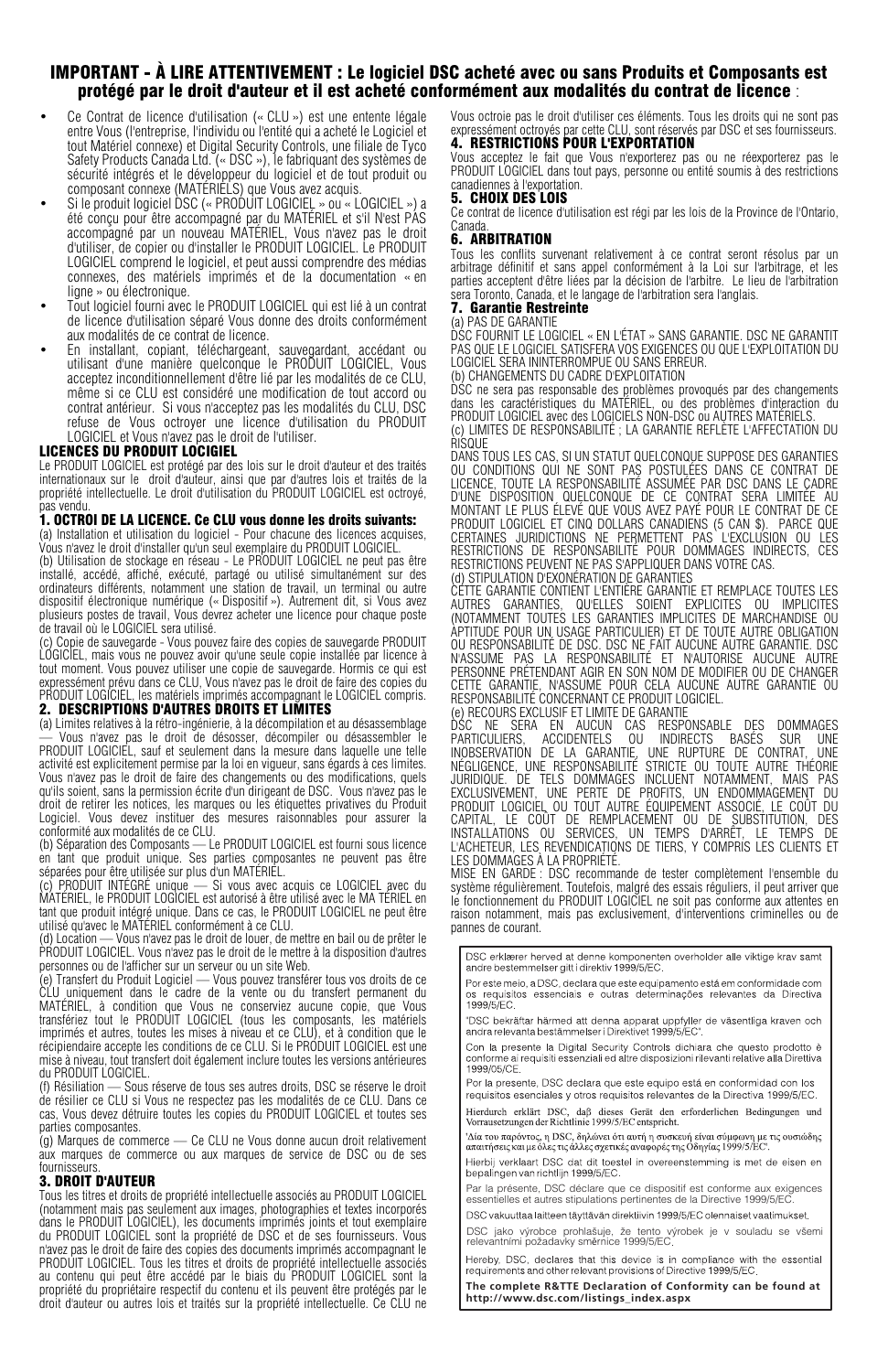# IMPORTANT - À LIRE ATTENTIVEMENT : Le logiciel DSC acheté avec ou sans Produits et Composants est protégé par le droit d'auteur et il est acheté conformément aux modalités du contrat de licence :

- Ce Contrat de licence d'utilisation (« CLU ») est une entente légale entre Vous (l'entreprise, l'individu ou l'entité qui a acheté le Logiciel et tout Matériel connexe) et Digital Security Controls, une filiale de Tyco Safety Products Canada Ltd. (« DSC »), le fabriquant des systèmes de sécurité intégrés et le développeur du logiciel et de tout produit ou
- composant connexe (MATÉRIELS) que Vous avez acquis. Si le produit logiciel DSC (« PRODUIT LOGICIEL » ou « LOGICIEL ») a été conçu pour être accompagné par du MATÉRIEL et s'il N'est PAS accompagné par un nouveau MATÉRIEL, Vous n'avez pas le droit d'utiliser, de copier ou d'installer le PRODUIT LOGICIEL. Le PRODUIT LOGICIEL comprend le logiciel, et peut aussi comprendre des médias connexes, des matériels imprimés et de la documentation « en ligne » ou électronique.
- Tout logiciel fourni avec le PRODUIT LOGICIEL qui est lié à un contrat de licence d'utilisation séparé Vous donne des droits conformément aux modalités de ce contrat de licence.
- En installant, copiant, téléchargeant, sauvegardant, accédant ou utilisant d'une manière quelconque le PRODUIT LOGICIEL, Vous acceptez inconditionnellement d'être lié par les modalités de ce CLU, même si ce CLU est considéré une modification de tout accord ou contrat antérieur. Si vous n'acceptez pas les modalités du CLU, DSC refuse de Vous octroyer une licence d'utilisation du PRODUIT LOGICIEL et Vous n'avez pas le droit de l'utiliser.

#### LICENCES DU PRODUIT LOCIGIEL

Le PRODUIT LOGICIEL est protégé par des lois sur le droit d'auteur et des traités internationaux sur le droit d'auteur, ainsi que par d'autres lois et traités de la propriété intellectuelle. Le droit d'utilisation du PRODUIT LOGICIEL est octroyé,

## pas vendu.<br>**1. OCTROI DE LA LICENCE. Ce CLU vous donne les droits suivants:**

(a) Installation et utilisation du logiciel - Pour chacune des licences acquises, Vous n'avez le droit d'installer qu'un seul exemplaire du PRODUIT LOGICIEL.

(b) Utilisation de stockage en réseau - Le PRODUIT LOGICIEL ne peut pas être installé, accédé, affiché, exécuté, partagé ou utilisé simultanément sur des ordinateurs différents, notamment une station de travail, un terminal ou autre dispositif électronique numérique (« Dispositif »). Autrement dit, si Vous avez plusieurs postes de travail, Vous devrez acheter une licence pour chaque poste de travail où le LOGICIEL sera utilisé.

(c) Copie de sauvegarde - Vous pouvez faire des copies de sauvegarde PRODUIT LOGICIEL, mais vous ne pouvez avoir qu'une seule copie installée par licence à tout moment. Vous pouvez utiliser une copie de sauvegarde. Hormis ce qui est expressément prévu dans ce CLU, Vous n'avez pas le droit de faire des copies du PRODUIT LOGICIEL, les matériels imprimés accompagnant le LOGICIEL compris.

#### 2. DESCRIPTIONS D'AUTRES DROITS ET LIMITES

(a) Limites relatives à la rétro-ingénierie, à la décompilation et au désassemblage — Vous n'avez pas le droit de désosser, décompiler ou désassembler le PRODUIT LOGICIEL, sauf et seulement dans la mesure dans laquelle une telle activité est explicitement permise par la loi en vigueur, sans égards à ces limites. Vous n'avez pas le droit de faire des changements ou des modifications, quels qu'ils soient, sans la permission écrite d'un dirigeant de DSC. Vous n'avez pas le droit de retirer les notices, les marques ou les étiquettes privatives du Produit Logiciel. Vous devez instituer des mesures raisonnables pour assurer la conformité aux modalités de ce CLU.

(b) Séparation des Composants — Le PRODUIT LOGICIEL est fourni sous licence en tant que produit unique. Ses parties composantes ne peuvent pas être séparées pour être utilisée sur plus d'un MATÉRIEL.

(c) PRODUIT INTÉGRÉ unique — Si vous avec acquis ce LOGICIEL avec du MATÉRIEL, le PRODUIT LOGICIEL est autorisé à être utilisé avec le MA TÉRIEL en tant que produit intégré unique. Dans ce cas, le PRODUIT LOGICIEL ne peut être utilisé qu'avec le MATÉRIEL conformément à ce CLU.

(d) Location — Vous n'avez pas le droit de louer, de mettre en bail ou de prêter le PRODUIT LOGICIEL. Vous n'avez pas le droit de le mettre à la disposition d'autres personnes ou de l'afficher sur un serveur ou un site Web.

(e) Transfert du Produit Logiciel — Vous pouvez transférer tous vos droits de ce CLU uniquement dans le cadre de la vente ou du transfert permanent du MATÉRIEL, à condition que Vous ne conserviez aucune copie, que Vous transfériez tout le PRODUIT LOGICIEL (tous les composants, les matériels imprimés et autres, toutes les mises à niveau et ce CLU), et à condition que le récipiendaire accepte les conditions de ce CLU. Si le PRODUIT LOGICIEL est une mise à niveau, tout transfert doit également inclure toutes les versions antérieures du PRODUIT LOGICIEL.

(f) Résiliation — Sous réserve de tous ses autres droits, DSC se réserve le droit de résilier ce CLU si Vous ne respectez pas les modalités de ce CLU. Dans ce cas, Vous devez détruire toutes les copies du PRODUIT LOGICIEL et toutes ses parties composantes.

(g) Marques de commerce — Ce CLU ne Vous donne aucun droit relativement aux marques de commerce ou aux marques de service de DSC ou de ses fournisseurs.

#### 3. DROIT D'AUTEUR

Tous les titres et droits de propriété intellectuelle associés au PRODUIT LOGICIEL (notamment mais pas seulement aux images, photographies et textes incorporés<br>dans le PRODUIT LOGICIEL), les documents imprimés joints et tout exemplaire<br>du PRODUIT LOGICIEL sont la propriété de DSC et de ses fournisseurs. n'avez pas le droit de faire des copies des documents imprimés accompagnant le PRODUIT LOGICIEL. Tous les titres et droits de propriété intellectuelle associés au contenu qui peut être accédé par le biais du PRODUIT LOGICIEL sont la propriété du propriétaire respectif du contenu et ils peuvent être protégés par le droit d'auteur ou autres lois et traités sur la propriété intellectuelle. Ce CLU ne

Vous octroie pas le droit d'utiliser ces éléments. Tous les droits qui ne sont pas<br>expressément octroyés par cette CLU, sont réservés par DSC et ses fournisseurs.<br>**4. RESTRICTIONS POUR L'EXPORTATION** 

Vous acceptez le fait que Vous n'exporterez pas ou ne réexporterez pas le PRODUIT LOGICIEL dans tout pays, personne ou entité soumis à des restrictions canadiennes à l'exportation.

#### 5. CHOIX DES LOIS

Ce contrat de licence d'utilisation est régi par les lois de la Province de l'Ontario, Canada.

#### 6. ARBITRATION

Tous les conflits survenant relativement à ce contrat seront résolus par un<br>arbitrage définitif et sans appel conformément à la Loi sur l'arbitrage, et les<br>parties acceptent d'être liées par la décision de l'arbitre. Le li sera Toronto, Canada, et le langage de l'arbitration sera l'anglais.<br>**7. Garantie Restreinte** 

#### (a) PAS DE GARANTIE

DSC FOURNIT LE LOGICIEL « EN L'ÉTAT » SANS GARANTIE. DSC NE GARANTIT PAS QUE LE LOGICIEL SATISFERA VOS EXIGENCES OU QUE L'EXPLOITATION DU LOGICIEL SERA ININTERROMPUE OU SANS ERREUR.

(b) CHANGEMENTS DU CADRE D'EXPLOITATION

DSC ne sera pas responsable des problèmes provoqués par des changements dans les caractéristiques du MATÉRIEL, ou des problèmes d'interaction du PRODUIT LOGICIEL avec des LOGICIELS NON-DSC ou AUTRES MATÉRIELS. (c) LIMITES DE RESPONSABILITÉ ; LA GARANTIE REFLÈTE L'AFFECTATION DU

RISQUE

DANS TOUS LES CAS, SI UN STATUT QUELCONQUE SUPPOSE DES GARANTIES OU CONDITIONS QUI NE SONT PAS POSTULÉES DANS CE CONTRAT DE LICENCE, TOUTE LA RESPONSABILITÉ ASSUMÉE PAR DSC DANS LE CADRE D'UNE DISPOSITION QUELCONQUE DE CE CONTRAT SERA LIMITÉE AU MONTANT LE PLUS ÉLEVÉ QUE VOUS AVEZ PAYÉ POUR LE CONTRAT DE CE PRODUIT LOGICIEL ET CINQ DOLLARS CANADIENS (5 CAN \$). PARCE QUE<br>CERTAINES JURIDICTIONS NE PERIMETTENT PAS L'EXCLUSION OU LES<br>RESTRICTIONS DE RESPONSABILITÉ POUR DOMMAGES INDIRECTS, CES<br>RESTRICTIONS PEUVENT NE PAS S'APPLIQU (d) STIPULATION D'EXONÉRATION DE GARANTIES

CETTE GARANTIE CONTIENT L'ENTIÈRE GARANTIE ET REMPLACE TOUTES LES AUTRES GARANTIES, QU'ELLES SOIENT EXPLICITES OU IMPLICITES (NOTAMMENT TOUTES LES GARANTIES IMPLICITES DE MARCHANDISE OU APTITUDE POUR UN USAGE PARTICULIER) ET DE TOUTE AUTRE OBLIGATION OU RESPONSABILITÉ DE DSC. DSC NE FAIT AUCUNE AUTRE GARANTIE. DSC<br>N'ASSUME PAS LA RESPONSABILITÉ ET N'AUTORISE AUCUNE AUTRE

N'ASSUME PAS LA RESPONSABILITÉ ET N'AUTORISE AUCUNE PERSONNE PRÉTENDANT AGIR EN SON NOM DE MODIFIER OU DE CHANGER CETTE GARANTIE, N'ASSUME POUR CELA AUCUNE AUTRE GARANTIE OU RESPONSABILITÉ CONCERNANT CE PRODUIT LOGICIEL.<br>(e) RECOURS EXCLUSIF ET LIMITE DE GARANTIE

(e) RECOURS EXCLUSIF ET LIMITEDE GARANTIE<br>DSC (NE SERA EN AUCUN CAS RESPONSABLE DES DOMMAGES<br>PARTICULIERS, ACCIDENTELS OU INDIRECTS BASÉS SUR UNE<br>INDESERVATION DE LA GARANTIE, UNE RUPTURE DE CONTRAT, UNE<br>DIÉGLIGENCE UNE RE LES DOMMAGES À LA PROPRIÉTÉ.

MISE EN GARDE : DSC recommande de tester complètement l'ensemble du système régulièrement. Toutefois, malgré des essais réguliers, il peut arriver que le fonctionnement du PRODUIT LOGICIEL ne soit pas conforme aux attentes en raison notamment, mais pas exclusivement, d'interventions criminelles ou de pannes de courant.

DSC erklærer herved at denne komponenten overholder alle viktige krav samt andre bestemmelser gitt i direktiv 1999/5/EC.

Por este meio, a DSC, declara que este equipamento está em conformidade com os requisitos essenciais e outras determinações relevantes da Directiva os requisit<br>1999/5/EC

"DSC bekräftar härmed att denna apparat uppfyller de väsentliga kraven och andra relevanta bestämmelser i Direktivet 1999/5/EC\*

anura relevanta bestammelser i Direktivet i 999/9/EC<br>Con la presente la Digital Security Controls dichiara che questo prodotto è<br>conforme ai requisiti essenziali ed altre disposizioni rilevanti relative alla Direttiva<br>1999

Por la presente, DSC declara que este equipo está en conformidad con los requisitos esenciales y otros requisitos relevantes de la Directiva 1999/5/EC.

Hierdurch erklärt DSC, daß dieses Gerät den erforderlichen Bedingungen und Vorrausetzungen der Richtlinie 1999/5/EC entspricht.

' Δία του παρόντος, η DSC, δηλώνει ότι αυτή η συσκευή είναι σύμφωνη με τις ουσιώδης<br>απαιτήσεις και με όλες τις άλλες σχετικές αναφορές της Οδηγίας 1999/5/EC'. Hierbij verklaart DSC dat dit toestel in overeenstemming is met de eisen en

bepalingen van richtlijn 1999/5/EC. Par la présente, DSC déclare que ce dispositif est conforme aux exigences

essentielles et autres stipulations pertinentes de la Directive 1999/5/EC. DSC vakuuttaa laitteen täyttävän direktiivin 1999/5/EC olennaiset vaatimukset.

DSC jako výrobce prohlašuje, že tento výrobek je v souladu se všemi relevantními požadavky směrnice 1999/5/EC

Hereby, DSC, declares that this device is in compliance with the essential requirements and other relevant provisions of Directive 1999/5/EC

**The complete R&TTE Declaration of Conformity can be found at http://www.dsc.com/listings\_index.aspx**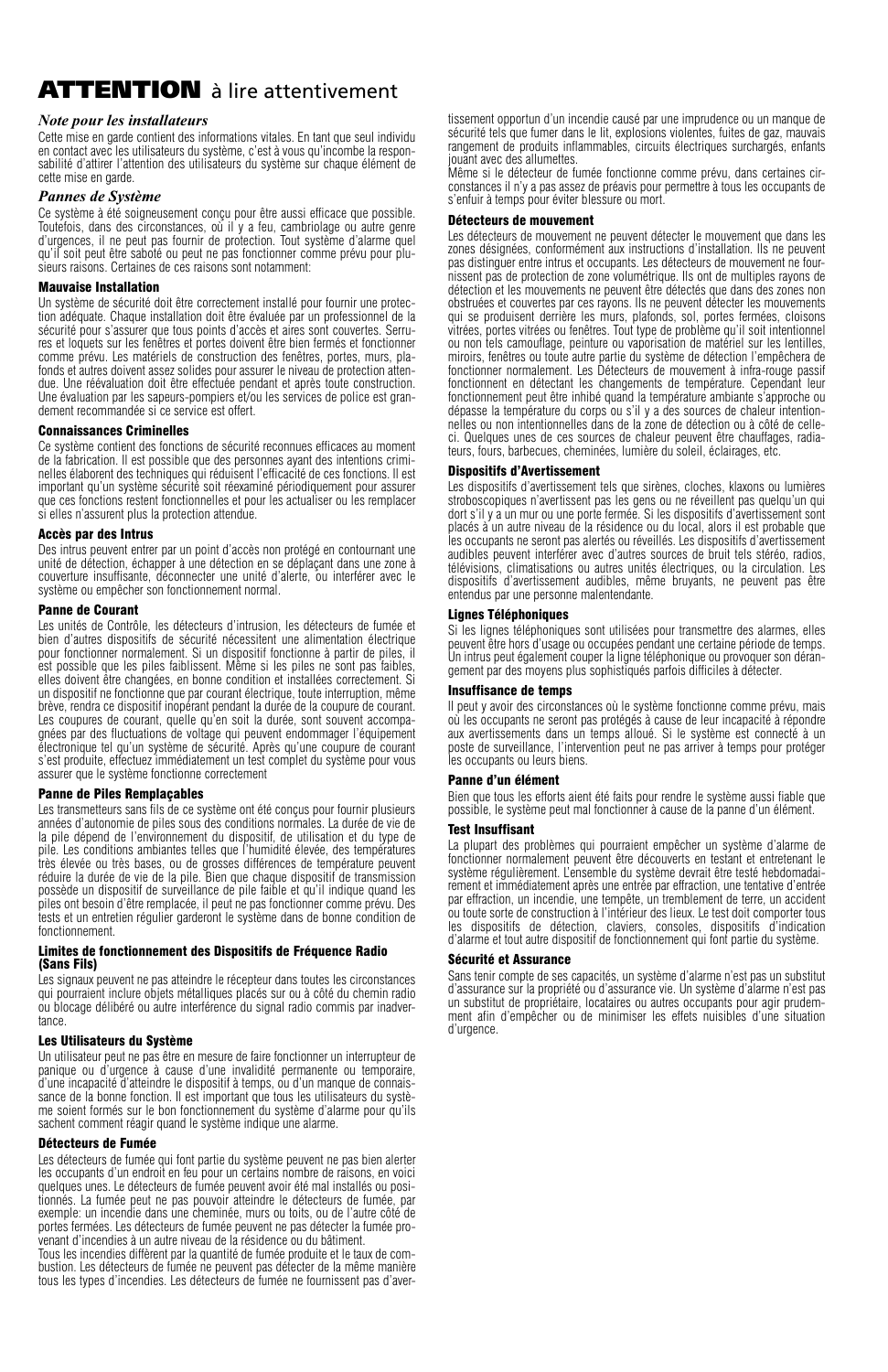## **ATTENTION** à lire attentivement

#### *Note pour les installateurs*

Cette mise en garde contient des informations vitales. En tant que seul individu en contact avec les utilisateurs du système, c'est à vous qu'incombe la responsabilité d'attirer l'attention des utilisateurs du système sur chaque élément de cette mise en garde.

#### *Pannes de Système*

Ce système à été soigneusement conçu pour être aussi efficace que possible. Toutefois, dans des circonstances, où il y a feu, cambriolage ou autre genre d'urgences, il ne peut pas fournir de protection. Tout système d'alarme quel qu'il soit peut être saboté ou peut ne pas fonctionner comme prévu pour plusieurs raisons. Certaines de ces raisons sont notamment:

#### Mauvaise Installation

Un système de sécurité doit être correctement installé pour fournir une protection adéquate. Chaque installation doit être évaluée par un professionnel de la sécurité pour s'assurer que tous points d'accès et aires sont couvertes. Serrures et loquets sur les fenêtres et portes doivent être bien fermés et fonctionner comme prévu. Les matériels de construction des fenêtres, portes, murs, plafonds et autres doivent assez solides pour assurer le niveau de protection attendue. Une réévaluation doit être effectuée pendant et après toute construction. Une évaluation par les sapeurs-pompiers et/ou les services de police est grandement recommandée si ce service est offert.

#### Connaissances Criminelles

Ce système contient des fonctions de sécurité reconnues efficaces au moment de la fabrication. Il est possible que des personnes ayant des intentions criminelles élaborent des techniques qui réduisent l'efficacité de ces fonctions. Il est important qu'un système sécurité soit réexaminé périodiquement pour assurer que ces fonctions restent fonctionnelles et pour les actualiser ou les remplacer si elles n'assurent plus la protection attendue.

#### Accès par des Intrus

Des intrus peuvent entrer par un point d'accès non protégé en contournant une unité de détection, échapper à une détection en se déplaçant dans une zone à couverture insuffisante, déconnecter une unité d'alerte, ou interférer avec le système ou empêcher son fonctionnement normal.

#### Panne de Courant

Les unités de Contrôle, les détecteurs d'intrusion, les détecteurs de fumée et bien d'autres dispositifs de sécurité nécessitent une alimentation électrique pour fonctionner normalement. Si un dispositif fonctionne à partir de piles, il est possible que les piles faiblissent. Même si les piles ne sont pas faibles, elles doivent être changées, en bonne condition et installées correctement. Si un dispositif ne fonctionne que par courant électrique, toute interruption, même brève, rendra ce dispositif inopérant pendant la durée de la coupure de courant. Les coupures de courant, quelle qu'en soit la durée, sont souvent accompagnées par des fluctuations de voltage qui peuvent endommager l'équipement électronique tel qu'un système de sécurité. Après qu'une coupure de courant s'est produite, effectuez immédiatement un test complet du système pour vous assurer que le système fonctionne correctement

#### Panne de Piles Remplaçables

Les transmetteurs sans fils de ce système ont été conçus pour fournir plusieurs années d'autonomie de piles sous des conditions normales. La durée de vie de la pile dépend de l'environnement du dispositif, de utilisation et du type de pile. Les conditions ambiantes telles que l'humidité élevée, des températures très élevée ou très bases, ou de grosses différences de température peuvent réduire la durée de vie de la pile. Bien que chaque dispositif de transmission possède un dispositif de surveillance de pile faible et qu'il indique quand les piles ont besoin d'être remplacée, il peut ne pas fonctionner comme prévu. Des tests et un entretien régulier garderont le système dans de bonne condition de fonctionnement.

#### Limites de fonctionnement des Dispositifs de Fréquence Radio (Sans Fils)

Les signaux peuvent ne pas atteindre le récepteur dans toutes les circonstances qui pourraient inclure objets métalliques placés sur ou à côté du chemin radio ou blocage délibéré ou autre interférence du signal radio commis par inadvertance.

#### Les Utilisateurs du Système

Un utilisateur peut ne pas être en mesure de faire fonctionner un interrupteur de panique ou d'urgence à cause d'une invalidité permanente ou temporaire, d'une incapacité d'atteindre le dispositif à temps, ou d'un manque de connaissance de la bonne fonction. Il est important que tous les utilisateurs du système soient formés sur le bon fonctionnement du système d'alarme pour qu'ils sachent comment réagir quand le système indique une alarme.

#### Détecteurs de Fumée

Les détecteurs de fumée qui font partie du système peuvent ne pas bien alerter les occupants d'un endroit en feu pour un certains nombre de raisons, en voici quelques unes. Le détecteurs de fumée peuvent avoir été mal installés ou positionnés. La fumée peut ne pas pouvoir atteindre le détecteurs de fumée, par exemple: un incendie dans une cheminée, murs ou toits, ou de l'autre côté de portes fermées. Les détecteurs de fumée peuvent ne pas détecter la fumée pro-venant d'incendies à un autre niveau de la résidence ou du bâtiment.

Tous les incendies diffèrent par la quantité de fumée produite et le taux de combustion. Les détecteurs de fumée ne peuvent pas détecter de la même manière tous les types d'incendies. Les détecteurs de fumée ne fournissent pas d'avertissement opportun d'un incendie causé par une imprudence ou un manque de sécurité tels que fumer dans le lit, explosions violentes, fuites de gaz, mauvais rangement de produits inflammables, circuits électriques surchargés, enfants jouant avec des allumettes.

Même si le détecteur de fumée fonctionne comme prévu, dans certaines circonstances il n'y a pas assez de préavis pour permettre à tous les occupants de s'enfuir à temps pour éviter blessure ou mort.

#### Détecteurs de mouvement

Les détecteurs de mouvement ne peuvent détecter le mouvement que dans les zones désignées, conformément aux instructions d'installation. Ils ne peuvent pas distinguer entre intrus et occupants. Les détecteurs de mouvement ne fournissent pas de protection de zone volumétrique. Ils ont de multiples rayons de détection et les mouvements ne peuvent être détectés que dans des zones non obstruées et couvertes par ces rayons. Ils ne peuvent détecter les mouvements qui se produisent derrière les murs, plafonds, sol, portes fermées, cloisons vitrées, portes vitrées ou fenêtres. Tout type de problème qu'il soit intentionnel ou non tels camouflage, peinture ou vaporisation de matériel sur les lentilles, miroirs, fenêtres ou toute autre partie du système de détection l'empêchera de fonctionner normalement. Les Détecteurs de mouvement à infra-rouge passif fonctionnent en détectant les changements de température. Cependant leur fonctionnement peut être inhibé quand la température ambiante s'approche ou dépasse la température du corps ou s'il y a des sources de chaleur intentionnelles ou non intentionnelles dans de la zone de détection ou à côté de celleci. Quelques unes de ces sources de chaleur peuvent être chauffages, radiateurs, fours, barbecues, cheminées, lumière du soleil, éclairages, etc.

#### Dispositifs d'Avertissement

Les dispositifs d'avertissement tels que sirènes, cloches, klaxons ou lumières stroboscopiques n'avertissent pas les gens ou ne réveillent pas quelqu'un qui<br>dort s'il y a un mur ou une porte fermée. Si les dispositifs d'avertissement sont placés à un autre niveau de la résidence ou du local, alors il est probable que les occupants ne seront pas alertés ou réveillés. Les dispositifs d'avertissement audibles peuvent interférer avec d'autres sources de bruit tels stéréo, radios, télévisions, climatisations ou autres unités électriques, ou la circulation. Les dispositifs d'avertissement audibles, même bruyants, ne peuvent pas être entendus par une personne malentendante.

#### Lignes Téléphoniques

Si les lignes téléphoniques sont utilisées pour transmettre des alarmes, elles peuvent être hors d'usage ou occupées pendant une certaine période de temps. Un intrus peut également couper la ligne téléphonique ou provoquer son dérangement par des moyens plus sophistiqués parfois difficiles à détecter.

#### Insuffisance de temps

Il peut y avoir des circonstances où le système fonctionne comme prévu, mais où les occupants ne seront pas protégés à cause de leur incapacité à répondre aux avertissements dans un temps alloué. Si le système est connecté à un poste de surveillance, l'intervention peut ne pas arriver à temps pour protéger les occupants ou leurs biens.

#### Panne d'un élément

Bien que tous les efforts aient été faits pour rendre le système aussi fiable que possible, le système peut mal fonctionner à cause de la panne d'un élément.

#### Test Insuffisant

La plupart des problèmes qui pourraient empêcher un système d'alarme de fonctionner normalement peuvent être découverts en testant et entretenant le système régulièrement. L'ensemble du système devrait être testé hebdomadairement et immédiatement après une entrée par effraction, une tentative d'entrée par effraction, un incendie, une tempête, un tremblement de terre, un accident ou toute sorte de construction à l'intérieur des lieux. Le test doit comporter tous les dispositifs de détection, claviers, consoles, dispositifs d'indication d'alarme et tout autre dispositif de fonctionnement qui font partie du système.

#### Sécurité et Assurance

Sans tenir compte de ses capacités, un système d'alarme n'est pas un substitut d'assurance sur la propriété ou d'assurance vie. Un système d'alarme n'est pas un substitut de propriétaire, locataires ou autres occupants pour agir prudemment afin d'empêcher ou de minimiser les effets nuisibles d'une situation d'urgence.